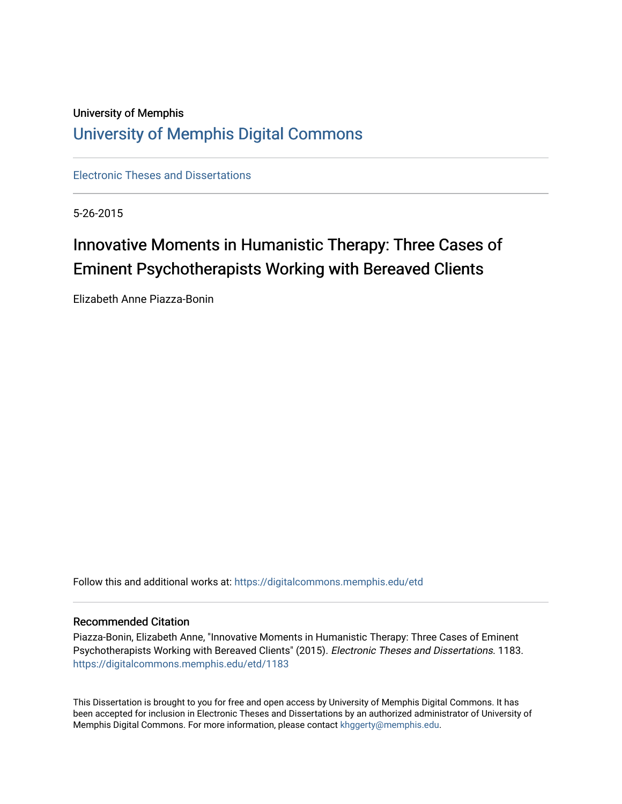# University of Memphis [University of Memphis Digital Commons](https://digitalcommons.memphis.edu/)

[Electronic Theses and Dissertations](https://digitalcommons.memphis.edu/etd)

5-26-2015

# Innovative Moments in Humanistic Therapy: Three Cases of Eminent Psychotherapists Working with Bereaved Clients

Elizabeth Anne Piazza-Bonin

Follow this and additional works at: [https://digitalcommons.memphis.edu/etd](https://digitalcommons.memphis.edu/etd?utm_source=digitalcommons.memphis.edu%2Fetd%2F1183&utm_medium=PDF&utm_campaign=PDFCoverPages) 

#### Recommended Citation

Piazza-Bonin, Elizabeth Anne, "Innovative Moments in Humanistic Therapy: Three Cases of Eminent Psychotherapists Working with Bereaved Clients" (2015). Electronic Theses and Dissertations. 1183. [https://digitalcommons.memphis.edu/etd/1183](https://digitalcommons.memphis.edu/etd/1183?utm_source=digitalcommons.memphis.edu%2Fetd%2F1183&utm_medium=PDF&utm_campaign=PDFCoverPages) 

This Dissertation is brought to you for free and open access by University of Memphis Digital Commons. It has been accepted for inclusion in Electronic Theses and Dissertations by an authorized administrator of University of Memphis Digital Commons. For more information, please contact [khggerty@memphis.edu.](mailto:khggerty@memphis.edu)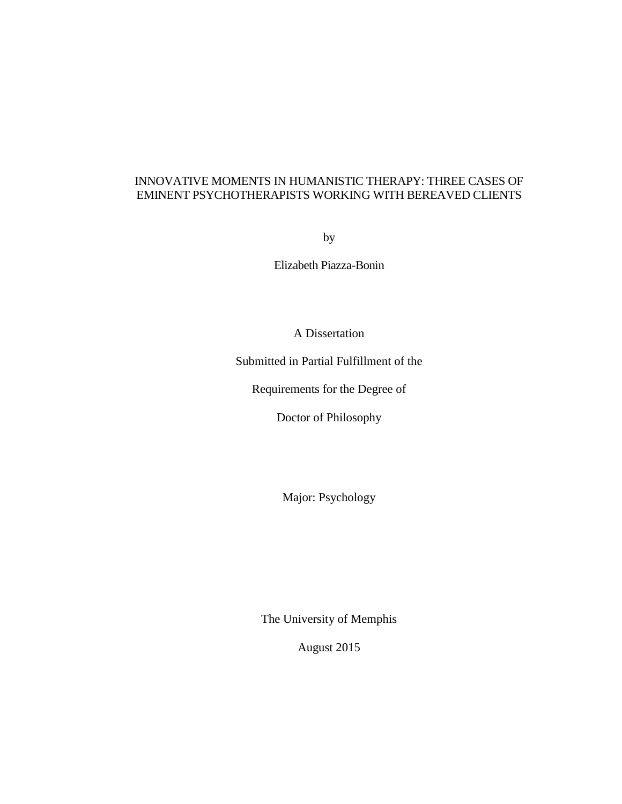## INNOVATIVE MOMENTS IN HUMANISTIC THERAPY: THREE CASES OF EMINENT PSYCHOTHERAPISTS WORKING WITH BEREAVED CLIENTS

by

Elizabeth Piazza-Bonin

A Dissertation

Submitted in Partial Fulfillment of the

Requirements for the Degree of

Doctor of Philosophy

Major: Psychology

The University of Memphis

August 2015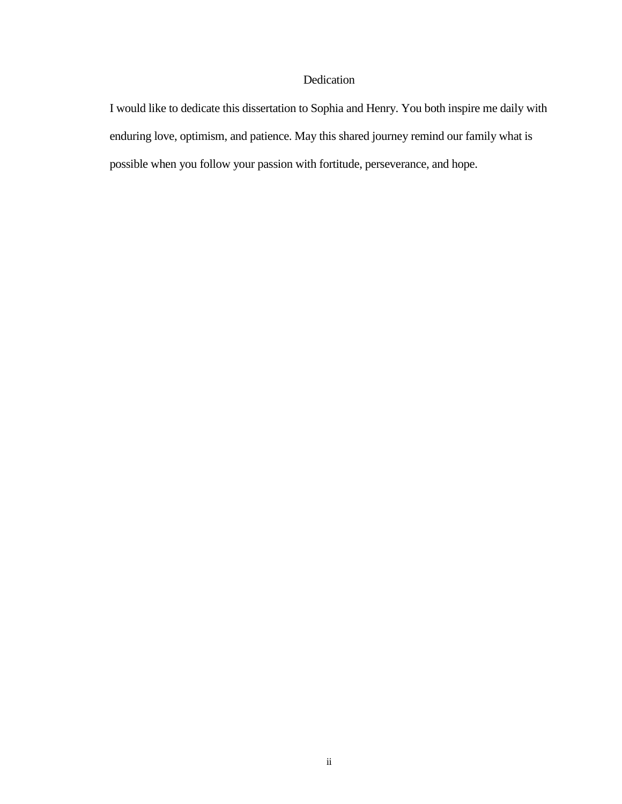### Dedication

I would like to dedicate this dissertation to Sophia and Henry. You both inspire me daily with enduring love, optimism, and patience. May this shared journey remind our family what is possible when you follow your passion with fortitude, perseverance, and hope.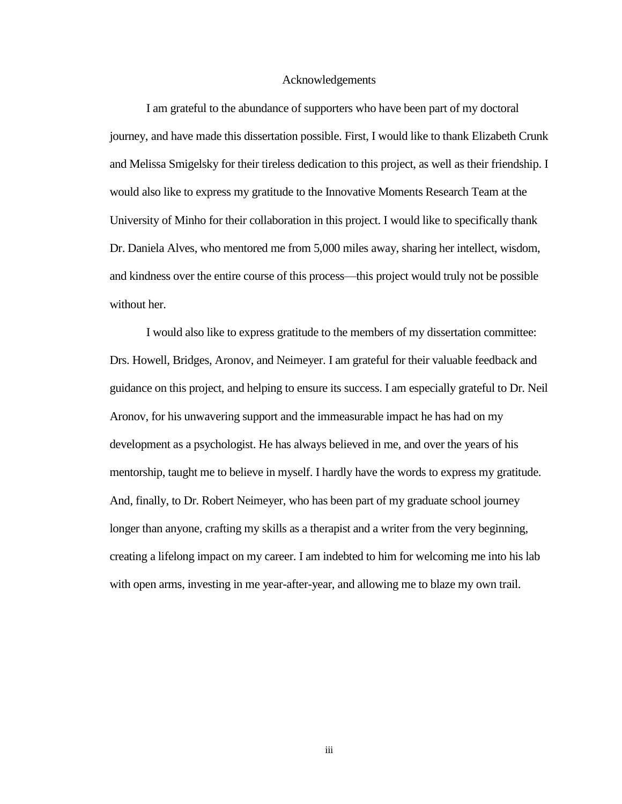#### Acknowledgements

I am grateful to the abundance of supporters who have been part of my doctoral journey, and have made this dissertation possible. First, I would like to thank Elizabeth Crunk and Melissa Smigelsky for their tireless dedication to this project, as well as their friendship. I would also like to express my gratitude to the Innovative Moments Research Team at the University of Minho for their collaboration in this project. I would like to specifically thank Dr. Daniela Alves, who mentored me from 5,000 miles away, sharing her intellect, wisdom, and kindness over the entire course of this process—this project would truly not be possible without her.

I would also like to express gratitude to the members of my dissertation committee: Drs. Howell, Bridges, Aronov, and Neimeyer. I am grateful for their valuable feedback and guidance on this project, and helping to ensure its success. I am especially grateful to Dr. Neil Aronov, for his unwavering support and the immeasurable impact he has had on my development as a psychologist. He has always believed in me, and over the years of his mentorship, taught me to believe in myself. I hardly have the words to express my gratitude. And, finally, to Dr. Robert Neimeyer, who has been part of my graduate school journey longer than anyone, crafting my skills as a therapist and a writer from the very beginning, creating a lifelong impact on my career. I am indebted to him for welcoming me into his lab with open arms, investing in me year-after-year, and allowing me to blaze my own trail.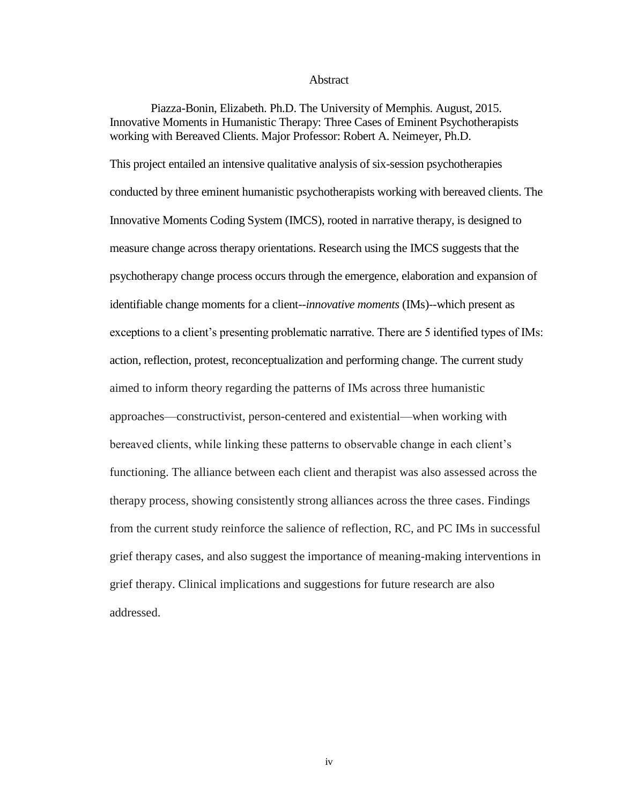#### **Abstract**

Piazza-Bonin, Elizabeth. Ph.D. The University of Memphis. August, 2015. Innovative Moments in Humanistic Therapy: Three Cases of Eminent Psychotherapists working with Bereaved Clients. Major Professor: Robert A. Neimeyer, Ph.D.

This project entailed an intensive qualitative analysis of six-session psychotherapies conducted by three eminent humanistic psychotherapists working with bereaved clients. The Innovative Moments Coding System (IMCS), rooted in narrative therapy, is designed to measure change across therapy orientations. Research using the IMCS suggests that the psychotherapy change process occurs through the emergence, elaboration and expansion of identifiable change moments for a client--*innovative moments* (IMs)--which present as exceptions to a client's presenting problematic narrative. There are 5 identified types of IMs: action, reflection, protest, reconceptualization and performing change. The current study aimed to inform theory regarding the patterns of IMs across three humanistic approaches—constructivist, person-centered and existential—when working with bereaved clients, while linking these patterns to observable change in each client's functioning. The alliance between each client and therapist was also assessed across the therapy process, showing consistently strong alliances across the three cases. Findings from the current study reinforce the salience of reflection, RC, and PC IMs in successful grief therapy cases, and also suggest the importance of meaning-making interventions in grief therapy. Clinical implications and suggestions for future research are also addressed.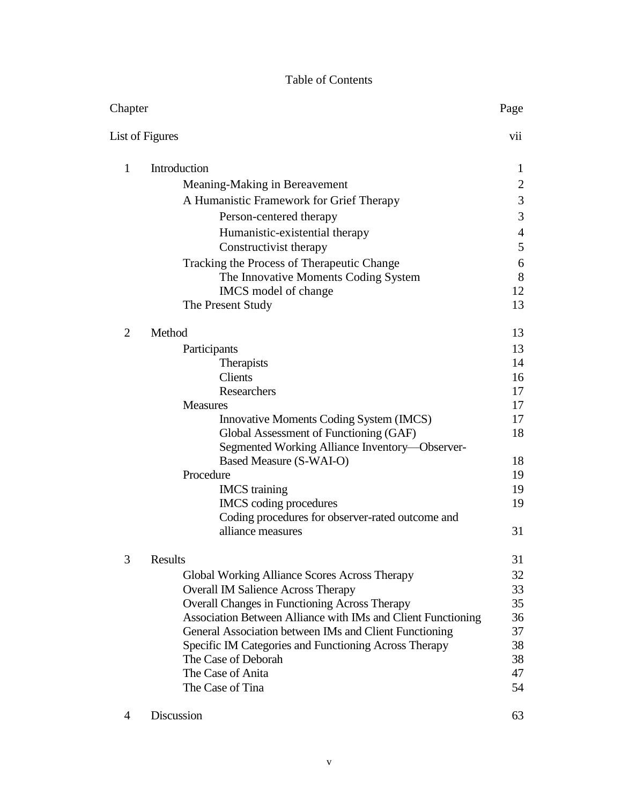## Table of Contents

| Chapter         |                                                              | Page           |
|-----------------|--------------------------------------------------------------|----------------|
| List of Figures |                                                              | vii            |
| $\mathbf{1}$    | Introduction                                                 | 1              |
|                 | Meaning-Making in Bereavement                                | $\overline{2}$ |
|                 | A Humanistic Framework for Grief Therapy                     | $\mathfrak{Z}$ |
|                 | Person-centered therapy                                      | 3              |
|                 | Humanistic-existential therapy                               | $\overline{4}$ |
|                 | Constructivist therapy                                       | 5              |
|                 | Tracking the Process of Therapeutic Change                   | 6              |
|                 | The Innovative Moments Coding System                         | 8              |
|                 | IMCS model of change                                         | 12             |
|                 | The Present Study                                            | 13             |
| $\overline{2}$  | Method                                                       | 13             |
|                 | Participants                                                 | 13             |
|                 | Therapists                                                   | 14             |
|                 | Clients                                                      | 16             |
|                 | Researchers<br><b>Measures</b>                               | 17<br>17       |
|                 | <b>Innovative Moments Coding System (IMCS)</b>               | 17             |
|                 | Global Assessment of Functioning (GAF)                       | 18             |
|                 | Segmented Working Alliance Inventory—Observer-               |                |
|                 | Based Measure (S-WAI-O)                                      | 18             |
|                 | Procedure                                                    | 19             |
|                 | <b>IMCS</b> training                                         | 19             |
|                 | IMCS coding procedures                                       | 19             |
|                 | Coding procedures for observer-rated outcome and             |                |
|                 | alliance measures                                            | 31             |
| 3               | Results                                                      | 31             |
|                 | Global Working Alliance Scores Across Therapy                | 32             |
|                 | <b>Overall IM Salience Across Therapy</b>                    | 33             |
|                 | <b>Overall Changes in Functioning Across Therapy</b>         | 35             |
|                 | Association Between Alliance with IMs and Client Functioning | 36             |
|                 | General Association between IMs and Client Functioning       | 37             |
|                 | Specific IM Categories and Functioning Across Therapy        | 38             |
|                 | The Case of Deborah<br>The Case of Anita                     | 38<br>47       |
|                 | The Case of Tina                                             | 54             |
|                 |                                                              |                |

4 Discussion 63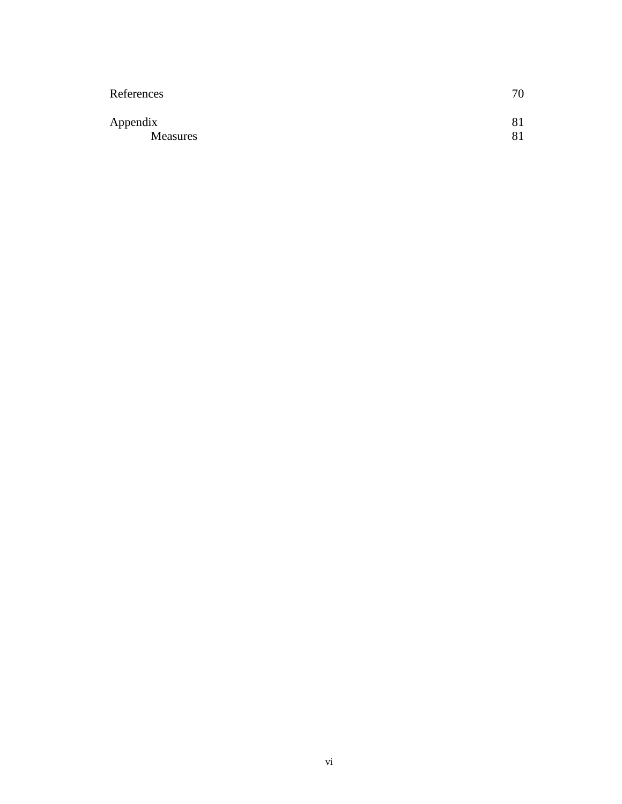| 70       |
|----------|
| 81<br>81 |
|          |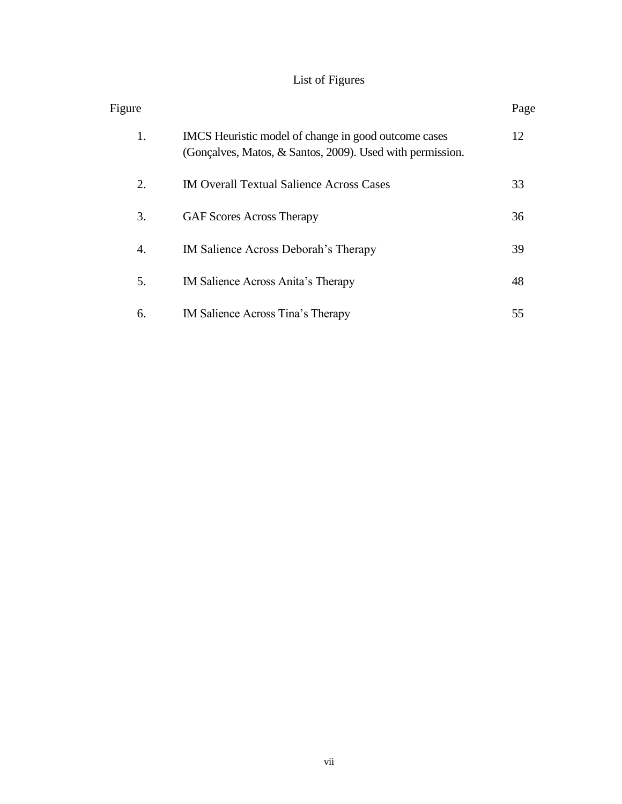# List of Figures

| Figure |                                                                                                                   | Page |
|--------|-------------------------------------------------------------------------------------------------------------------|------|
| 1.     | IMCS Heuristic model of change in good outcome cases<br>(Gonçalves, Matos, & Santos, 2009). Used with permission. | 12   |
| 2.     | <b>IM Overall Textual Salience Across Cases</b>                                                                   | 33   |
| 3.     | <b>GAF Scores Across Therapy</b>                                                                                  | 36   |
| 4.     | IM Salience Across Deborah's Therapy                                                                              | 39   |
| 5.     | IM Salience Across Anita's Therapy                                                                                | 48   |
| 6.     | IM Salience Across Tina's Therapy                                                                                 | 55   |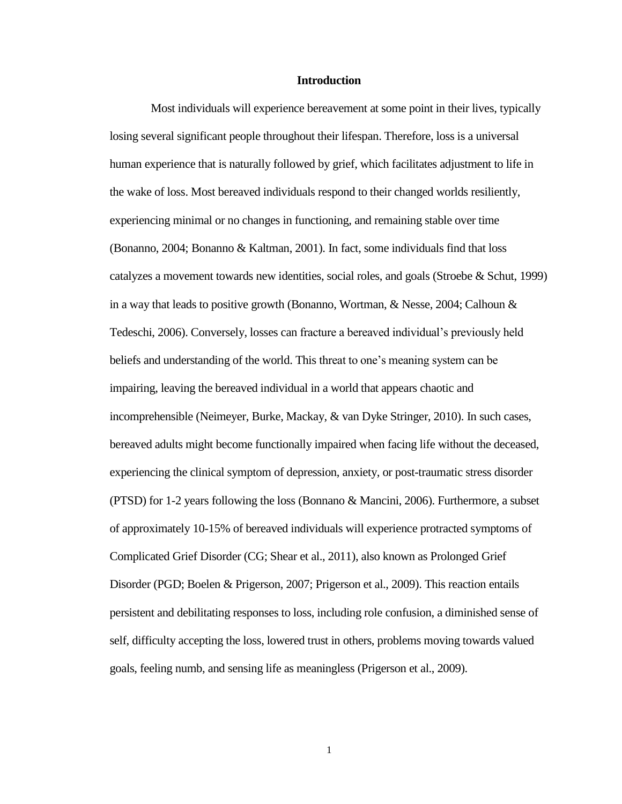#### **Introduction**

Most individuals will experience bereavement at some point in their lives, typically losing several significant people throughout their lifespan. Therefore, loss is a universal human experience that is naturally followed by grief, which facilitates adjustment to life in the wake of loss. Most bereaved individuals respond to their changed worlds resiliently, experiencing minimal or no changes in functioning, and remaining stable over time (Bonanno, 2004; Bonanno & Kaltman, 2001). In fact, some individuals find that loss catalyzes a movement towards new identities, social roles, and goals (Stroebe & Schut, 1999) in a way that leads to positive growth (Bonanno, Wortman, & Nesse, 2004; Calhoun & Tedeschi, 2006). Conversely, losses can fracture a bereaved individual's previously held beliefs and understanding of the world. This threat to one's meaning system can be impairing, leaving the bereaved individual in a world that appears chaotic and incomprehensible (Neimeyer, Burke, Mackay, & van Dyke Stringer, 2010). In such cases, bereaved adults might become functionally impaired when facing life without the deceased, experiencing the clinical symptom of depression, anxiety, or post-traumatic stress disorder (PTSD) for 1-2 years following the loss (Bonnano & Mancini, 2006). Furthermore, a subset of approximately 10-15% of bereaved individuals will experience protracted symptoms of Complicated Grief Disorder (CG; Shear et al., 2011), also known as Prolonged Grief Disorder (PGD; Boelen & Prigerson, 2007; Prigerson et al., 2009). This reaction entails persistent and debilitating responses to loss, including role confusion, a diminished sense of self, difficulty accepting the loss, lowered trust in others, problems moving towards valued goals, feeling numb, and sensing life as meaningless (Prigerson et al., 2009).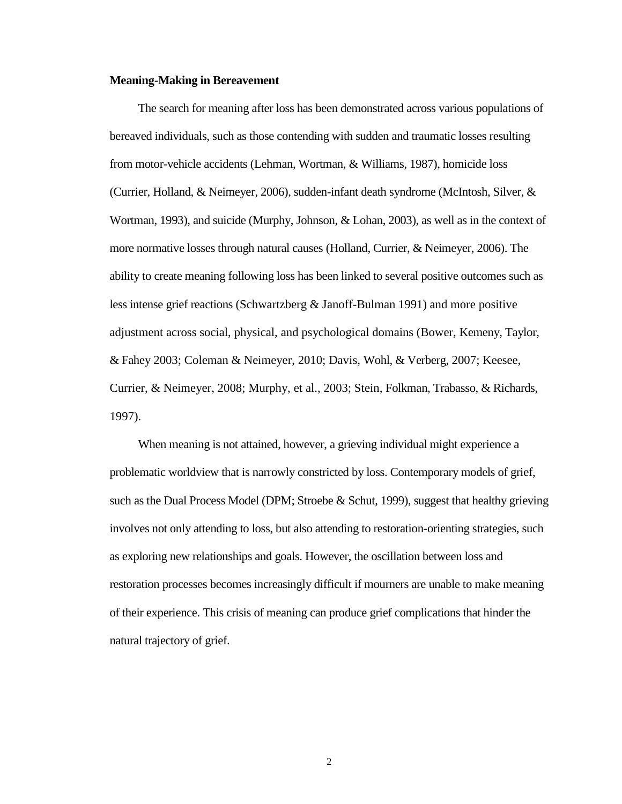#### **Meaning-Making in Bereavement**

The search for meaning after loss has been demonstrated across various populations of bereaved individuals, such as those contending with sudden and traumatic losses resulting from motor-vehicle accidents (Lehman, Wortman, & Williams, 1987), homicide loss (Currier, Holland, & Neimeyer, 2006), sudden-infant death syndrome (McIntosh, Silver, & Wortman, 1993), and suicide (Murphy, Johnson, & Lohan, 2003), as well as in the context of more normative losses through natural causes (Holland, Currier, & Neimeyer, 2006). The ability to create meaning following loss has been linked to several positive outcomes such as less intense grief reactions (Schwartzberg & Janoff-Bulman 1991) and more positive adjustment across social, physical, and psychological domains (Bower, Kemeny, Taylor, & Fahey 2003; Coleman & Neimeyer, 2010; Davis, Wohl, & Verberg, 2007; Keesee, Currier, & Neimeyer, 2008; Murphy, et al., 2003; Stein, Folkman, Trabasso, & Richards, 1997).

When meaning is not attained, however, a grieving individual might experience a problematic worldview that is narrowly constricted by loss. Contemporary models of grief, such as the Dual Process Model (DPM; Stroebe & Schut, 1999), suggest that healthy grieving involves not only attending to loss, but also attending to restoration-orienting strategies, such as exploring new relationships and goals. However, the oscillation between loss and restoration processes becomes increasingly difficult if mourners are unable to make meaning of their experience. This crisis of meaning can produce grief complications that hinder the natural trajectory of grief.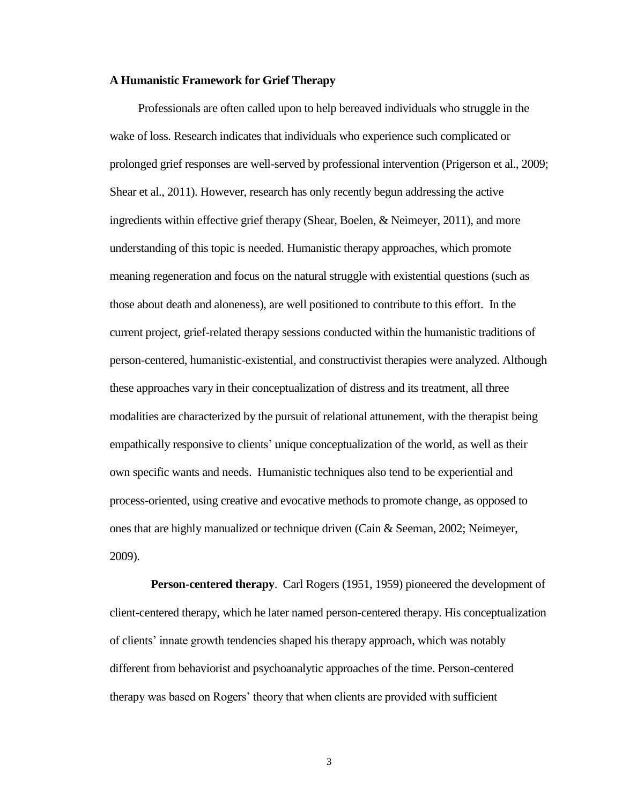#### **A Humanistic Framework for Grief Therapy**

Professionals are often called upon to help bereaved individuals who struggle in the wake of loss. Research indicates that individuals who experience such complicated or prolonged grief responses are well-served by professional intervention (Prigerson et al., 2009; Shear et al., 2011). However, research has only recently begun addressing the active ingredients within effective grief therapy (Shear, Boelen, & Neimeyer, 2011), and more understanding of this topic is needed. Humanistic therapy approaches, which promote meaning regeneration and focus on the natural struggle with existential questions (such as those about death and aloneness), are well positioned to contribute to this effort. In the current project, grief-related therapy sessions conducted within the humanistic traditions of person-centered, humanistic-existential, and constructivist therapies were analyzed. Although these approaches vary in their conceptualization of distress and its treatment, all three modalities are characterized by the pursuit of relational attunement, with the therapist being empathically responsive to clients' unique conceptualization of the world, as well as their own specific wants and needs. Humanistic techniques also tend to be experiential and process-oriented, using creative and evocative methods to promote change, as opposed to ones that are highly manualized or technique driven (Cain & Seeman, 2002; Neimeyer, 2009).

**Person-centered therapy**. Carl Rogers (1951, 1959) pioneered the development of client-centered therapy, which he later named person-centered therapy. His conceptualization of clients' innate growth tendencies shaped his therapy approach, which was notably different from behaviorist and psychoanalytic approaches of the time. Person-centered therapy was based on Rogers' theory that when clients are provided with sufficient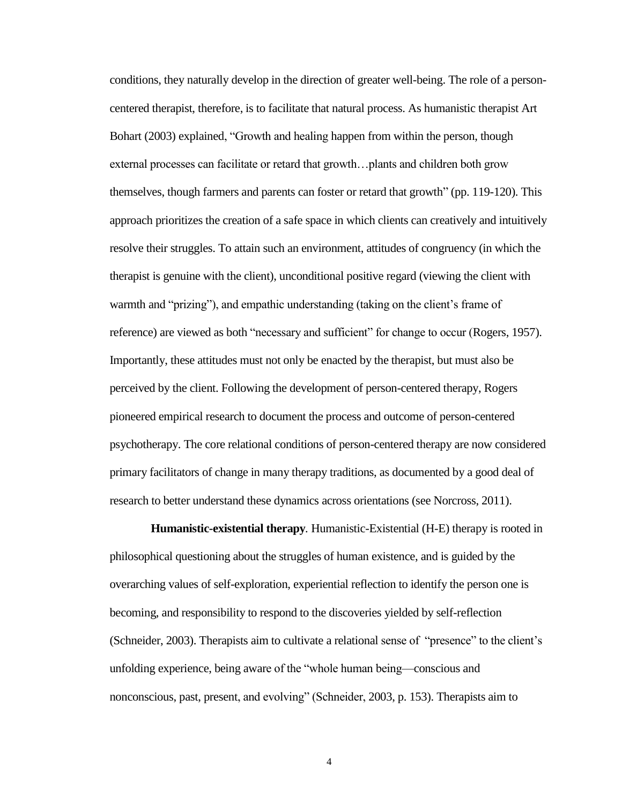conditions, they naturally develop in the direction of greater well-being. The role of a personcentered therapist, therefore, is to facilitate that natural process. As humanistic therapist Art Bohart (2003) explained, "Growth and healing happen from within the person, though external processes can facilitate or retard that growth…plants and children both grow themselves, though farmers and parents can foster or retard that growth" (pp. 119-120). This approach prioritizes the creation of a safe space in which clients can creatively and intuitively resolve their struggles. To attain such an environment, attitudes of congruency (in which the therapist is genuine with the client), unconditional positive regard (viewing the client with warmth and "prizing"), and empathic understanding (taking on the client's frame of reference) are viewed as both "necessary and sufficient" for change to occur (Rogers, 1957). Importantly, these attitudes must not only be enacted by the therapist, but must also be perceived by the client. Following the development of person-centered therapy, Rogers pioneered empirical research to document the process and outcome of person-centered psychotherapy. The core relational conditions of person-centered therapy are now considered primary facilitators of change in many therapy traditions, as documented by a good deal of research to better understand these dynamics across orientations (see Norcross, 2011).

**Humanistic-existential therapy***.* Humanistic-Existential (H-E) therapy is rooted in philosophical questioning about the struggles of human existence, and is guided by the overarching values of self-exploration, experiential reflection to identify the person one is becoming, and responsibility to respond to the discoveries yielded by self-reflection (Schneider, 2003). Therapists aim to cultivate a relational sense of "presence" to the client's unfolding experience, being aware of the "whole human being—conscious and nonconscious, past, present, and evolving" (Schneider, 2003, p. 153). Therapists aim to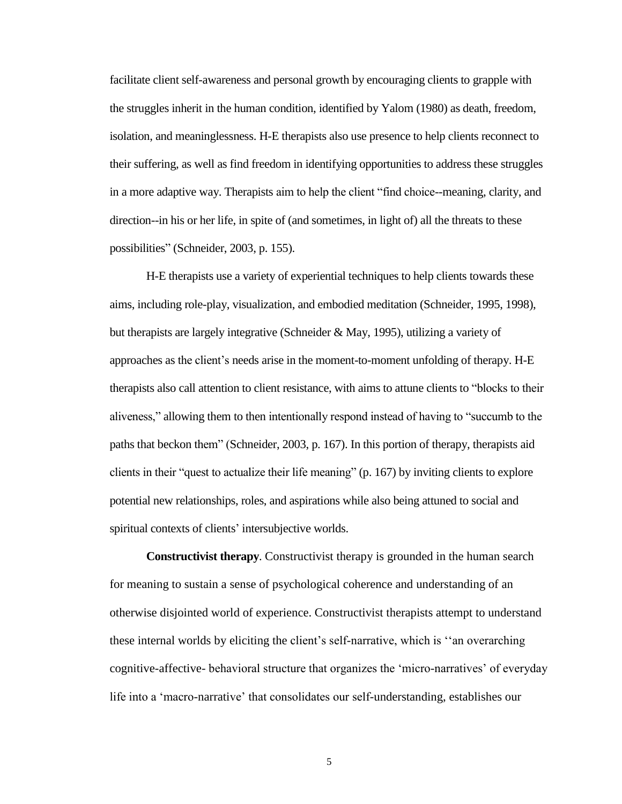facilitate client self-awareness and personal growth by encouraging clients to grapple with the struggles inherit in the human condition, identified by Yalom (1980) as death, freedom, isolation, and meaninglessness. H-E therapists also use presence to help clients reconnect to their suffering, as well as find freedom in identifying opportunities to address these struggles in a more adaptive way. Therapists aim to help the client "find choice--meaning, clarity, and direction--in his or her life, in spite of (and sometimes, in light of) all the threats to these possibilities" (Schneider, 2003, p. 155).

H-E therapists use a variety of experiential techniques to help clients towards these aims, including role-play, visualization, and embodied meditation (Schneider, 1995, 1998), but therapists are largely integrative (Schneider & May, 1995), utilizing a variety of approaches as the client's needs arise in the moment-to-moment unfolding of therapy. H-E therapists also call attention to client resistance, with aims to attune clients to "blocks to their aliveness," allowing them to then intentionally respond instead of having to "succumb to the paths that beckon them" (Schneider, 2003, p. 167). In this portion of therapy, therapists aid clients in their "quest to actualize their life meaning" (p. 167) by inviting clients to explore potential new relationships, roles, and aspirations while also being attuned to social and spiritual contexts of clients' intersubjective worlds.

**Constructivist therapy***.* Constructivist therapy is grounded in the human search for meaning to sustain a sense of psychological coherence and understanding of an otherwise disjointed world of experience. Constructivist therapists attempt to understand these internal worlds by eliciting the client's self-narrative, which is ''an overarching cognitive-affective- behavioral structure that organizes the 'micro-narratives' of everyday life into a 'macro-narrative' that consolidates our self-understanding, establishes our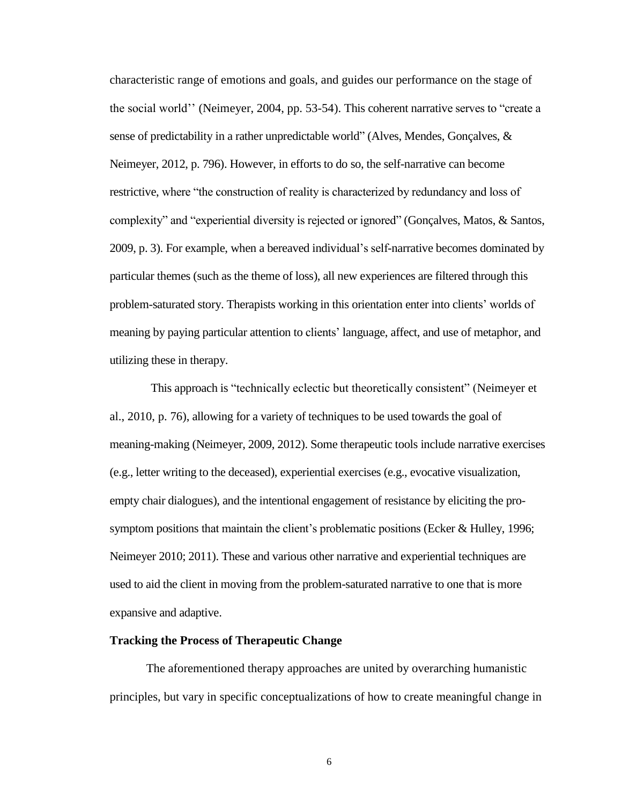characteristic range of emotions and goals, and guides our performance on the stage of the social world'' (Neimeyer, 2004, pp. 53-54). This coherent narrative serves to "create a sense of predictability in a rather unpredictable world" (Alves, Mendes, Gonçalves, & Neimeyer, 2012, p. 796). However, in efforts to do so, the self-narrative can become restrictive, where "the construction of reality is characterized by redundancy and loss of complexity" and "experiential diversity is rejected or ignored" (Gonçalves, Matos, & Santos, 2009, p. 3). For example, when a bereaved individual's self-narrative becomes dominated by particular themes (such as the theme of loss), all new experiences are filtered through this problem-saturated story. Therapists working in this orientation enter into clients' worlds of meaning by paying particular attention to clients' language, affect, and use of metaphor, and utilizing these in therapy.

This approach is "technically eclectic but theoretically consistent" (Neimeyer et al., 2010, p. 76), allowing for a variety of techniques to be used towards the goal of meaning-making (Neimeyer, 2009, 2012). Some therapeutic tools include narrative exercises (e.g., letter writing to the deceased), experiential exercises (e.g., evocative visualization, empty chair dialogues), and the intentional engagement of resistance by eliciting the prosymptom positions that maintain the client's problematic positions (Ecker & Hulley, 1996; Neimeyer 2010; 2011). These and various other narrative and experiential techniques are used to aid the client in moving from the problem-saturated narrative to one that is more expansive and adaptive.

#### **Tracking the Process of Therapeutic Change**

The aforementioned therapy approaches are united by overarching humanistic principles, but vary in specific conceptualizations of how to create meaningful change in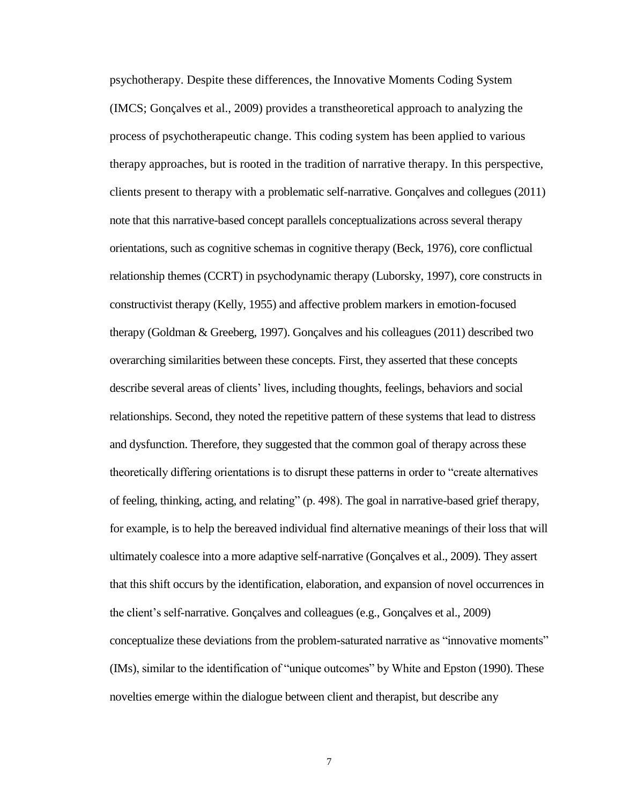psychotherapy. Despite these differences, the Innovative Moments Coding System (IMCS; Gonçalves et al., 2009) provides a transtheoretical approach to analyzing the process of psychotherapeutic change. This coding system has been applied to various therapy approaches, but is rooted in the tradition of narrative therapy. In this perspective, clients present to therapy with a problematic self-narrative. Gonçalves and collegues (2011) note that this narrative-based concept parallels conceptualizations across several therapy orientations, such as cognitive schemas in cognitive therapy (Beck, 1976), core conflictual relationship themes (CCRT) in psychodynamic therapy (Luborsky, 1997), core constructs in constructivist therapy (Kelly, 1955) and affective problem markers in emotion-focused therapy (Goldman & Greeberg, 1997). Gonçalves and his colleagues (2011) described two overarching similarities between these concepts. First, they asserted that these concepts describe several areas of clients' lives, including thoughts, feelings, behaviors and social relationships. Second, they noted the repetitive pattern of these systems that lead to distress and dysfunction. Therefore, they suggested that the common goal of therapy across these theoretically differing orientations is to disrupt these patterns in order to "create alternatives of feeling, thinking, acting, and relating" (p. 498). The goal in narrative-based grief therapy, for example, is to help the bereaved individual find alternative meanings of their loss that will ultimately coalesce into a more adaptive self-narrative (Gonçalves et al., 2009). They assert that this shift occurs by the identification, elaboration, and expansion of novel occurrences in the client's self-narrative. Gonçalves and colleagues (e.g., Gonçalves et al., 2009) conceptualize these deviations from the problem-saturated narrative as "innovative moments" (IMs), similar to the identification of "unique outcomes" by White and Epston (1990). These novelties emerge within the dialogue between client and therapist, but describe any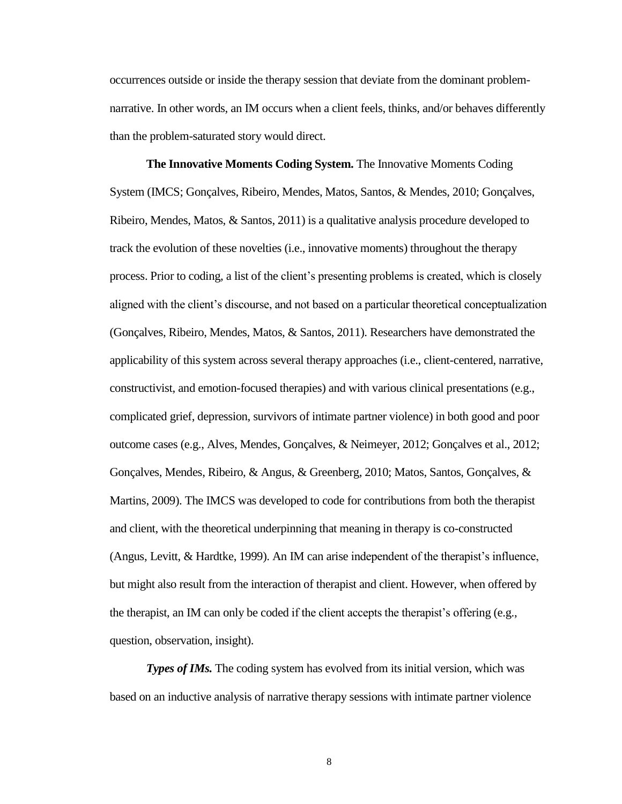occurrences outside or inside the therapy session that deviate from the dominant problemnarrative. In other words, an IM occurs when a client feels, thinks, and/or behaves differently than the problem-saturated story would direct.

**The Innovative Moments Coding System.** The Innovative Moments Coding System (IMCS; Gonçalves, Ribeiro, Mendes, Matos, Santos, & Mendes, 2010; Gonçalves, Ribeiro, Mendes, Matos,  $\&$  Santos, 2011) is a qualitative analysis procedure developed to track the evolution of these novelties (i.e., innovative moments) throughout the therapy process. Prior to coding, a list of the client's presenting problems is created, which is closely aligned with the client's discourse, and not based on a particular theoretical conceptualization (Gonçalves, Ribeiro, Mendes, Matos, & Santos, 2011). Researchers have demonstrated the applicability of this system across several therapy approaches (i.e., client-centered, narrative, constructivist, and emotion-focused therapies) and with various clinical presentations (e.g., complicated grief, depression, survivors of intimate partner violence) in both good and poor outcome cases (e.g., Alves, Mendes, Gonçalves, & Neimeyer, 2012; Gonçalves et al., 2012; Gonçalves, Mendes, Ribeiro, & Angus, & Greenberg, 2010; Matos, Santos, Gonçalves, & Martins, 2009). The IMCS was developed to code for contributions from both the therapist and client, with the theoretical underpinning that meaning in therapy is co-constructed (Angus, Levitt, & Hardtke, 1999). An IM can arise independent of the therapist's influence, but might also result from the interaction of therapist and client. However, when offered by the therapist, an IM can only be coded if the client accepts the therapist's offering (e.g., question, observation, insight).

*Types of IMs.* The coding system has evolved from its initial version, which was based on an inductive analysis of narrative therapy sessions with intimate partner violence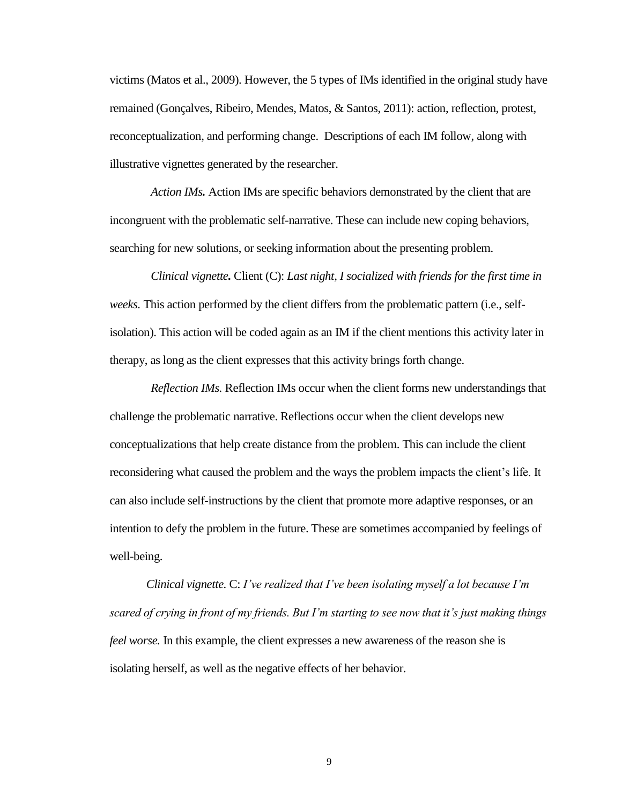victims (Matos et al., 2009). However, the 5 types of IMs identified in the original study have remained (Gonçalves, Ribeiro, Mendes, Matos, & Santos, 2011): action, reflection, protest, reconceptualization, and performing change. Descriptions of each IM follow, along with illustrative vignettes generated by the researcher.

*Action IMs.* Action IMs are specific behaviors demonstrated by the client that are incongruent with the problematic self-narrative. These can include new coping behaviors, searching for new solutions, or seeking information about the presenting problem.

*Clinical vignette.* Client (C): *Last night, I socialized with friends for the first time in weeks.* This action performed by the client differs from the problematic pattern (i.e., selfisolation). This action will be coded again as an IM if the client mentions this activity later in therapy, as long as the client expresses that this activity brings forth change.

*Reflection IMs.* Reflection IMs occur when the client forms new understandings that challenge the problematic narrative. Reflections occur when the client develops new conceptualizations that help create distance from the problem. This can include the client reconsidering what caused the problem and the ways the problem impacts the client's life. It can also include self-instructions by the client that promote more adaptive responses, or an intention to defy the problem in the future. These are sometimes accompanied by feelings of well-being.

*Clinical vignette.* C: *I've realized that I've been isolating myself a lot because I'm scared of crying in front of my friends. But I'm starting to see now that it's just making things feel worse.* In this example, the client expresses a new awareness of the reason she is isolating herself, as well as the negative effects of her behavior.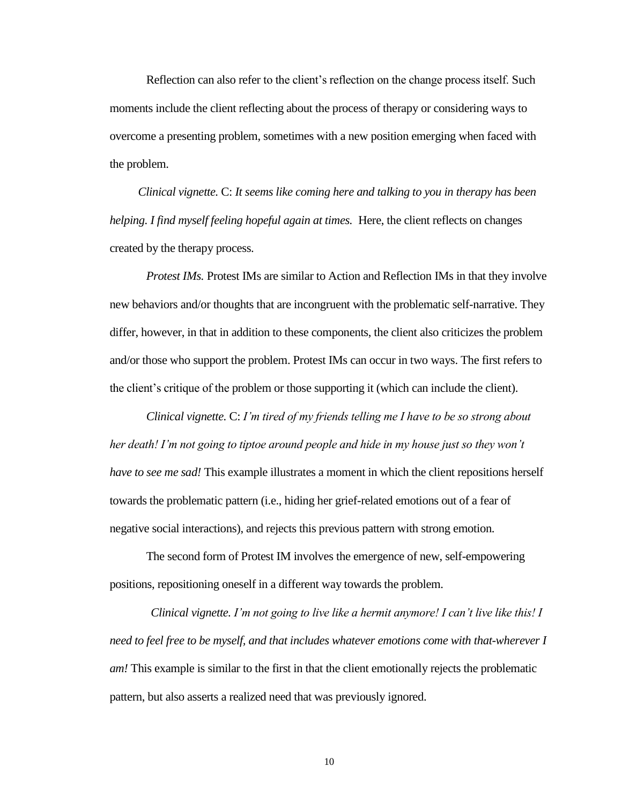Reflection can also refer to the client's reflection on the change process itself. Such moments include the client reflecting about the process of therapy or considering ways to overcome a presenting problem, sometimes with a new position emerging when faced with the problem.

*Clinical vignette.* C: *It seems like coming here and talking to you in therapy has been helping. I find myself feeling hopeful again at times.* Here, the client reflects on changes created by the therapy process.

*Protest IMs.* Protest IMs are similar to Action and Reflection IMs in that they involve new behaviors and/or thoughts that are incongruent with the problematic self-narrative. They differ, however, in that in addition to these components, the client also criticizes the problem and/or those who support the problem. Protest IMs can occur in two ways. The first refers to the client's critique of the problem or those supporting it (which can include the client).

*Clinical vignette.* C: *I'm tired of my friends telling me I have to be so strong about her death! I'm not going to tiptoe around people and hide in my house just so they won't have to see me sad!* This example illustrates a moment in which the client repositions herself towards the problematic pattern (i.e., hiding her grief-related emotions out of a fear of negative social interactions), and rejects this previous pattern with strong emotion.

The second form of Protest IM involves the emergence of new, self-empowering positions, repositioning oneself in a different way towards the problem.

*Clinical vignette. I'm not going to live like a hermit anymore! I can't live like this! I need to feel free to be myself, and that includes whatever emotions come with that-wherever I am!* This example is similar to the first in that the client emotionally rejects the problematic pattern, but also asserts a realized need that was previously ignored.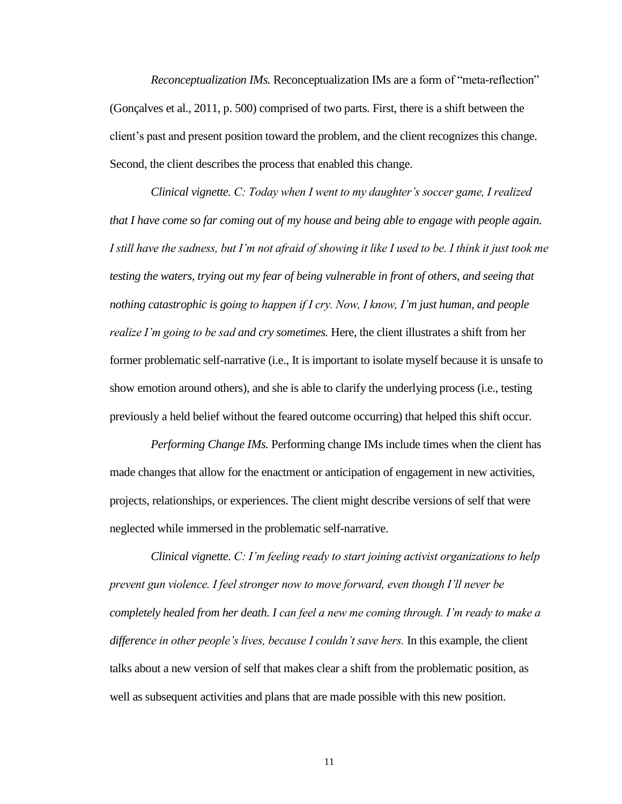*Reconceptualization IMs.* Reconceptualization IMs are a form of "meta-reflection" (Gonçalves et al., 2011, p. 500) comprised of two parts. First, there is a shift between the client's past and present position toward the problem, and the client recognizes this change. Second, the client describes the process that enabled this change.

*Clinical vignette. C: Today when I went to my daughter's soccer game, I realized that I have come so far coming out of my house and being able to engage with people again. I still have the sadness, but I'm not afraid of showing it like I used to be. I think it just took me testing the waters, trying out my fear of being vulnerable in front of others, and seeing that nothing catastrophic is going to happen if I cry. Now, I know, I'm just human, and people realize I'm going to be sad and cry sometimes.* Here, the client illustrates a shift from her former problematic self-narrative (i.e., It is important to isolate myself because it is unsafe to show emotion around others), and she is able to clarify the underlying process (i.e., testing previously a held belief without the feared outcome occurring) that helped this shift occur.

*Performing Change IMs.* Performing change IMs include times when the client has made changes that allow for the enactment or anticipation of engagement in new activities, projects, relationships, or experiences. The client might describe versions of self that were neglected while immersed in the problematic self-narrative.

*Clinical vignette. C: I'm feeling ready to start joining activist organizations to help prevent gun violence. I feel stronger now to move forward, even though I'll never be completely healed from her death. I can feel a new me coming through. I'm ready to make a difference in other people's lives, because I couldn't save hers.* In this example, the client talks about a new version of self that makes clear a shift from the problematic position, as well as subsequent activities and plans that are made possible with this new position.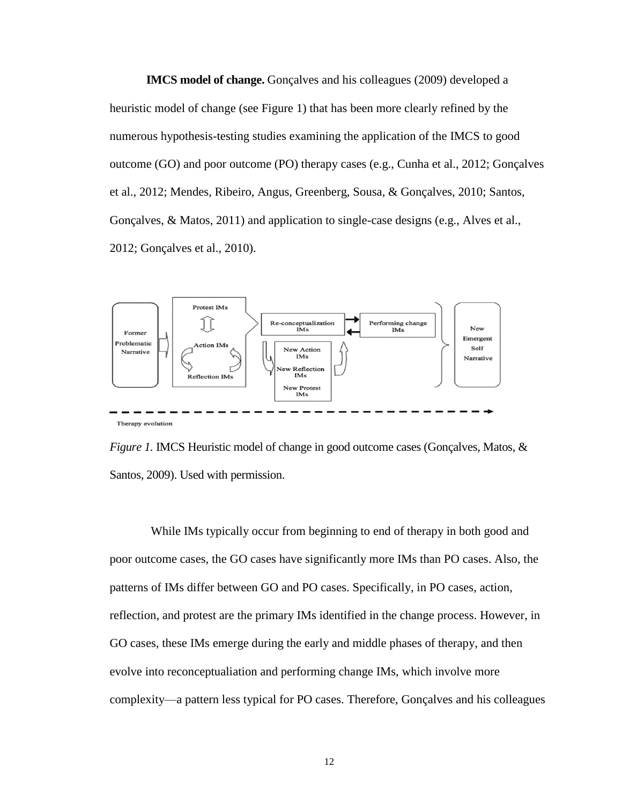**IMCS model of change.** Gonçalves and his colleagues (2009) developed a heuristic model of change (see Figure 1) that has been more clearly refined by the numerous hypothesis-testing studies examining the application of the IMCS to good outcome (GO) and poor outcome (PO) therapy cases (e.g., Cunha et al., 2012; Gonçalves et al., 2012; Mendes, Ribeiro, Angus, Greenberg, Sousa, & Gonçalves, 2010; Santos, Gonçalves, & Matos, 2011) and application to single-case designs (e.g., Alves et al., 2012; Gonçalves et al., 2010).



*Figure 1.* IMCS Heuristic model of change in good outcome cases (Gonçalves, Matos, & Santos, 2009). Used with permission.

While IMs typically occur from beginning to end of therapy in both good and poor outcome cases, the GO cases have significantly more IMs than PO cases. Also, the patterns of IMs differ between GO and PO cases. Specifically, in PO cases, action, reflection, and protest are the primary IMs identified in the change process. However, in GO cases, these IMs emerge during the early and middle phases of therapy, and then evolve into reconceptualiation and performing change IMs, which involve more complexity—a pattern less typical for PO cases. Therefore, Gonçalves and his colleagues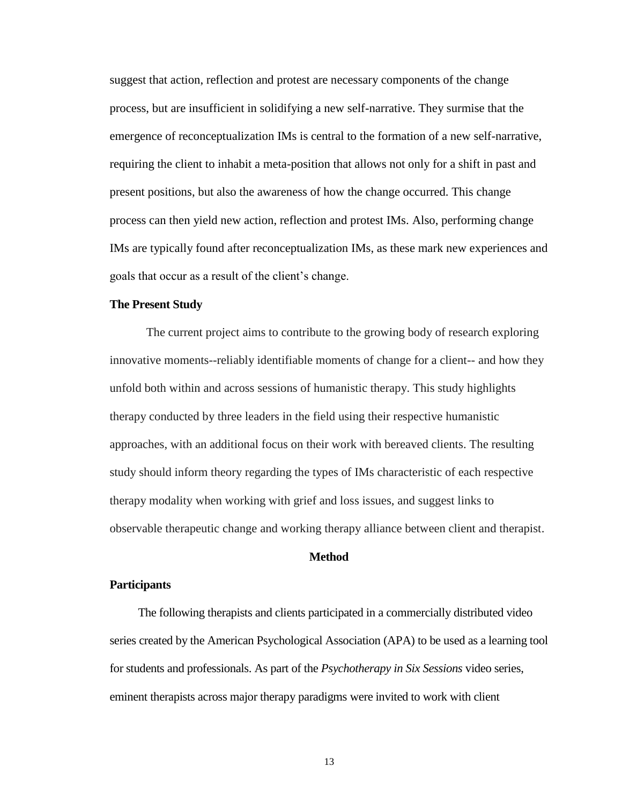suggest that action, reflection and protest are necessary components of the change process, but are insufficient in solidifying a new self-narrative. They surmise that the emergence of reconceptualization IMs is central to the formation of a new self-narrative, requiring the client to inhabit a meta-position that allows not only for a shift in past and present positions, but also the awareness of how the change occurred. This change process can then yield new action, reflection and protest IMs. Also, performing change IMs are typically found after reconceptualization IMs, as these mark new experiences and goals that occur as a result of the client's change.

#### **The Present Study**

The current project aims to contribute to the growing body of research exploring innovative moments--reliably identifiable moments of change for a client-- and how they unfold both within and across sessions of humanistic therapy. This study highlights therapy conducted by three leaders in the field using their respective humanistic approaches, with an additional focus on their work with bereaved clients. The resulting study should inform theory regarding the types of IMs characteristic of each respective therapy modality when working with grief and loss issues, and suggest links to observable therapeutic change and working therapy alliance between client and therapist.

#### **Method**

#### **Participants**

The following therapists and clients participated in a commercially distributed video series created by the American Psychological Association (APA) to be used as a learning tool for students and professionals. As part of the *Psychotherapy in Six Sessions* video series, eminent therapists across major therapy paradigms were invited to work with client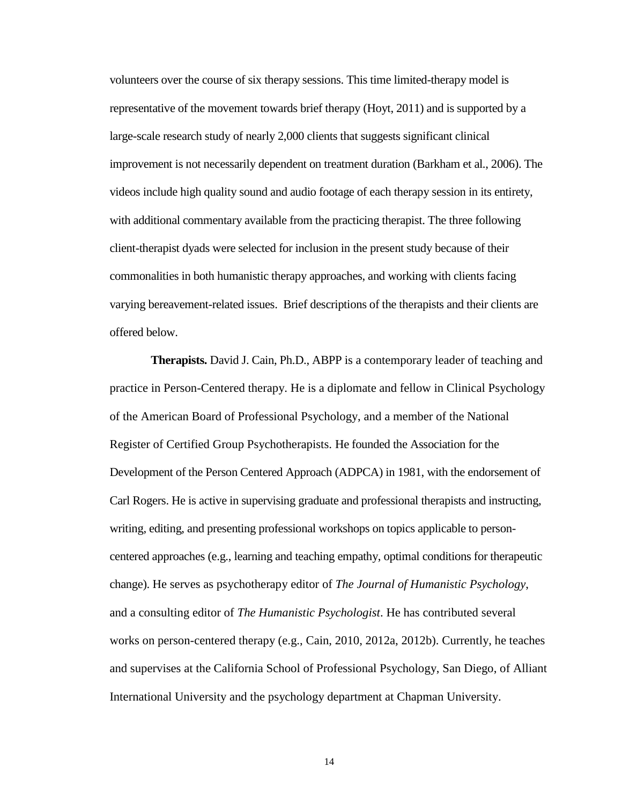volunteers over the course of six therapy sessions. This time limited-therapy model is representative of the movement towards brief therapy (Hoyt, 2011) and is supported by a large-scale research study of nearly 2,000 clients that suggests significant clinical improvement is not necessarily dependent on treatment duration (Barkham et al., 2006). The videos include high quality sound and audio footage of each therapy session in its entirety, with additional commentary available from the practicing therapist. The three following client-therapist dyads were selected for inclusion in the present study because of their commonalities in both humanistic therapy approaches, and working with clients facing varying bereavement-related issues. Brief descriptions of the therapists and their clients are offered below.

**Therapists.** David J. Cain, Ph.D., ABPP is a contemporary leader of teaching and practice in Person-Centered therapy. He is a diplomate and fellow in Clinical Psychology of the American Board of Professional Psychology, and a member of the National Register of Certified Group Psychotherapists. He founded the Association for the Development of the Person Centered Approach (ADPCA) in 1981, with the endorsement of Carl Rogers. He is active in supervising graduate and professional therapists and instructing, writing, editing, and presenting professional workshops on topics applicable to personcentered approaches (e.g., learning and teaching empathy, optimal conditions for therapeutic change). He serves as psychotherapy editor of *The Journal of Humanistic Psychology*, and a consulting editor of *The Humanistic Psychologist*. He has contributed several works on person-centered therapy (e.g., Cain, 2010, 2012a, 2012b). Currently, he teaches and supervises at the California School of Professional Psychology, San Diego, of Alliant International University and the psychology department at Chapman University.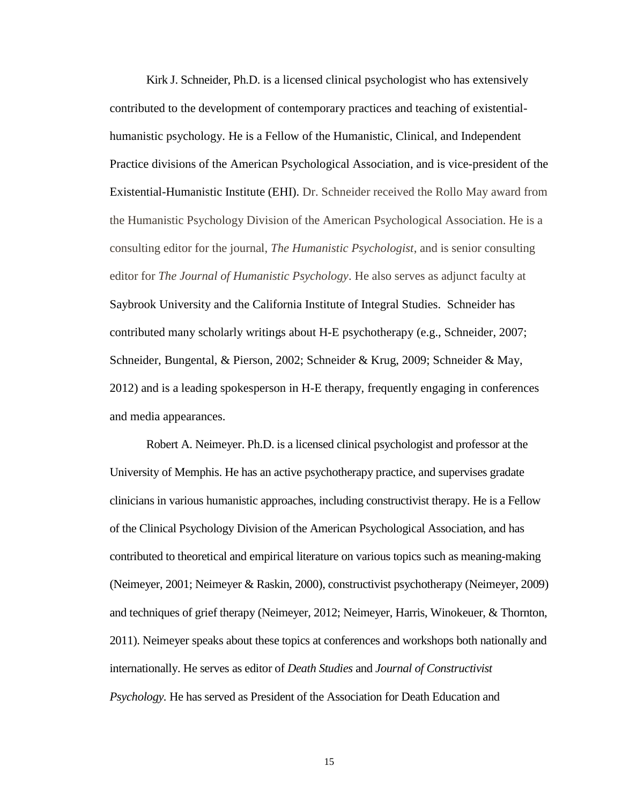Kirk J. Schneider, Ph.D. is a licensed clinical psychologist who has extensively contributed to the development of contemporary practices and teaching of existentialhumanistic psychology. He is a Fellow of the Humanistic, Clinical, and Independent Practice divisions of the American Psychological Association, and is vice-president of the Existential-Humanistic Institute (EHI). Dr. Schneider received the Rollo May award from the Humanistic Psychology Division of the American Psychological Association. He is a consulting editor for the journal, *The Humanistic Psychologist*, and is senior consulting editor for *The Journal of Humanistic Psychology*. He also serves as adjunct faculty at Saybrook University and the California Institute of Integral Studies. Schneider has contributed many scholarly writings about H-E psychotherapy (e.g., Schneider, 2007; Schneider, Bungental, & Pierson, 2002; Schneider & Krug, 2009; Schneider & May, 2012) and is a leading spokesperson in H-E therapy, frequently engaging in conferences and media appearances.

Robert A. Neimeyer. Ph.D. is a licensed clinical psychologist and professor at the University of Memphis. He has an active psychotherapy practice, and supervises gradate clinicians in various humanistic approaches, including constructivist therapy. He is a Fellow of the Clinical Psychology Division of the American Psychological Association, and has contributed to theoretical and empirical literature on various topics such as meaning-making (Neimeyer, 2001; Neimeyer & Raskin, 2000), constructivist psychotherapy (Neimeyer, 2009) and techniques of grief therapy (Neimeyer, 2012; Neimeyer, Harris, Winokeuer, & Thornton, 2011). Neimeyer speaks about these topics at conferences and workshops both nationally and internationally. He serves as editor of *Death Studies* and *Journal of Constructivist Psychology.* He has served as President of the Association for Death Education and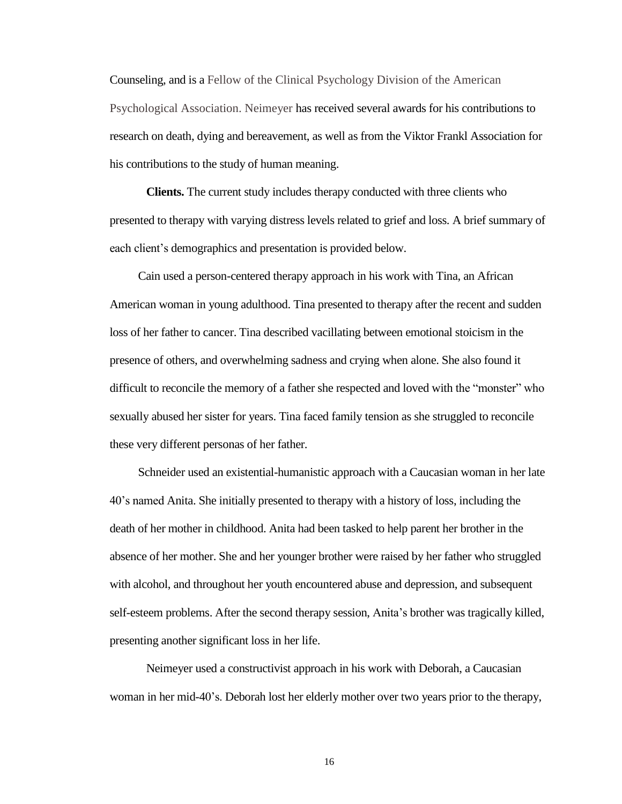Counseling, and is a Fellow of the Clinical Psychology Division of the American Psychological Association. Neimeyer has received several awards for his contributions to research on death, dying and bereavement, as well as from the Viktor Frankl Association for his contributions to the study of human meaning.

**Clients.** The current study includes therapy conducted with three clients who presented to therapy with varying distress levels related to grief and loss. A brief summary of each client's demographics and presentation is provided below.

Cain used a person-centered therapy approach in his work with Tina, an African American woman in young adulthood. Tina presented to therapy after the recent and sudden loss of her father to cancer. Tina described vacillating between emotional stoicism in the presence of others, and overwhelming sadness and crying when alone. She also found it difficult to reconcile the memory of a father she respected and loved with the "monster" who sexually abused her sister for years. Tina faced family tension as she struggled to reconcile these very different personas of her father.

Schneider used an existential-humanistic approach with a Caucasian woman in her late 40's named Anita. She initially presented to therapy with a history of loss, including the death of her mother in childhood. Anita had been tasked to help parent her brother in the absence of her mother. She and her younger brother were raised by her father who struggled with alcohol, and throughout her youth encountered abuse and depression, and subsequent self-esteem problems. After the second therapy session, Anita's brother was tragically killed, presenting another significant loss in her life.

Neimeyer used a constructivist approach in his work with Deborah, a Caucasian woman in her mid-40's. Deborah lost her elderly mother over two years prior to the therapy,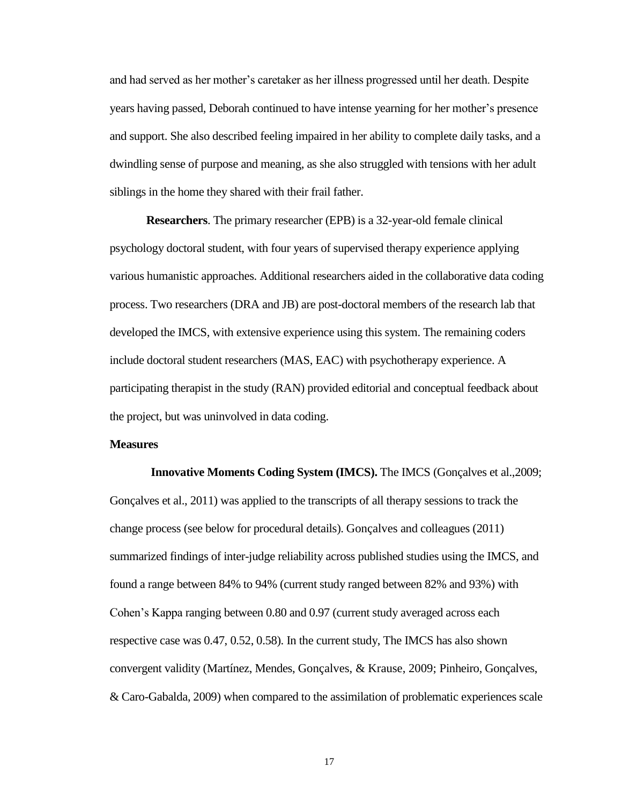and had served as her mother's caretaker as her illness progressed until her death. Despite years having passed, Deborah continued to have intense yearning for her mother's presence and support. She also described feeling impaired in her ability to complete daily tasks, and a dwindling sense of purpose and meaning, as she also struggled with tensions with her adult siblings in the home they shared with their frail father.

**Researchers**. The primary researcher (EPB) is a 32-year-old female clinical psychology doctoral student, with four years of supervised therapy experience applying various humanistic approaches. Additional researchers aided in the collaborative data coding process. Two researchers (DRA and JB) are post-doctoral members of the research lab that developed the IMCS, with extensive experience using this system. The remaining coders include doctoral student researchers (MAS, EAC) with psychotherapy experience. A participating therapist in the study (RAN) provided editorial and conceptual feedback about the project, but was uninvolved in data coding.

#### **Measures**

**Innovative Moments Coding System (IMCS).** The IMCS (Gonçalves et al.,2009; Gonçalves et al., 2011) was applied to the transcripts of all therapy sessions to track the change process (see below for procedural details). Gonçalves and colleagues (2011) summarized findings of inter-judge reliability across published studies using the IMCS, and found a range between 84% to 94% (current study ranged between 82% and 93%) with Cohen's Kappa ranging between 0.80 and 0.97 (current study averaged across each respective case was 0.47, 0.52, 0.58). In the current study, The IMCS has also shown convergent validity (Martínez, Mendes, Gonçalves, & Krause, 2009; Pinheiro, Gonçalves, & Caro-Gabalda, 2009) when compared to the assimilation of problematic experiences scale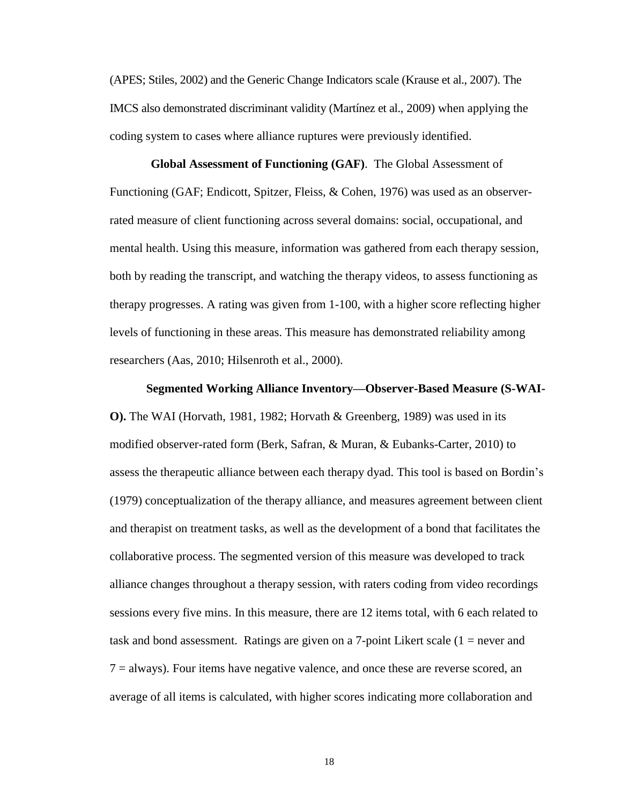(APES; Stiles, 2002) and the Generic Change Indicators scale (Krause et al., 2007). The IMCS also demonstrated discriminant validity (Martínez et al., 2009) when applying the coding system to cases where alliance ruptures were previously identified.

**Global Assessment of Functioning (GAF)**. The Global Assessment of Functioning (GAF; Endicott, Spitzer, Fleiss, & Cohen, 1976) was used as an observerrated measure of client functioning across several domains: social, occupational, and mental health. Using this measure, information was gathered from each therapy session, both by reading the transcript, and watching the therapy videos, to assess functioning as therapy progresses. A rating was given from 1-100, with a higher score reflecting higher levels of functioning in these areas. This measure has demonstrated reliability among researchers (Aas, 2010; Hilsenroth et al., 2000).

#### **Segmented Working Alliance Inventory—Observer-Based Measure (S-WAI-**

**O).** The WAI (Horvath, 1981, 1982; Horvath & Greenberg, 1989) was used in its modified observer-rated form (Berk, Safran, & Muran, & Eubanks-Carter, 2010) to assess the therapeutic alliance between each therapy dyad. This tool is based on Bordin's (1979) conceptualization of the therapy alliance, and measures agreement between client and therapist on treatment tasks, as well as the development of a bond that facilitates the collaborative process. The segmented version of this measure was developed to track alliance changes throughout a therapy session, with raters coding from video recordings sessions every five mins. In this measure, there are 12 items total, with 6 each related to task and bond assessment. Ratings are given on a 7-point Likert scale (1 = never and 7 = always). Four items have negative valence, and once these are reverse scored, an average of all items is calculated, with higher scores indicating more collaboration and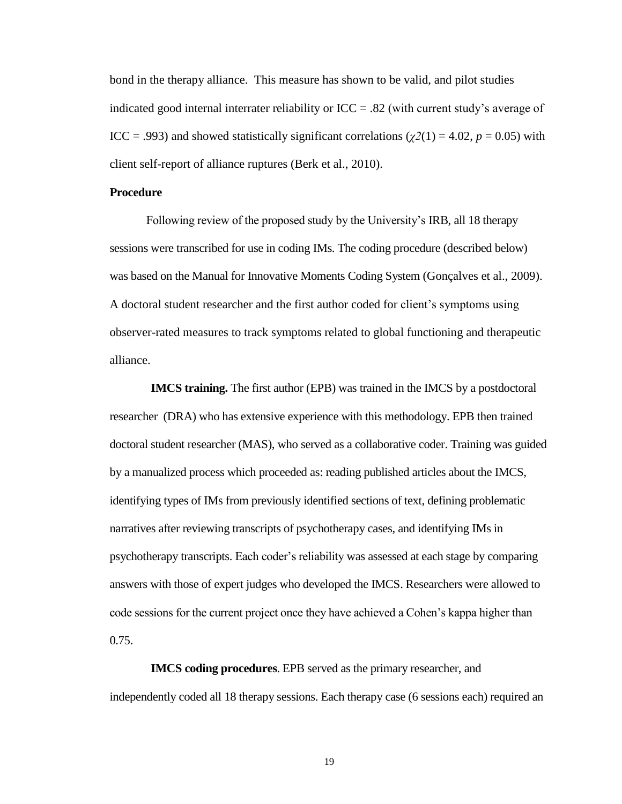bond in the therapy alliance. This measure has shown to be valid, and pilot studies indicated good internal interrater reliability or ICC = .82 (with current study's average of ICC = .993) and showed statistically significant correlations ( $\chi$ 2(1) = 4.02, *p* = 0.05) with client self-report of alliance ruptures (Berk et al., 2010).

#### **Procedure**

Following review of the proposed study by the University's IRB, all 18 therapy sessions were transcribed for use in coding IMs. The coding procedure (described below) was based on the Manual for Innovative Moments Coding System (Gonçalves et al., 2009). A doctoral student researcher and the first author coded for client's symptoms using observer-rated measures to track symptoms related to global functioning and therapeutic alliance.

**IMCS training.** The first author (EPB) was trained in the IMCS by a postdoctoral researcher (DRA) who has extensive experience with this methodology. EPB then trained doctoral student researcher (MAS), who served as a collaborative coder. Training was guided by a manualized process which proceeded as: reading published articles about the IMCS, identifying types of IMs from previously identified sections of text, defining problematic narratives after reviewing transcripts of psychotherapy cases, and identifying IMs in psychotherapy transcripts. Each coder's reliability was assessed at each stage by comparing answers with those of expert judges who developed the IMCS. Researchers were allowed to code sessions for the current project once they have achieved a Cohen's kappa higher than 0.75.

**IMCS coding procedures**. EPB served as the primary researcher, and independently coded all 18 therapy sessions. Each therapy case (6 sessions each) required an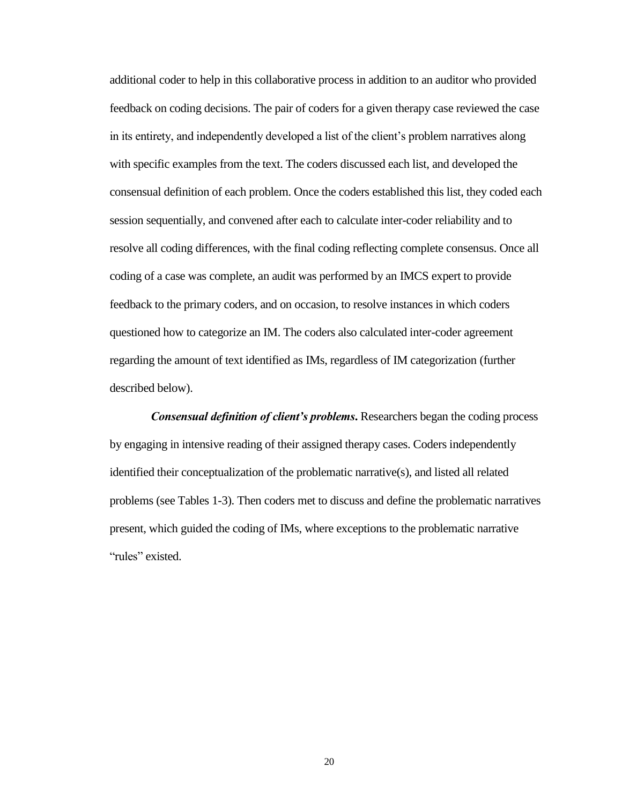additional coder to help in this collaborative process in addition to an auditor who provided feedback on coding decisions. The pair of coders for a given therapy case reviewed the case in its entirety, and independently developed a list of the client's problem narratives along with specific examples from the text. The coders discussed each list, and developed the consensual definition of each problem. Once the coders established this list, they coded each session sequentially, and convened after each to calculate inter-coder reliability and to resolve all coding differences, with the final coding reflecting complete consensus. Once all coding of a case was complete, an audit was performed by an IMCS expert to provide feedback to the primary coders, and on occasion, to resolve instances in which coders questioned how to categorize an IM. The coders also calculated inter-coder agreement regarding the amount of text identified as IMs, regardless of IM categorization (further described below).

*Consensual definition of client's problems*. Researchers began the coding process by engaging in intensive reading of their assigned therapy cases. Coders independently identified their conceptualization of the problematic narrative(s), and listed all related problems (see Tables 1-3). Then coders met to discuss and define the problematic narratives present, which guided the coding of IMs, where exceptions to the problematic narrative "rules" existed.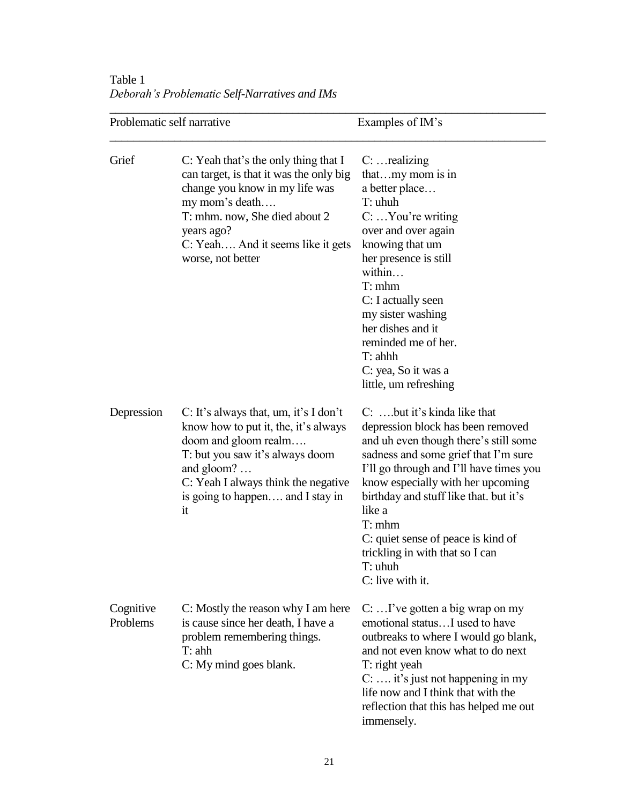Table 1 *Deborah's Problematic Self-Narratives and IMs*

| Problematic self narrative |                                                                                                                                                                                                                                                 | Examples of IM's                                                                                                                                                                                                                                                                                                                                                                                        |  |
|----------------------------|-------------------------------------------------------------------------------------------------------------------------------------------------------------------------------------------------------------------------------------------------|---------------------------------------------------------------------------------------------------------------------------------------------------------------------------------------------------------------------------------------------------------------------------------------------------------------------------------------------------------------------------------------------------------|--|
| Grief                      | C: Yeah that's the only thing that I<br>can target, is that it was the only big<br>change you know in my life was<br>my mom's death<br>T: mhm. now, She died about 2<br>years ago?<br>C: Yeah And it seems like it gets<br>worse, not better    | $C: \dots$ realizing<br>that my mom is in<br>a better place<br>T: uhuh<br>$C: \ldots$ You're writing<br>over and over again<br>knowing that um<br>her presence is still<br>within<br>T: mhm<br>C: I actually seen<br>my sister washing<br>her dishes and it<br>reminded me of her.<br>$T:$ ahhh<br>C: yea, So it was a<br>little, um refreshing                                                         |  |
| Depression                 | C: It's always that, um, it's I don't<br>know how to put it, the, it's always<br>doom and gloom realm<br>T: but you saw it's always doom<br>and $gloom? \dots$<br>C: Yeah I always think the negative<br>is going to happen and I stay in<br>it | C: but it's kinda like that<br>depression block has been removed<br>and uh even though there's still some<br>sadness and some grief that I'm sure<br>I'll go through and I'll have times you<br>know especially with her upcoming<br>birthday and stuff like that. but it's<br>like a<br>T: mhm<br>C: quiet sense of peace is kind of<br>trickling in with that so I can<br>T: uhuh<br>C: live with it. |  |
| Cognitive<br>Problems      | C: Mostly the reason why I am here<br>is cause since her death, I have a<br>problem remembering things.<br>T: ahh<br>C: My mind goes blank.                                                                                                     | C:  I've gotten a big wrap on my<br>emotional status I used to have<br>outbreaks to where I would go blank,<br>and not even know what to do next<br>T: right yeah<br>C:  it's just not happening in my<br>life now and I think that with the<br>reflection that this has helped me out<br>immensely.                                                                                                    |  |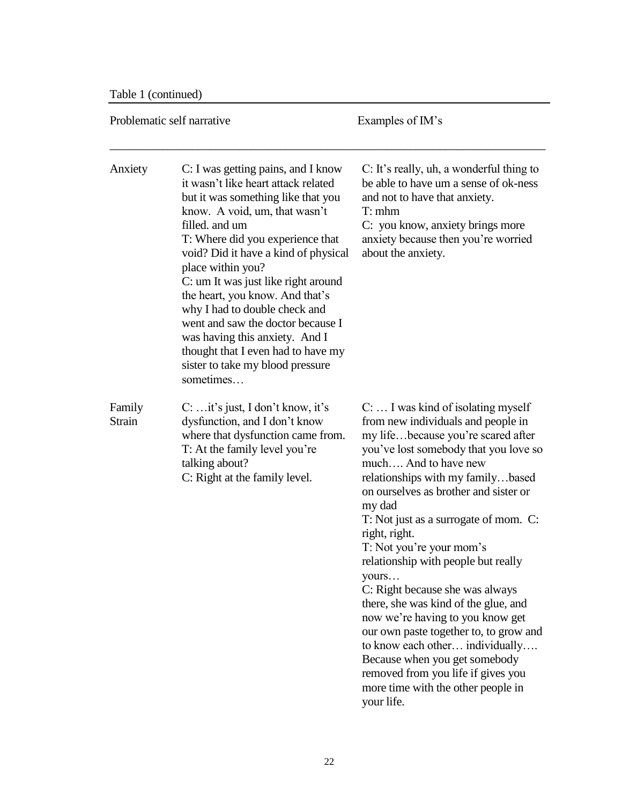Table 1 (continued)

| Problematic self narrative |                                                                                                                                                                                                                                                                                                                                                                                                                                                                                                                                              | Examples of IM's                                                                                                                                                                                                                                                                                                                                                                                                                                                                                                                                                                                                                                                                                                                             |  |
|----------------------------|----------------------------------------------------------------------------------------------------------------------------------------------------------------------------------------------------------------------------------------------------------------------------------------------------------------------------------------------------------------------------------------------------------------------------------------------------------------------------------------------------------------------------------------------|----------------------------------------------------------------------------------------------------------------------------------------------------------------------------------------------------------------------------------------------------------------------------------------------------------------------------------------------------------------------------------------------------------------------------------------------------------------------------------------------------------------------------------------------------------------------------------------------------------------------------------------------------------------------------------------------------------------------------------------------|--|
| Anxiety                    | C: I was getting pains, and I know<br>it wasn't like heart attack related<br>but it was something like that you<br>know. A void, um, that wasn't<br>filled, and um<br>T: Where did you experience that<br>void? Did it have a kind of physical<br>place within you?<br>C: um It was just like right around<br>the heart, you know. And that's<br>why I had to double check and<br>went and saw the doctor because I<br>was having this anxiety. And I<br>thought that I even had to have my<br>sister to take my blood pressure<br>sometimes | C: It's really, uh, a wonderful thing to<br>be able to have um a sense of ok-ness<br>and not to have that anxiety.<br>T: mhm<br>C: you know, anxiety brings more<br>anxiety because then you're worried<br>about the anxiety.                                                                                                                                                                                                                                                                                                                                                                                                                                                                                                                |  |
| Family<br><b>Strain</b>    | $C: $ it's just, I don't know, it's<br>dysfunction, and I don't know<br>where that dysfunction came from.<br>T: At the family level you're<br>talking about?<br>C: Right at the family level.                                                                                                                                                                                                                                                                                                                                                | $C: \ldots$ I was kind of isolating myself<br>from new individuals and people in<br>my lifebecause you're scared after<br>you've lost somebody that you love so<br>much And to have new<br>relationships with my familybased<br>on ourselves as brother and sister or<br>my dad<br>T: Not just as a surrogate of mom. C:<br>right, right.<br>T: Not you're your mom's<br>relationship with people but really<br>yours<br>C: Right because she was always<br>there, she was kind of the glue, and<br>now we're having to you know get<br>our own paste together to, to grow and<br>to know each other individually<br>Because when you get somebody<br>removed from you life if gives you<br>more time with the other people in<br>your life. |  |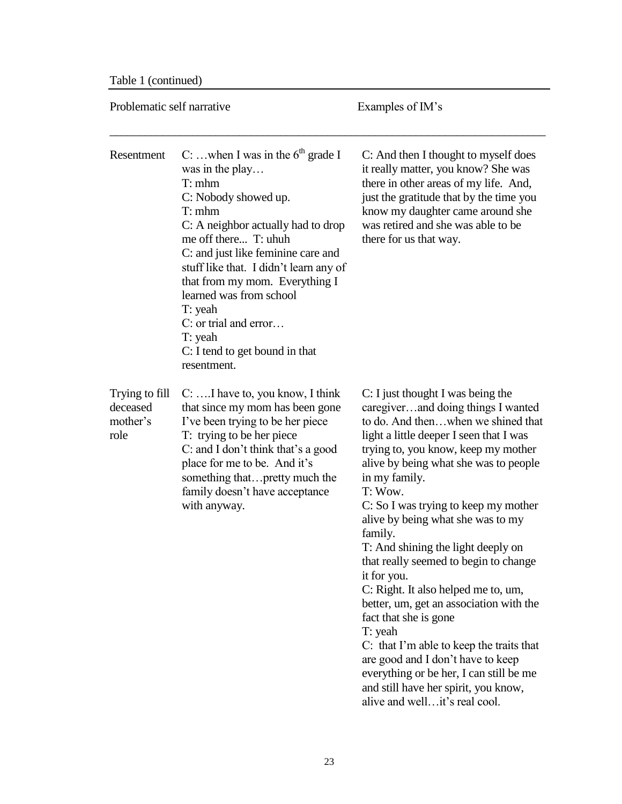Table 1 (continued)

| Problematic self narrative                     |                                                                                                                                                                                                                                                                                                                                                                                                               | Examples of IM's                                                                                                                                                                                                                                                                                                                                                                                                                                                                                                                                                                                                                                                                                                                                                                       |  |
|------------------------------------------------|---------------------------------------------------------------------------------------------------------------------------------------------------------------------------------------------------------------------------------------------------------------------------------------------------------------------------------------------------------------------------------------------------------------|----------------------------------------------------------------------------------------------------------------------------------------------------------------------------------------------------------------------------------------------------------------------------------------------------------------------------------------------------------------------------------------------------------------------------------------------------------------------------------------------------------------------------------------------------------------------------------------------------------------------------------------------------------------------------------------------------------------------------------------------------------------------------------------|--|
| Resentment                                     | C:  when I was in the $6th$ grade I<br>was in the play<br>T: mhm<br>C: Nobody showed up.<br>T: mhm<br>C: A neighbor actually had to drop<br>me off there T: uhuh<br>C: and just like feminine care and<br>stuff like that. I didn't learn any of<br>that from my mom. Everything I<br>learned was from school<br>T: yeah<br>C: or trial and error<br>T: yeah<br>C: I tend to get bound in that<br>resentment. | C: And then I thought to myself does<br>it really matter, you know? She was<br>there in other areas of my life. And,<br>just the gratitude that by the time you<br>know my daughter came around she<br>was retired and she was able to be<br>there for us that way.                                                                                                                                                                                                                                                                                                                                                                                                                                                                                                                    |  |
| Trying to fill<br>deceased<br>mother's<br>role | $C: \ldots I$ have to, you know, I think<br>that since my mom has been gone<br>I've been trying to be her piece<br>T: trying to be her piece<br>C: and I don't think that's a good<br>place for me to be. And it's<br>something thatpretty much the<br>family doesn't have acceptance<br>with anyway.                                                                                                         | C: I just thought I was being the<br>caregiverand doing things I wanted<br>to do. And thenwhen we shined that<br>light a little deeper I seen that I was<br>trying to, you know, keep my mother<br>alive by being what she was to people<br>in my family.<br>T: Wow.<br>C: So I was trying to keep my mother<br>alive by being what she was to my<br>family.<br>T: And shining the light deeply on<br>that really seemed to begin to change<br>it for you.<br>C: Right. It also helped me to, um,<br>better, um, get an association with the<br>fact that she is gone<br>T: yeah<br>C: that I'm able to keep the traits that<br>are good and I don't have to keep<br>everything or be her, I can still be me<br>and still have her spirit, you know,<br>alive and well it's real cool. |  |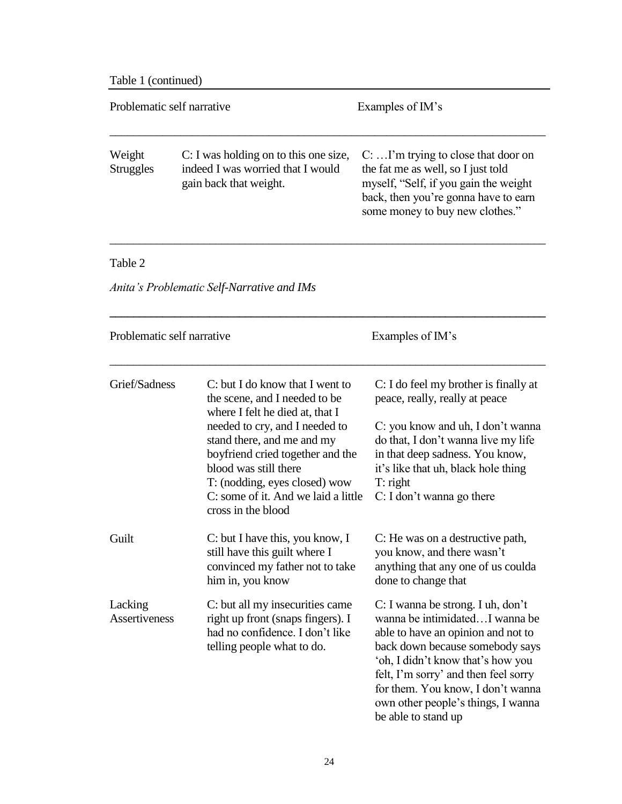Table 1 (continued)

|                            | Problematic self narrative                                                                                                                                                                                                                                                                                                     | Examples of IM's                                                                                                                                                                                                                                                                                                            |
|----------------------------|--------------------------------------------------------------------------------------------------------------------------------------------------------------------------------------------------------------------------------------------------------------------------------------------------------------------------------|-----------------------------------------------------------------------------------------------------------------------------------------------------------------------------------------------------------------------------------------------------------------------------------------------------------------------------|
| Weight<br><b>Struggles</b> | C: I was holding on to this one size,<br>indeed I was worried that I would<br>gain back that weight.                                                                                                                                                                                                                           | $C: \ldots$ I'm trying to close that door on<br>the fat me as well, so I just told<br>myself, "Self, if you gain the weight<br>back, then you're gonna have to earn<br>some money to buy new clothes."                                                                                                                      |
| Table 2                    |                                                                                                                                                                                                                                                                                                                                |                                                                                                                                                                                                                                                                                                                             |
|                            | Anita's Problematic Self-Narrative and IMs                                                                                                                                                                                                                                                                                     |                                                                                                                                                                                                                                                                                                                             |
|                            | Problematic self narrative                                                                                                                                                                                                                                                                                                     | Examples of IM's                                                                                                                                                                                                                                                                                                            |
| Grief/Sadness              | C: but I do know that I went to<br>the scene, and I needed to be<br>where I felt he died at, that I<br>needed to cry, and I needed to<br>stand there, and me and my<br>boyfriend cried together and the<br>blood was still there<br>T: (nodding, eyes closed) wow<br>C: some of it. And we laid a little<br>cross in the blood | C: I do feel my brother is finally at<br>peace, really, really at peace<br>C: you know and uh, I don't wanna<br>do that, I don't wanna live my life<br>in that deep sadness. You know,<br>it's like that uh, black hole thing<br>T: right<br>C: I don't wanna go there                                                      |
| Guilt                      | C: but I have this, you know, I<br>still have this guilt where I<br>convinced my father not to take<br>him in, you know                                                                                                                                                                                                        | C: He was on a destructive path,<br>you know, and there wasn't<br>anything that any one of us coulda<br>done to change that                                                                                                                                                                                                 |
| Lacking<br>Assertiveness   | C: but all my insecurities came<br>right up front (snaps fingers). I<br>had no confidence. I don't like<br>telling people what to do.                                                                                                                                                                                          | C: I wanna be strong. I uh, don't<br>wanna be intimidatedI wanna be<br>able to have an opinion and not to<br>back down because somebody says<br>'oh, I didn't know that's how you<br>felt, I'm sorry' and then feel sorry<br>for them. You know, I don't wanna<br>own other people's things, I wanna<br>be able to stand up |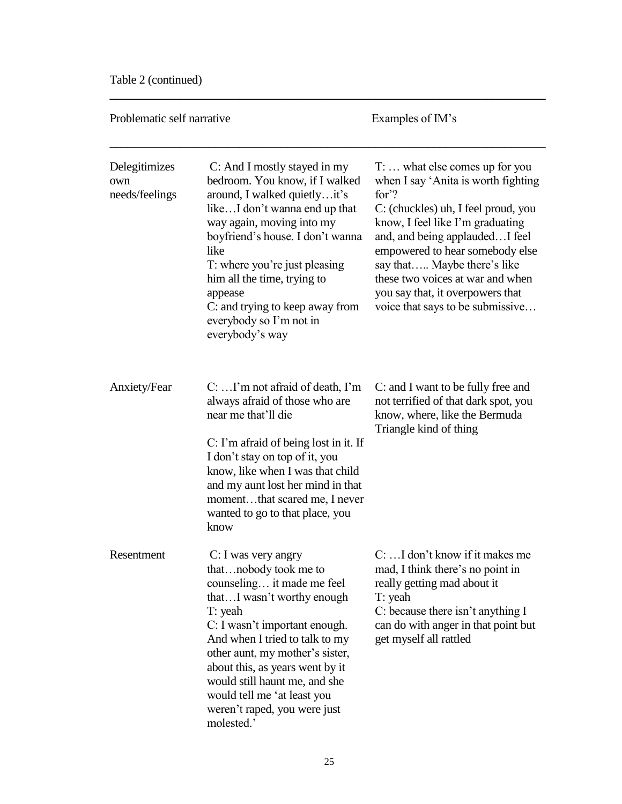Table 2 (continued)

| Problematic self narrative             |                                                                                                                                                                                                                                                                                                                                                                            | Examples of IM's                                                                                                                                                                                                                                                                                                                                                                    |  |
|----------------------------------------|----------------------------------------------------------------------------------------------------------------------------------------------------------------------------------------------------------------------------------------------------------------------------------------------------------------------------------------------------------------------------|-------------------------------------------------------------------------------------------------------------------------------------------------------------------------------------------------------------------------------------------------------------------------------------------------------------------------------------------------------------------------------------|--|
| Delegitimizes<br>own<br>needs/feelings | C: And I mostly stayed in my<br>bedroom. You know, if I walked<br>around, I walked quietlyit's<br>likeI don't wanna end up that<br>way again, moving into my<br>boyfriend's house. I don't wanna<br>like<br>T: where you're just pleasing<br>him all the time, trying to<br>appease<br>C: and trying to keep away from<br>everybody so I'm not in<br>everybody's way       | $T: \ldots$ what else comes up for you<br>when I say 'Anita is worth fighting<br>for $?$<br>C: (chuckles) uh, I feel proud, you<br>know, I feel like I'm graduating<br>and, and being applaudedI feel<br>empowered to hear somebody else<br>say that Maybe there's like<br>these two voices at war and when<br>you say that, it overpowers that<br>voice that says to be submissive |  |
| Anxiety/Fear                           | $C: \ldots$ I'm not afraid of death, I'm<br>always afraid of those who are<br>near me that'll die<br>C: I'm afraid of being lost in it. If<br>I don't stay on top of it, you<br>know, like when I was that child<br>and my aunt lost her mind in that<br>momentthat scared me, I never<br>wanted to go to that place, you<br>know                                          | C: and I want to be fully free and<br>not terrified of that dark spot, you<br>know, where, like the Bermuda<br>Triangle kind of thing                                                                                                                                                                                                                                               |  |
| Resentment                             | C: I was very angry<br>thatnobody took me to<br>counseling it made me feel<br>thatI wasn't worthy enough<br>T: yeah<br>C: I wasn't important enough.<br>And when I tried to talk to my<br>other aunt, my mother's sister,<br>about this, as years went by it<br>would still haunt me, and she<br>would tell me 'at least you<br>weren't raped, you were just<br>molested.' | C:  I don't know if it makes me<br>mad, I think there's no point in<br>really getting mad about it<br>T: yeah<br>C: because there isn't anything I<br>can do with anger in that point but<br>get myself all rattled                                                                                                                                                                 |  |

**\_\_\_\_\_\_\_\_\_\_\_\_\_\_\_\_\_\_\_\_\_\_\_\_\_\_\_\_\_\_\_\_\_\_\_\_\_\_\_\_\_\_\_\_\_\_\_\_\_\_\_\_\_\_\_\_\_\_\_\_\_\_\_\_\_\_\_\_\_\_\_\_\_\_**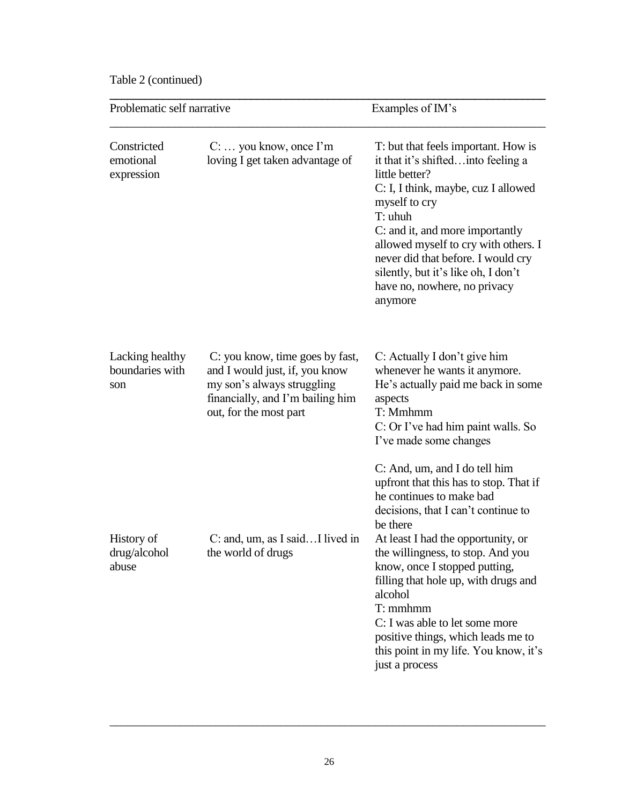Table 2 (continued)

| Problematic self narrative                |                                                                                                                                                               | Examples of IM's                                                                                                                                                                                                                                                                                                                                                                                                                                                       |  |
|-------------------------------------------|---------------------------------------------------------------------------------------------------------------------------------------------------------------|------------------------------------------------------------------------------------------------------------------------------------------------------------------------------------------------------------------------------------------------------------------------------------------------------------------------------------------------------------------------------------------------------------------------------------------------------------------------|--|
| Constricted<br>emotional<br>expression    | $C: \ldots$ you know, once I'm<br>loving I get taken advantage of                                                                                             | T: but that feels important. How is<br>it that it's shiftedinto feeling a<br>little better?<br>C: I, I think, maybe, cuz I allowed<br>myself to cry<br>T: uhuh<br>C: and it, and more importantly<br>allowed myself to cry with others. I<br>never did that before. I would cry<br>silently, but it's like oh, I don't<br>have no, nowhere, no privacy<br>anymore                                                                                                      |  |
| Lacking healthy<br>boundaries with<br>son | C: you know, time goes by fast,<br>and I would just, if, you know<br>my son's always struggling<br>financially, and I'm bailing him<br>out, for the most part | C: Actually I don't give him<br>whenever he wants it anymore.<br>He's actually paid me back in some<br>aspects<br>T: Mmhmm<br>C: Or I've had him paint walls. So<br>I've made some changes                                                                                                                                                                                                                                                                             |  |
| History of<br>drug/alcohol<br>abuse       | $C:$ and, um, as I said I lived in<br>the world of drugs                                                                                                      | C: And, um, and I do tell him<br>upfront that this has to stop. That if<br>he continues to make bad<br>decisions, that I can't continue to<br>be there<br>At least I had the opportunity, or<br>the willingness, to stop. And you<br>know, once I stopped putting,<br>filling that hole up, with drugs and<br>alcohol<br>$T:$ mmhmm<br>C: I was able to let some more<br>positive things, which leads me to<br>this point in my life. You know, it's<br>just a process |  |

\_\_\_\_\_\_\_\_\_\_\_\_\_\_\_\_\_\_\_\_\_\_\_\_\_\_\_\_\_\_\_\_\_\_\_\_\_\_\_\_\_\_\_\_\_\_\_\_\_\_\_\_\_\_\_\_\_\_\_\_\_\_\_\_\_\_\_\_\_\_\_\_\_\_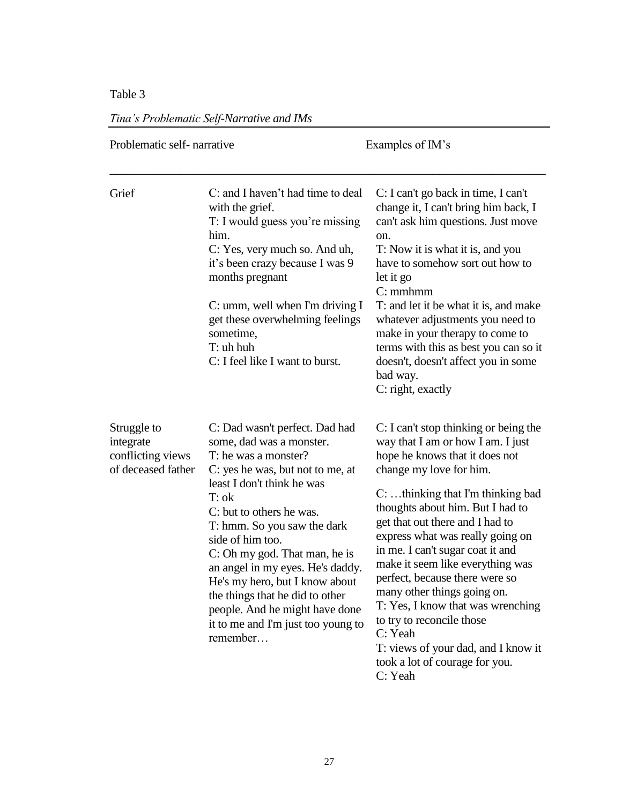## Table 3

| Problematic self-narrative                                          |                                                                                                                                                                                                                                                                                                                                                                                                                                                                              | Examples of IM's                                                                                                                                                                                                                                                                                                                                                                                                                                                                                                                                                                                           |  |
|---------------------------------------------------------------------|------------------------------------------------------------------------------------------------------------------------------------------------------------------------------------------------------------------------------------------------------------------------------------------------------------------------------------------------------------------------------------------------------------------------------------------------------------------------------|------------------------------------------------------------------------------------------------------------------------------------------------------------------------------------------------------------------------------------------------------------------------------------------------------------------------------------------------------------------------------------------------------------------------------------------------------------------------------------------------------------------------------------------------------------------------------------------------------------|--|
| Grief                                                               | C: and I haven't had time to deal<br>with the grief.<br>T: I would guess you're missing<br>him.<br>C: Yes, very much so. And uh,<br>it's been crazy because I was 9<br>months pregnant<br>C: umm, well when I'm driving I<br>get these overwhelming feelings<br>sometime,<br>T: uh huh<br>C: I feel like I want to burst.                                                                                                                                                    | C: I can't go back in time, I can't<br>change it, I can't bring him back, I<br>can't ask him questions. Just move<br>on.<br>T: Now it is what it is, and you<br>have to somehow sort out how to<br>let it go<br>$C:$ mm $h$ mm<br>T: and let it be what it is, and make<br>whatever adjustments you need to<br>make in your therapy to come to<br>terms with this as best you can so it<br>doesn't, doesn't affect you in some<br>bad way.<br>C: right, exactly                                                                                                                                            |  |
| Struggle to<br>integrate<br>conflicting views<br>of deceased father | C: Dad wasn't perfect. Dad had<br>some, dad was a monster.<br>T: he was a monster?<br>C: yes he was, but not to me, at<br>least I don't think he was<br>$T:$ ok<br>C: but to others he was.<br>T: hmm. So you saw the dark<br>side of him too.<br>C: Oh my god. That man, he is<br>an angel in my eyes. He's daddy.<br>He's my hero, but I know about<br>the things that he did to other<br>people. And he might have done<br>it to me and I'm just too young to<br>remember | C: I can't stop thinking or being the<br>way that I am or how I am. I just<br>hope he knows that it does not<br>change my love for him.<br>$C: \ldots$ thinking that I'm thinking bad<br>thoughts about him. But I had to<br>get that out there and I had to<br>express what was really going on<br>in me. I can't sugar coat it and<br>make it seem like everything was<br>perfect, because there were so<br>many other things going on.<br>T: Yes, I know that was wrenching<br>to try to reconcile those<br>C: Yeah<br>T: views of your dad, and I know it<br>took a lot of courage for you.<br>C: Yeah |  |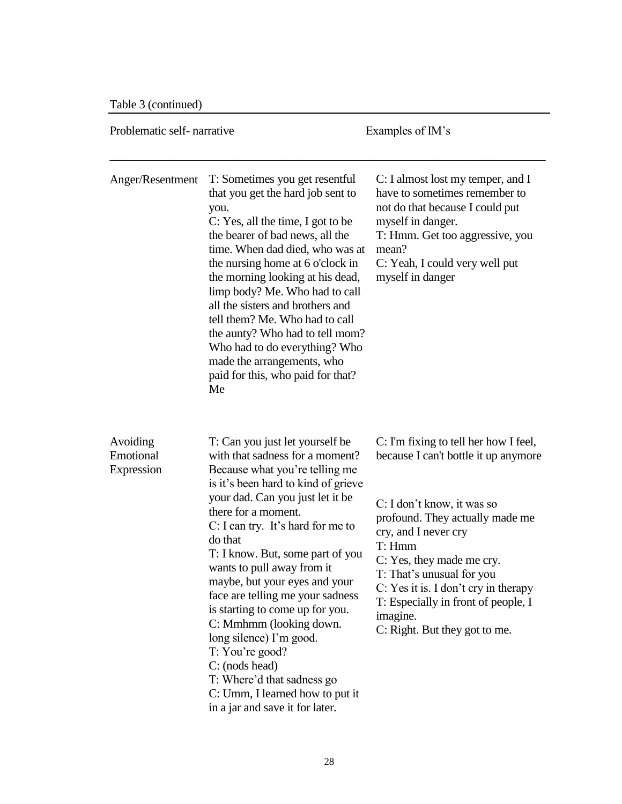Table 3 (continued)

| Problematic self-narrative          |                                                                                                                                                                                                                                                                                                                                                                                                                                                                                                                                                                                                                                 | Examples of IM's                                                                                                                                                                                                                                                                                                                                                       |  |
|-------------------------------------|---------------------------------------------------------------------------------------------------------------------------------------------------------------------------------------------------------------------------------------------------------------------------------------------------------------------------------------------------------------------------------------------------------------------------------------------------------------------------------------------------------------------------------------------------------------------------------------------------------------------------------|------------------------------------------------------------------------------------------------------------------------------------------------------------------------------------------------------------------------------------------------------------------------------------------------------------------------------------------------------------------------|--|
| Anger/Resentment                    | T: Sometimes you get resentful<br>that you get the hard job sent to<br>you.<br>C: Yes, all the time, I got to be<br>the bearer of bad news, all the<br>time. When dad died, who was at<br>the nursing home at 6 o'clock in<br>the morning looking at his dead,<br>limp body? Me. Who had to call<br>all the sisters and brothers and<br>tell them? Me. Who had to call<br>the aunty? Who had to tell mom?<br>Who had to do everything? Who<br>made the arrangements, who<br>paid for this, who paid for that?<br>Me                                                                                                             | C: I almost lost my temper, and I<br>have to sometimes remember to<br>not do that because I could put<br>myself in danger.<br>T: Hmm. Get too aggressive, you<br>mean?<br>C: Yeah, I could very well put<br>myself in danger                                                                                                                                           |  |
| Avoiding<br>Emotional<br>Expression | T: Can you just let yourself be<br>with that sadness for a moment?<br>Because what you're telling me<br>is it's been hard to kind of grieve<br>your dad. Can you just let it be<br>there for a moment.<br>C: I can try. It's hard for me to<br>do that<br>T: I know. But, some part of you<br>wants to pull away from it<br>maybe, but your eyes and your<br>face are telling me your sadness<br>is starting to come up for you.<br>C: Mmhmm (looking down.<br>long silence) I'm good.<br>T: You're good?<br>C: (nods head)<br>T: Where'd that sadness go<br>C: Umm, I learned how to put it<br>in a jar and save it for later. | C: I'm fixing to tell her how I feel,<br>because I can't bottle it up anymore<br>C: I don't know, it was so<br>profound. They actually made me<br>cry, and I never cry<br>T: Hmm<br>C: Yes, they made me cry.<br>T: That's unusual for you<br>C: Yes it is. I don't cry in therapy<br>T: Especially in front of people, I<br>imagine.<br>C: Right. But they got to me. |  |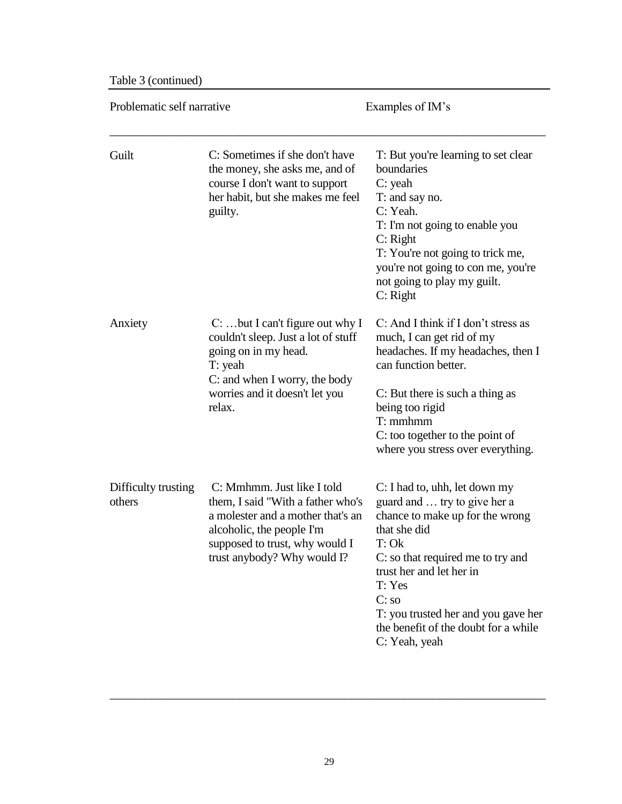Table 3 (continued)

| Problematic self narrative    |                                                                                                                                                                                                    | Examples of IM's                                                                                                                                                                                                                                                                                              |  |  |
|-------------------------------|----------------------------------------------------------------------------------------------------------------------------------------------------------------------------------------------------|---------------------------------------------------------------------------------------------------------------------------------------------------------------------------------------------------------------------------------------------------------------------------------------------------------------|--|--|
| Guilt                         | C: Sometimes if she don't have<br>the money, she asks me, and of<br>course I don't want to support<br>her habit, but she makes me feel<br>guilty.                                                  | T: But you're learning to set clear<br>boundaries<br>$C:$ yeah<br>T: and say no.<br>C: Yeah.<br>T: I'm not going to enable you<br>$C:$ Right<br>T: You're not going to trick me,<br>you're not going to con me, you're<br>not going to play my guilt.<br>$C:$ Right                                           |  |  |
| Anxiety                       | $C: \dots$ but I can't figure out why I<br>couldn't sleep. Just a lot of stuff<br>going on in my head.<br>T: yeah<br>C: and when I worry, the body<br>worries and it doesn't let you<br>relax.     | C: And I think if I don't stress as<br>much, I can get rid of my<br>headaches. If my headaches, then I<br>can function better.<br>C: But there is such a thing as<br>being too rigid<br>T: mmhmm<br>C: too together to the point of<br>where you stress over everything.                                      |  |  |
| Difficulty trusting<br>others | C: Mmhmm. Just like I told<br>them, I said "With a father who's<br>a molester and a mother that's an<br>alcoholic, the people I'm<br>supposed to trust, why would I<br>trust anybody? Why would I? | C: I had to, uhh, let down my<br>guard and  try to give her a<br>chance to make up for the wrong<br>that she did<br>T: Ok<br>C: so that required me to try and<br>trust her and let her in<br>T: Yes<br>C: so<br>T: you trusted her and you gave her<br>the benefit of the doubt for a while<br>C: Yeah, yeah |  |  |

\_\_\_\_\_\_\_\_\_\_\_\_\_\_\_\_\_\_\_\_\_\_\_\_\_\_\_\_\_\_\_\_\_\_\_\_\_\_\_\_\_\_\_\_\_\_\_\_\_\_\_\_\_\_\_\_\_\_\_\_\_\_\_\_\_\_\_\_\_\_\_\_\_\_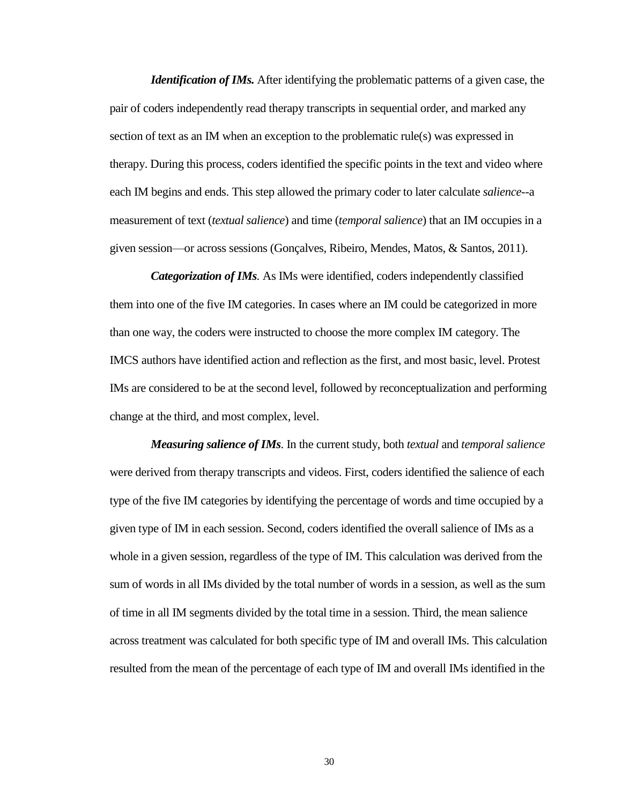*Identification of IMs.* After identifying the problematic patterns of a given case, the pair of coders independently read therapy transcripts in sequential order, and marked any section of text as an IM when an exception to the problematic rule(s) was expressed in therapy. During this process, coders identified the specific points in the text and video where each IM begins and ends. This step allowed the primary coder to later calculate *salience*--a measurement of text (*textual salience*) and time (*temporal salience*) that an IM occupies in a given session—or across sessions (Gonçalves, Ribeiro, Mendes, Matos, & Santos, 2011).

*Categorization of IMs.* As IMs were identified, coders independently classified them into one of the five IM categories. In cases where an IM could be categorized in more than one way, the coders were instructed to choose the more complex IM category. The IMCS authors have identified action and reflection as the first, and most basic, level. Protest IMs are considered to be at the second level, followed by reconceptualization and performing change at the third, and most complex, level.

*Measuring salience of IMs*. In the current study, both *textual* and *temporal salience* were derived from therapy transcripts and videos. First, coders identified the salience of each type of the five IM categories by identifying the percentage of words and time occupied by a given type of IM in each session. Second, coders identified the overall salience of IMs as a whole in a given session, regardless of the type of IM. This calculation was derived from the sum of words in all IMs divided by the total number of words in a session, as well as the sum of time in all IM segments divided by the total time in a session. Third, the mean salience across treatment was calculated for both specific type of IM and overall IMs. This calculation resulted from the mean of the percentage of each type of IM and overall IMs identified in the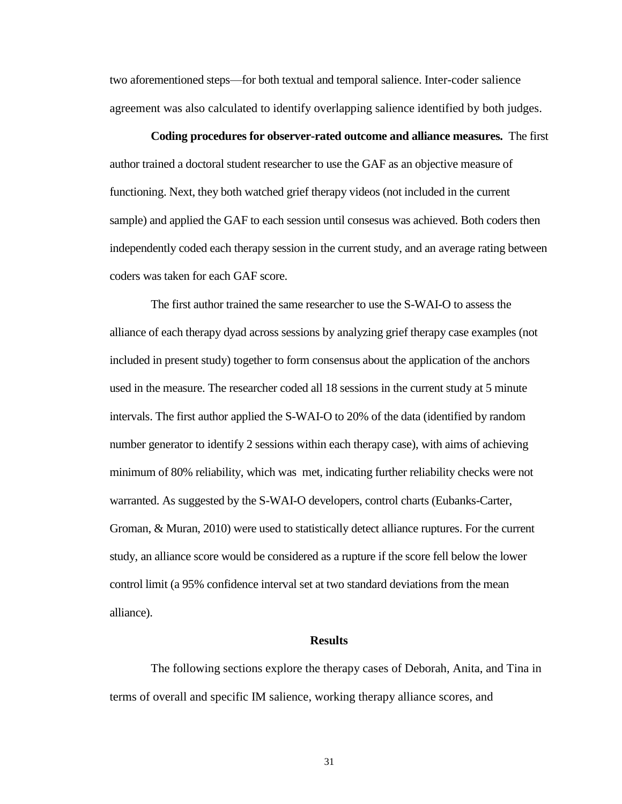two aforementioned steps—for both textual and temporal salience. Inter-coder salience agreement was also calculated to identify overlapping salience identified by both judges.

**Coding procedures for observer-rated outcome and alliance measures.** The first author trained a doctoral student researcher to use the GAF as an objective measure of functioning. Next, they both watched grief therapy videos (not included in the current sample) and applied the GAF to each session until consesus was achieved. Both coders then independently coded each therapy session in the current study, and an average rating between coders was taken for each GAF score.

The first author trained the same researcher to use the S-WAI-O to assess the alliance of each therapy dyad across sessions by analyzing grief therapy case examples (not included in present study) together to form consensus about the application of the anchors used in the measure. The researcher coded all 18 sessions in the current study at 5 minute intervals. The first author applied the S-WAI-O to 20% of the data (identified by random number generator to identify 2 sessions within each therapy case), with aims of achieving minimum of 80% reliability, which was met, indicating further reliability checks were not warranted. As suggested by the S-WAI-O developers, control charts (Eubanks-Carter, Groman, & Muran, 2010) were used to statistically detect alliance ruptures. For the current study, an alliance score would be considered as a rupture if the score fell below the lower control limit (a 95% confidence interval set at two standard deviations from the mean alliance).

#### **Results**

The following sections explore the therapy cases of Deborah, Anita, and Tina in terms of overall and specific IM salience, working therapy alliance scores, and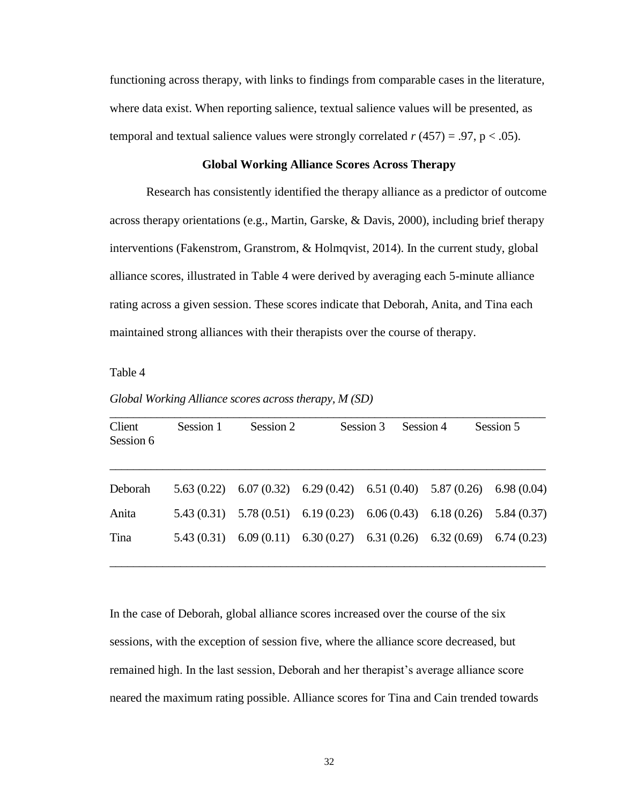functioning across therapy, with links to findings from comparable cases in the literature, where data exist. When reporting salience, textual salience values will be presented, as temporal and textual salience values were strongly correlated  $r(457) = .97$ ,  $p < .05$ ).

### **Global Working Alliance Scores Across Therapy**

Research has consistently identified the therapy alliance as a predictor of outcome across therapy orientations (e.g., Martin, Garske, & Davis, 2000), including brief therapy interventions (Fakenstrom, Granstrom, & Holmqvist, 2014). In the current study, global alliance scores, illustrated in Table 4 were derived by averaging each 5-minute alliance rating across a given session. These scores indicate that Deborah, Anita, and Tina each maintained strong alliances with their therapists over the course of therapy.

Table 4

*Global Working Alliance scores across therapy, M (SD)*

| Client<br>Session 6 | Session 1 | Session 2                                                               | Session 3 | Session 4 | Session 5 |
|---------------------|-----------|-------------------------------------------------------------------------|-----------|-----------|-----------|
| Deborah             |           | 5.63 (0.22) 6.07 (0.32) 6.29 (0.42) 6.51 (0.40) 5.87 (0.26) 6.98 (0.04) |           |           |           |
| Anita               |           | 5.43 (0.31) 5.78 (0.51) 6.19 (0.23) 6.06 (0.43) 6.18 (0.26) 5.84 (0.37) |           |           |           |
| Tina                |           | 5.43 (0.31) 6.09 (0.11) 6.30 (0.27) 6.31 (0.26) 6.32 (0.69) 6.74 (0.23) |           |           |           |

In the case of Deborah, global alliance scores increased over the course of the six sessions, with the exception of session five, where the alliance score decreased, but remained high. In the last session, Deborah and her therapist's average alliance score neared the maximum rating possible. Alliance scores for Tina and Cain trended towards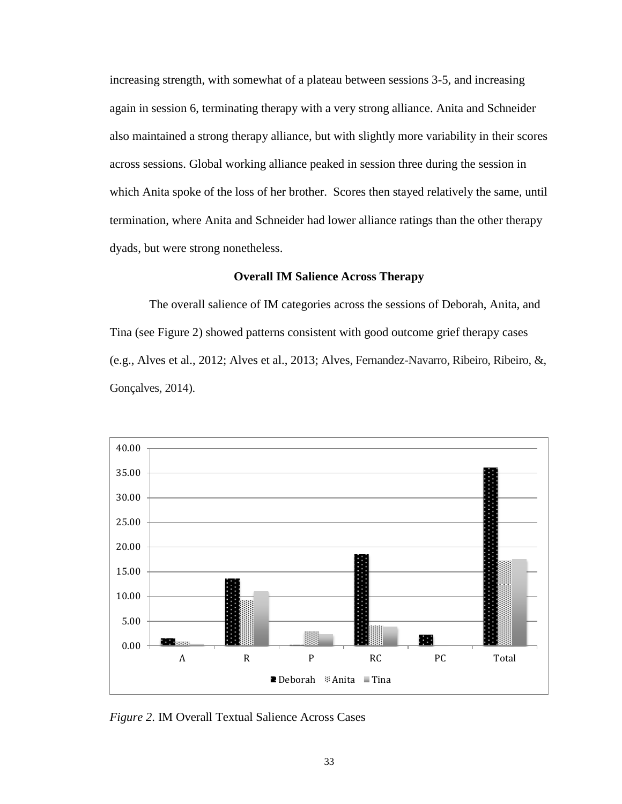increasing strength, with somewhat of a plateau between sessions 3-5, and increasing again in session 6, terminating therapy with a very strong alliance. Anita and Schneider also maintained a strong therapy alliance, but with slightly more variability in their scores across sessions. Global working alliance peaked in session three during the session in which Anita spoke of the loss of her brother. Scores then stayed relatively the same, until termination, where Anita and Schneider had lower alliance ratings than the other therapy dyads, but were strong nonetheless.

## **Overall IM Salience Across Therapy**

The overall salience of IM categories across the sessions of Deborah, Anita, and Tina (see Figure 2) showed patterns consistent with good outcome grief therapy cases (e.g., Alves et al., 2012; Alves et al., 2013; Alves, Fernandez-Navarro, Ribeiro, Ribeiro, &, Gonçalves, 2014).



*Figure 2*. IM Overall Textual Salience Across Cases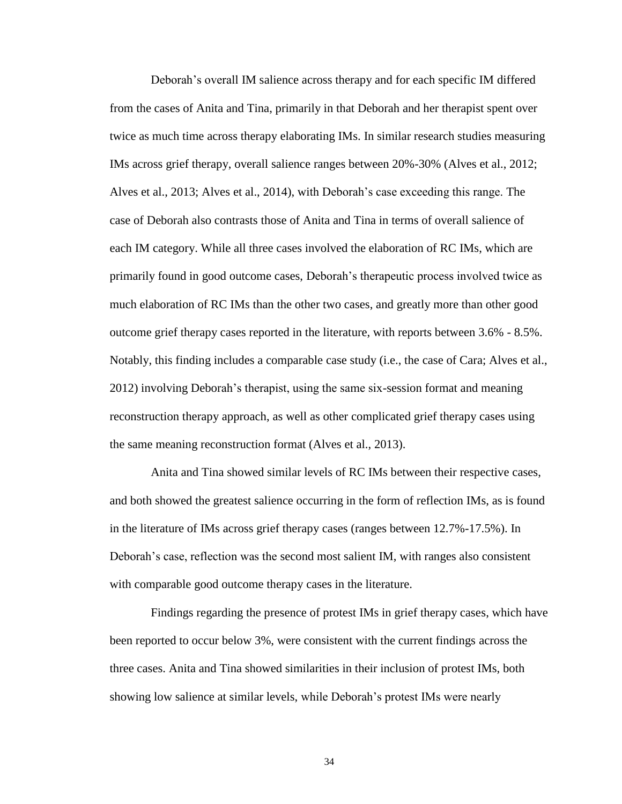Deborah's overall IM salience across therapy and for each specific IM differed from the cases of Anita and Tina, primarily in that Deborah and her therapist spent over twice as much time across therapy elaborating IMs. In similar research studies measuring IMs across grief therapy, overall salience ranges between 20%-30% (Alves et al., 2012; Alves et al., 2013; Alves et al., 2014), with Deborah's case exceeding this range. The case of Deborah also contrasts those of Anita and Tina in terms of overall salience of each IM category. While all three cases involved the elaboration of RC IMs, which are primarily found in good outcome cases, Deborah's therapeutic process involved twice as much elaboration of RC IMs than the other two cases, and greatly more than other good outcome grief therapy cases reported in the literature, with reports between 3.6% - 8.5%. Notably, this finding includes a comparable case study (i.e., the case of Cara; Alves et al., 2012) involving Deborah's therapist, using the same six-session format and meaning reconstruction therapy approach, as well as other complicated grief therapy cases using the same meaning reconstruction format (Alves et al., 2013).

Anita and Tina showed similar levels of RC IMs between their respective cases, and both showed the greatest salience occurring in the form of reflection IMs, as is found in the literature of IMs across grief therapy cases (ranges between 12.7%-17.5%). In Deborah's case, reflection was the second most salient IM, with ranges also consistent with comparable good outcome therapy cases in the literature.

Findings regarding the presence of protest IMs in grief therapy cases, which have been reported to occur below 3%, were consistent with the current findings across the three cases. Anita and Tina showed similarities in their inclusion of protest IMs, both showing low salience at similar levels, while Deborah's protest IMs were nearly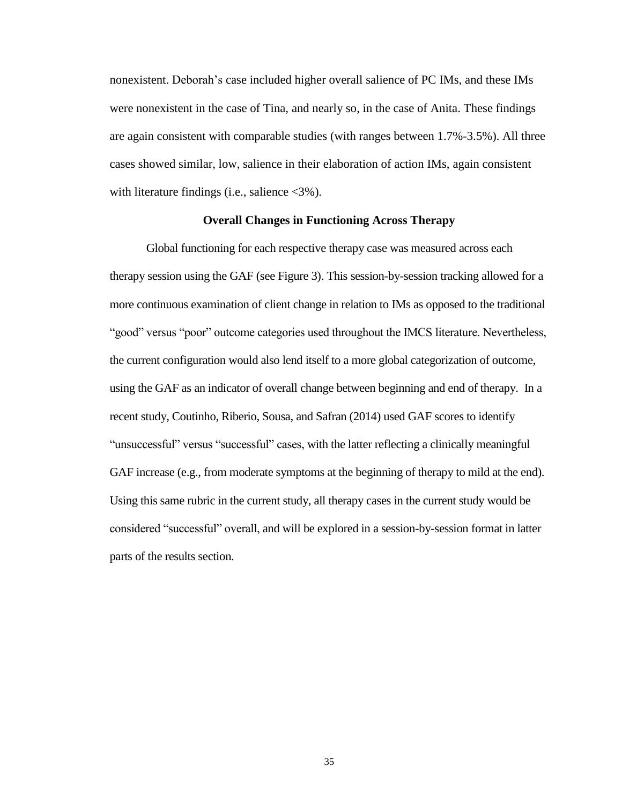nonexistent. Deborah's case included higher overall salience of PC IMs, and these IMs were nonexistent in the case of Tina, and nearly so, in the case of Anita. These findings are again consistent with comparable studies (with ranges between 1.7%-3.5%). All three cases showed similar, low, salience in their elaboration of action IMs, again consistent with literature findings (i.e., salience <3%).

### **Overall Changes in Functioning Across Therapy**

Global functioning for each respective therapy case was measured across each therapy session using the GAF (see Figure 3). This session-by-session tracking allowed for a more continuous examination of client change in relation to IMs as opposed to the traditional "good" versus "poor" outcome categories used throughout the IMCS literature. Nevertheless, the current configuration would also lend itself to a more global categorization of outcome, using the GAF as an indicator of overall change between beginning and end of therapy. In a recent study, Coutinho, Riberio, Sousa, and Safran (2014) used GAF scores to identify "unsuccessful" versus "successful" cases, with the latter reflecting a clinically meaningful GAF increase (e.g., from moderate symptoms at the beginning of therapy to mild at the end). Using this same rubric in the current study, all therapy cases in the current study would be considered "successful" overall, and will be explored in a session-by-session format in latter parts of the results section.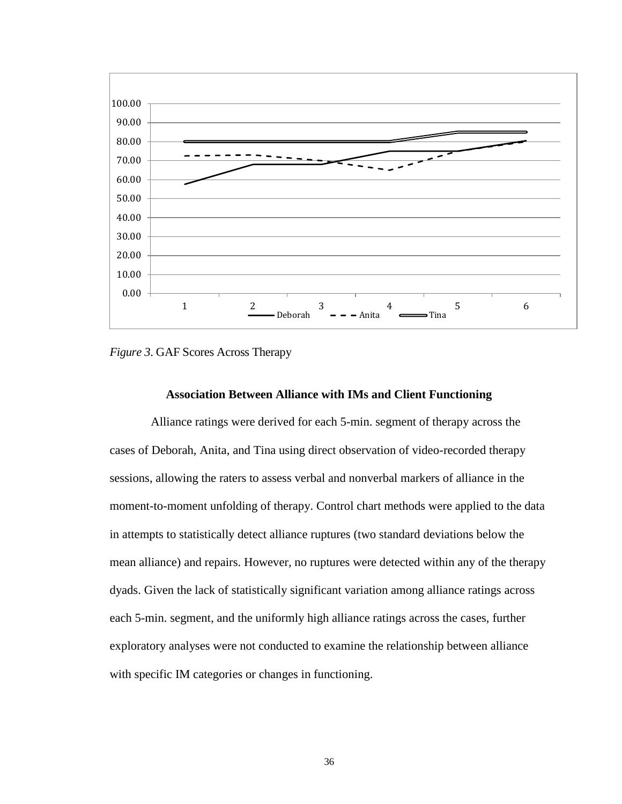

*Figure 3*. GAF Scores Across Therapy

#### **Association Between Alliance with IMs and Client Functioning**

Alliance ratings were derived for each 5-min. segment of therapy across the cases of Deborah, Anita, and Tina using direct observation of video-recorded therapy sessions, allowing the raters to assess verbal and nonverbal markers of alliance in the moment-to-moment unfolding of therapy. Control chart methods were applied to the data in attempts to statistically detect alliance ruptures (two standard deviations below the mean alliance) and repairs. However, no ruptures were detected within any of the therapy dyads. Given the lack of statistically significant variation among alliance ratings across each 5-min. segment, and the uniformly high alliance ratings across the cases, further exploratory analyses were not conducted to examine the relationship between alliance with specific IM categories or changes in functioning.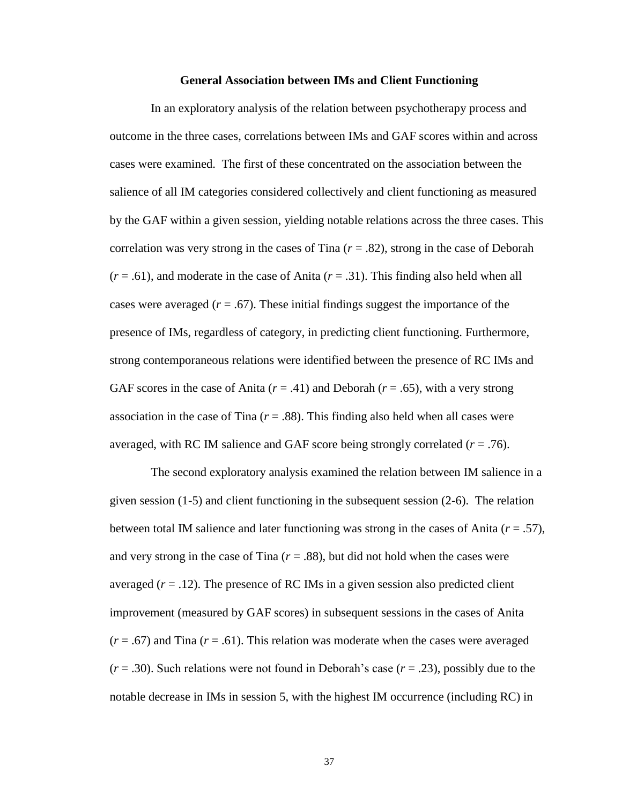#### **General Association between IMs and Client Functioning**

In an exploratory analysis of the relation between psychotherapy process and outcome in the three cases, correlations between IMs and GAF scores within and across cases were examined. The first of these concentrated on the association between the salience of all IM categories considered collectively and client functioning as measured by the GAF within a given session, yielding notable relations across the three cases. This correlation was very strong in the cases of Tina  $(r = .82)$ , strong in the case of Deborah (*r* = .61), and moderate in the case of Anita (*r* = .31). This finding also held when all cases were averaged  $(r = .67)$ . These initial findings suggest the importance of the presence of IMs, regardless of category, in predicting client functioning. Furthermore, strong contemporaneous relations were identified between the presence of RC IMs and GAF scores in the case of Anita  $(r = .41)$  and Deborah  $(r = .65)$ , with a very strong association in the case of Tina  $(r = .88)$ . This finding also held when all cases were averaged, with RC IM salience and GAF score being strongly correlated (*r* = .76).

The second exploratory analysis examined the relation between IM salience in a given session (1-5) and client functioning in the subsequent session (2-6). The relation between total IM salience and later functioning was strong in the cases of Anita (*r* = .57), and very strong in the case of Tina  $(r = .88)$ , but did not hold when the cases were averaged  $(r = .12)$ . The presence of RC IMs in a given session also predicted client improvement (measured by GAF scores) in subsequent sessions in the cases of Anita  $(r = .67)$  and Tina  $(r = .61)$ . This relation was moderate when the cases were averaged  $(r = .30)$ . Such relations were not found in Deborah's case  $(r = .23)$ , possibly due to the notable decrease in IMs in session 5, with the highest IM occurrence (including RC) in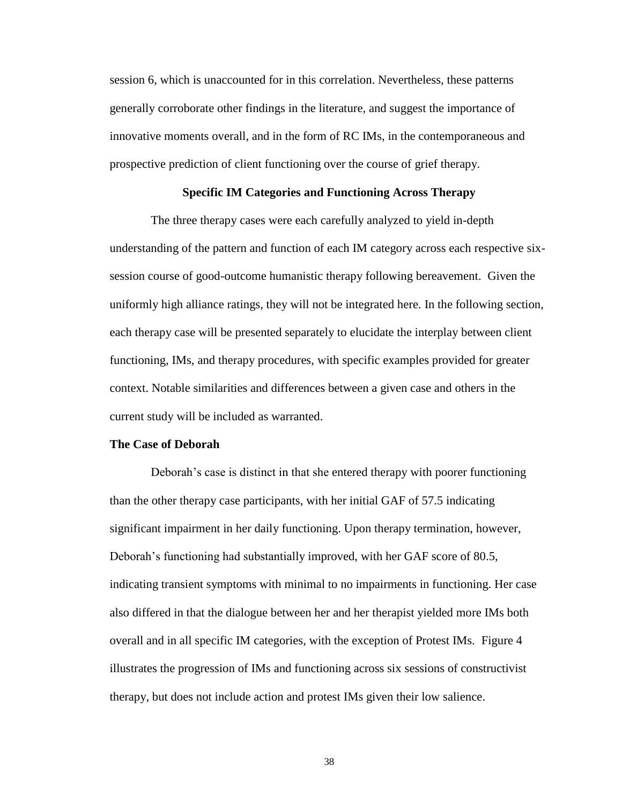session 6, which is unaccounted for in this correlation. Nevertheless, these patterns generally corroborate other findings in the literature, and suggest the importance of innovative moments overall, and in the form of RC IMs, in the contemporaneous and prospective prediction of client functioning over the course of grief therapy.

### **Specific IM Categories and Functioning Across Therapy**

The three therapy cases were each carefully analyzed to yield in-depth understanding of the pattern and function of each IM category across each respective sixsession course of good-outcome humanistic therapy following bereavement. Given the uniformly high alliance ratings, they will not be integrated here. In the following section, each therapy case will be presented separately to elucidate the interplay between client functioning, IMs, and therapy procedures, with specific examples provided for greater context. Notable similarities and differences between a given case and others in the current study will be included as warranted.

### **The Case of Deborah**

Deborah's case is distinct in that she entered therapy with poorer functioning than the other therapy case participants, with her initial GAF of 57.5 indicating significant impairment in her daily functioning. Upon therapy termination, however, Deborah's functioning had substantially improved, with her GAF score of 80.5, indicating transient symptoms with minimal to no impairments in functioning. Her case also differed in that the dialogue between her and her therapist yielded more IMs both overall and in all specific IM categories, with the exception of Protest IMs. Figure 4 illustrates the progression of IMs and functioning across six sessions of constructivist therapy, but does not include action and protest IMs given their low salience.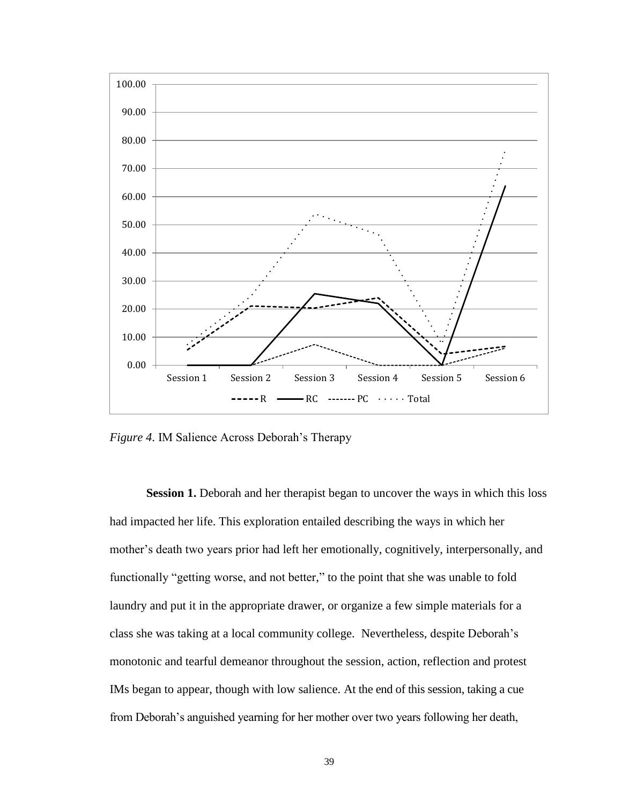

*Figure 4*. IM Salience Across Deborah's Therapy

**Session 1.** Deborah and her therapist began to uncover the ways in which this loss had impacted her life. This exploration entailed describing the ways in which her mother's death two years prior had left her emotionally, cognitively, interpersonally, and functionally "getting worse, and not better," to the point that she was unable to fold laundry and put it in the appropriate drawer, or organize a few simple materials for a class she was taking at a local community college. Nevertheless, despite Deborah's monotonic and tearful demeanor throughout the session, action, reflection and protest IMs began to appear, though with low salience. At the end of this session, taking a cue from Deborah's anguished yearning for her mother over two years following her death,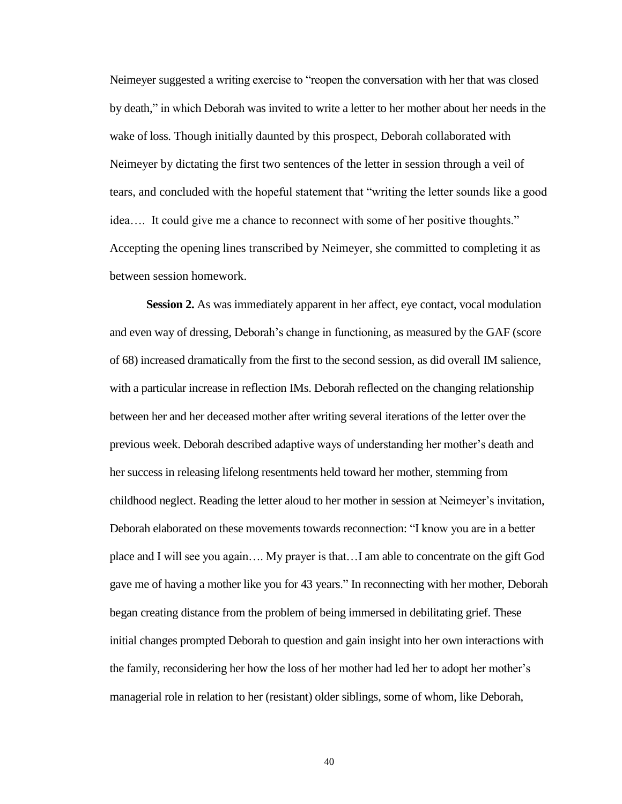Neimeyer suggested a writing exercise to "reopen the conversation with her that was closed by death," in which Deborah was invited to write a letter to her mother about her needs in the wake of loss. Though initially daunted by this prospect, Deborah collaborated with Neimeyer by dictating the first two sentences of the letter in session through a veil of tears, and concluded with the hopeful statement that "writing the letter sounds like a good idea…. It could give me a chance to reconnect with some of her positive thoughts." Accepting the opening lines transcribed by Neimeyer, she committed to completing it as between session homework.

**Session 2.** As was immediately apparent in her affect, eye contact, vocal modulation and even way of dressing, Deborah's change in functioning, as measured by the GAF (score of 68) increased dramatically from the first to the second session, as did overall IM salience, with a particular increase in reflection IMs. Deborah reflected on the changing relationship between her and her deceased mother after writing several iterations of the letter over the previous week. Deborah described adaptive ways of understanding her mother's death and her success in releasing lifelong resentments held toward her mother, stemming from childhood neglect. Reading the letter aloud to her mother in session at Neimeyer's invitation, Deborah elaborated on these movements towards reconnection: "I know you are in a better place and I will see you again…. My prayer is that…I am able to concentrate on the gift God gave me of having a mother like you for 43 years." In reconnecting with her mother, Deborah began creating distance from the problem of being immersed in debilitating grief. These initial changes prompted Deborah to question and gain insight into her own interactions with the family, reconsidering her how the loss of her mother had led her to adopt her mother's managerial role in relation to her (resistant) older siblings, some of whom, like Deborah,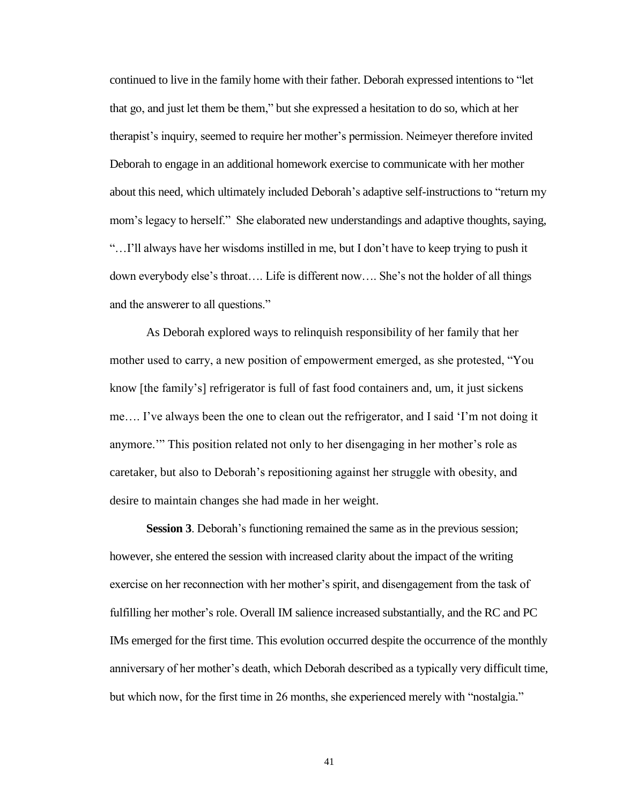continued to live in the family home with their father. Deborah expressed intentions to "let that go, and just let them be them," but she expressed a hesitation to do so, which at her therapist's inquiry, seemed to require her mother's permission. Neimeyer therefore invited Deborah to engage in an additional homework exercise to communicate with her mother about this need, which ultimately included Deborah's adaptive self-instructions to "return my mom's legacy to herself." She elaborated new understandings and adaptive thoughts, saying, "…I'll always have her wisdoms instilled in me, but I don't have to keep trying to push it down everybody else's throat…. Life is different now…. She's not the holder of all things and the answerer to all questions."

As Deborah explored ways to relinquish responsibility of her family that her mother used to carry, a new position of empowerment emerged, as she protested, "You know [the family's] refrigerator is full of fast food containers and, um, it just sickens me…. I've always been the one to clean out the refrigerator, and I said 'I'm not doing it anymore.'" This position related not only to her disengaging in her mother's role as caretaker, but also to Deborah's repositioning against her struggle with obesity, and desire to maintain changes she had made in her weight.

**Session 3**. Deborah's functioning remained the same as in the previous session; however, she entered the session with increased clarity about the impact of the writing exercise on her reconnection with her mother's spirit, and disengagement from the task of fulfilling her mother's role. Overall IM salience increased substantially, and the RC and PC IMs emerged for the first time. This evolution occurred despite the occurrence of the monthly anniversary of her mother's death, which Deborah described as a typically very difficult time, but which now, for the first time in 26 months, she experienced merely with "nostalgia."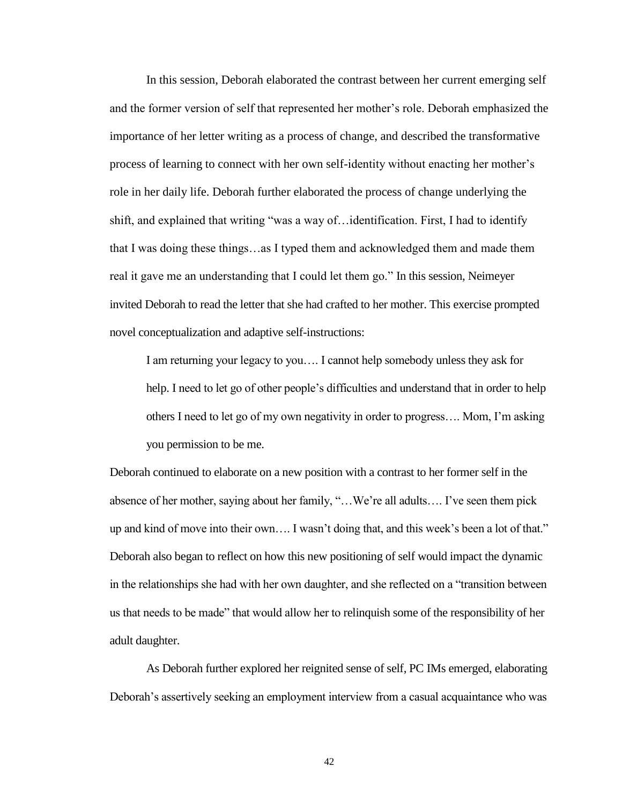In this session, Deborah elaborated the contrast between her current emerging self and the former version of self that represented her mother's role. Deborah emphasized the importance of her letter writing as a process of change, and described the transformative process of learning to connect with her own self-identity without enacting her mother's role in her daily life. Deborah further elaborated the process of change underlying the shift, and explained that writing "was a way of…identification. First, I had to identify that I was doing these things…as I typed them and acknowledged them and made them real it gave me an understanding that I could let them go." In this session, Neimeyer invited Deborah to read the letter that she had crafted to her mother. This exercise prompted novel conceptualization and adaptive self-instructions:

I am returning your legacy to you…. I cannot help somebody unless they ask for help. I need to let go of other people's difficulties and understand that in order to help others I need to let go of my own negativity in order to progress…. Mom, I'm asking you permission to be me.

Deborah continued to elaborate on a new position with a contrast to her former self in the absence of her mother, saying about her family, "…We're all adults…. I've seen them pick up and kind of move into their own…. I wasn't doing that, and this week's been a lot of that." Deborah also began to reflect on how this new positioning of self would impact the dynamic in the relationships she had with her own daughter, and she reflected on a "transition between us that needs to be made" that would allow her to relinquish some of the responsibility of her adult daughter.

As Deborah further explored her reignited sense of self, PC IMs emerged, elaborating Deborah's assertively seeking an employment interview from a casual acquaintance who was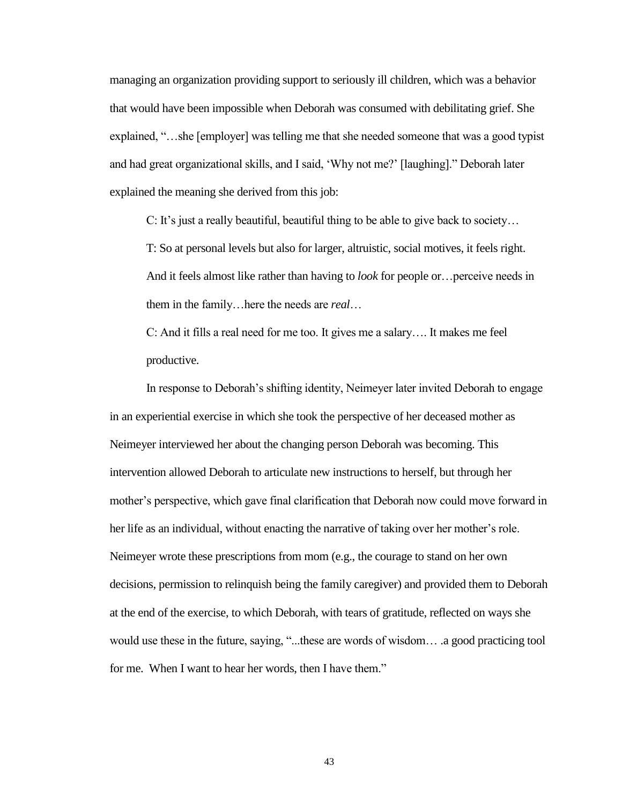managing an organization providing support to seriously ill children, which was a behavior that would have been impossible when Deborah was consumed with debilitating grief. She explained, "…she [employer] was telling me that she needed someone that was a good typist and had great organizational skills, and I said, 'Why not me?' [laughing]." Deborah later explained the meaning she derived from this job:

C: It's just a really beautiful, beautiful thing to be able to give back to society…

T: So at personal levels but also for larger, altruistic, social motives, it feels right. And it feels almost like rather than having to *look* for people or…perceive needs in them in the family…here the needs are *real*…

C: And it fills a real need for me too. It gives me a salary…. It makes me feel productive.

In response to Deborah's shifting identity, Neimeyer later invited Deborah to engage in an experiential exercise in which she took the perspective of her deceased mother as Neimeyer interviewed her about the changing person Deborah was becoming. This intervention allowed Deborah to articulate new instructions to herself, but through her mother's perspective, which gave final clarification that Deborah now could move forward in her life as an individual, without enacting the narrative of taking over her mother's role. Neimeyer wrote these prescriptions from mom (e.g., the courage to stand on her own decisions, permission to relinquish being the family caregiver) and provided them to Deborah at the end of the exercise, to which Deborah, with tears of gratitude, reflected on ways she would use these in the future, saying, "...these are words of wisdom… .a good practicing tool for me. When I want to hear her words, then I have them."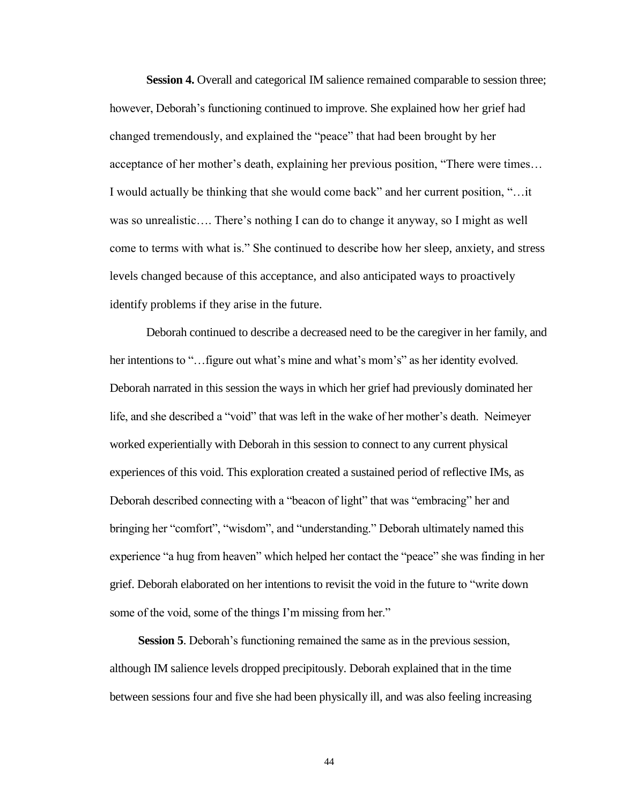**Session 4.** Overall and categorical IM salience remained comparable to session three; however, Deborah's functioning continued to improve. She explained how her grief had changed tremendously, and explained the "peace" that had been brought by her acceptance of her mother's death, explaining her previous position, "There were times… I would actually be thinking that she would come back" and her current position, "…it was so unrealistic…. There's nothing I can do to change it anyway, so I might as well come to terms with what is." She continued to describe how her sleep, anxiety, and stress levels changed because of this acceptance, and also anticipated ways to proactively identify problems if they arise in the future.

Deborah continued to describe a decreased need to be the caregiver in her family, and her intentions to "... figure out what's mine and what's mom's" as her identity evolved. Deborah narrated in this session the ways in which her grief had previously dominated her life, and she described a "void" that was left in the wake of her mother's death. Neimeyer worked experientially with Deborah in this session to connect to any current physical experiences of this void. This exploration created a sustained period of reflective IMs, as Deborah described connecting with a "beacon of light" that was "embracing" her and bringing her "comfort", "wisdom", and "understanding." Deborah ultimately named this experience "a hug from heaven" which helped her contact the "peace" she was finding in her grief. Deborah elaborated on her intentions to revisit the void in the future to "write down some of the void, some of the things I'm missing from her."

**Session 5**. Deborah's functioning remained the same as in the previous session, although IM salience levels dropped precipitously. Deborah explained that in the time between sessions four and five she had been physically ill, and was also feeling increasing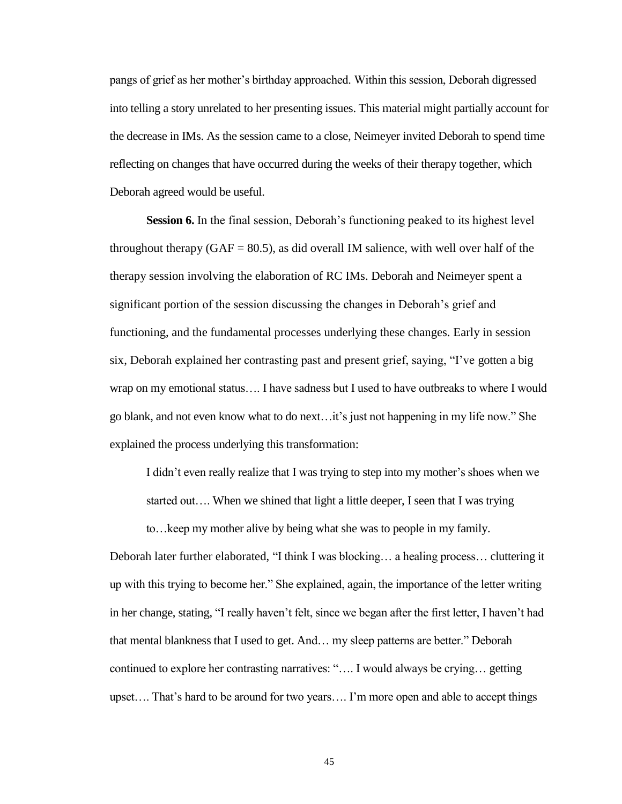pangs of grief as her mother's birthday approached. Within this session, Deborah digressed into telling a story unrelated to her presenting issues. This material might partially account for the decrease in IMs. As the session came to a close, Neimeyer invited Deborah to spend time reflecting on changes that have occurred during the weeks of their therapy together, which Deborah agreed would be useful.

**Session 6.** In the final session, Deborah's functioning peaked to its highest level throughout therapy ( $GAF = 80.5$ ), as did overall IM salience, with well over half of the therapy session involving the elaboration of RC IMs. Deborah and Neimeyer spent a significant portion of the session discussing the changes in Deborah's grief and functioning, and the fundamental processes underlying these changes. Early in session six, Deborah explained her contrasting past and present grief, saying, "I've gotten a big wrap on my emotional status…. I have sadness but I used to have outbreaks to where I would go blank, and not even know what to do next…it's just not happening in my life now." She explained the process underlying this transformation:

I didn't even really realize that I was trying to step into my mother's shoes when we started out…. When we shined that light a little deeper, I seen that I was trying

to…keep my mother alive by being what she was to people in my family.

Deborah later further elaborated, "I think I was blocking… a healing process… cluttering it up with this trying to become her." She explained, again, the importance of the letter writing in her change, stating, "I really haven't felt, since we began after the first letter, I haven't had that mental blankness that I used to get. And… my sleep patterns are better." Deborah continued to explore her contrasting narratives: "…. I would always be crying… getting upset…. That's hard to be around for two years…. I'm more open and able to accept things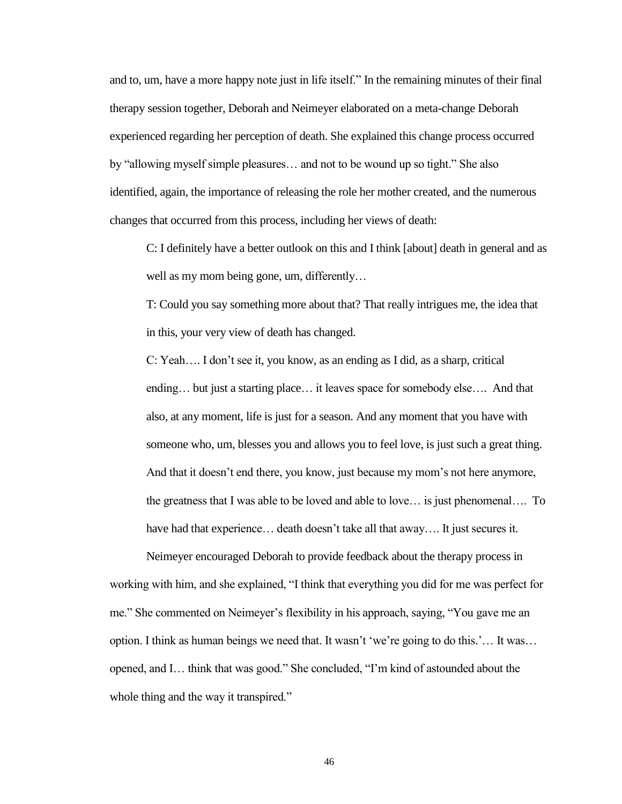and to, um, have a more happy note just in life itself." In the remaining minutes of their final therapy session together, Deborah and Neimeyer elaborated on a meta-change Deborah experienced regarding her perception of death. She explained this change process occurred by "allowing myself simple pleasures… and not to be wound up so tight." She also identified, again, the importance of releasing the role her mother created, and the numerous changes that occurred from this process, including her views of death:

C: I definitely have a better outlook on this and I think [about] death in general and as well as my mom being gone, um, differently...

T: Could you say something more about that? That really intrigues me, the idea that in this, your very view of death has changed.

C: Yeah…. I don't see it, you know, as an ending as I did, as a sharp, critical ending… but just a starting place… it leaves space for somebody else…. And that also, at any moment, life is just for a season. And any moment that you have with someone who, um, blesses you and allows you to feel love, is just such a great thing. And that it doesn't end there, you know, just because my mom's not here anymore, the greatness that I was able to be loved and able to love… is just phenomenal…. To have had that experience... death doesn't take all that away.... It just secures it.

Neimeyer encouraged Deborah to provide feedback about the therapy process in working with him, and she explained, "I think that everything you did for me was perfect for me." She commented on Neimeyer's flexibility in his approach, saying, "You gave me an option. I think as human beings we need that. It wasn't 'we're going to do this.'… It was… opened, and I… think that was good." She concluded, "I'm kind of astounded about the whole thing and the way it transpired."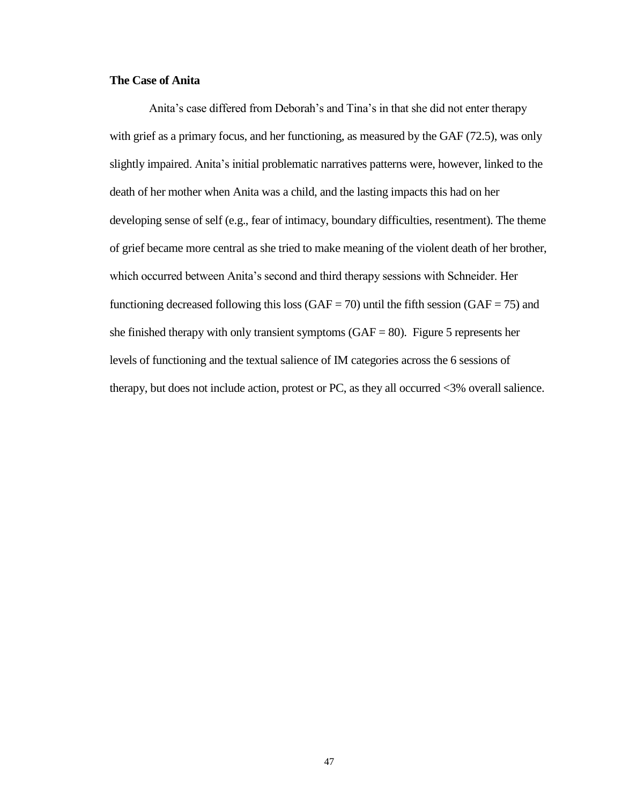# **The Case of Anita**

Anita's case differed from Deborah's and Tina's in that she did not enter therapy with grief as a primary focus, and her functioning, as measured by the GAF (72.5), was only slightly impaired. Anita's initial problematic narratives patterns were, however, linked to the death of her mother when Anita was a child, and the lasting impacts this had on her developing sense of self (e.g., fear of intimacy, boundary difficulties, resentment). The theme of grief became more central as she tried to make meaning of the violent death of her brother, which occurred between Anita's second and third therapy sessions with Schneider. Her functioning decreased following this loss (GAF = 70) until the fifth session (GAF = 75) and she finished therapy with only transient symptoms  $(GAF = 80)$ . Figure 5 represents her levels of functioning and the textual salience of IM categories across the 6 sessions of therapy, but does not include action, protest or PC, as they all occurred <3% overall salience.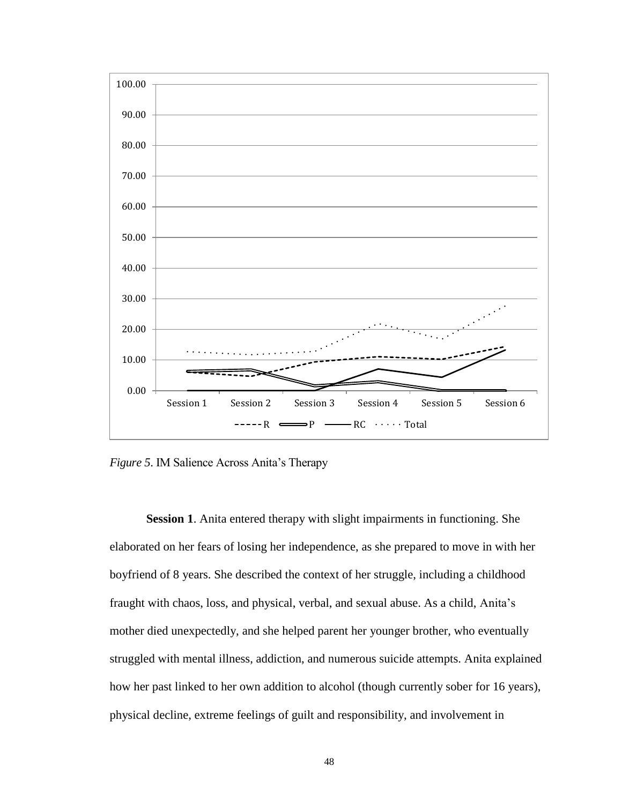

*Figure 5*. IM Salience Across Anita's Therapy

**Session 1**. Anita entered therapy with slight impairments in functioning. She elaborated on her fears of losing her independence, as she prepared to move in with her boyfriend of 8 years. She described the context of her struggle, including a childhood fraught with chaos, loss, and physical, verbal, and sexual abuse. As a child, Anita's mother died unexpectedly, and she helped parent her younger brother, who eventually struggled with mental illness, addiction, and numerous suicide attempts. Anita explained how her past linked to her own addition to alcohol (though currently sober for 16 years), physical decline, extreme feelings of guilt and responsibility, and involvement in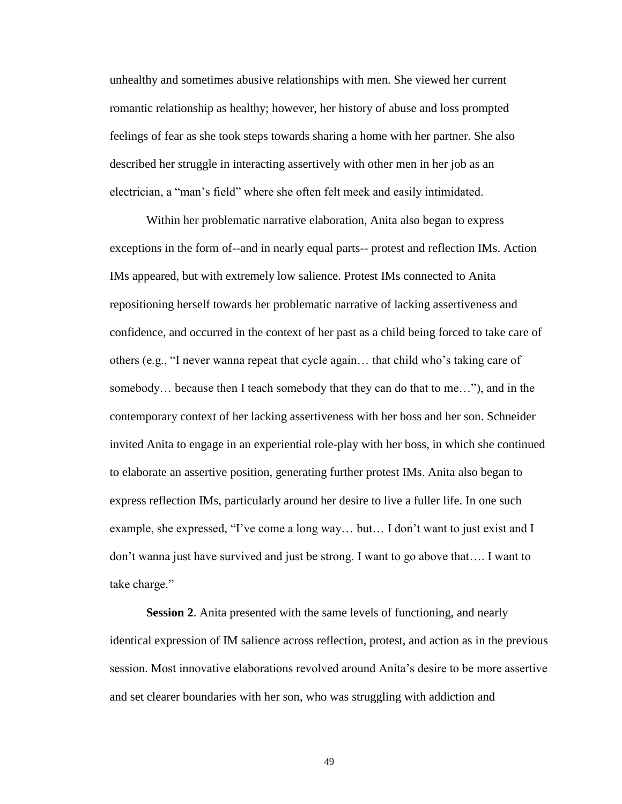unhealthy and sometimes abusive relationships with men. She viewed her current romantic relationship as healthy; however, her history of abuse and loss prompted feelings of fear as she took steps towards sharing a home with her partner. She also described her struggle in interacting assertively with other men in her job as an electrician, a "man's field" where she often felt meek and easily intimidated.

Within her problematic narrative elaboration, Anita also began to express exceptions in the form of--and in nearly equal parts-- protest and reflection IMs. Action IMs appeared, but with extremely low salience. Protest IMs connected to Anita repositioning herself towards her problematic narrative of lacking assertiveness and confidence, and occurred in the context of her past as a child being forced to take care of others (e.g., "I never wanna repeat that cycle again… that child who's taking care of somebody… because then I teach somebody that they can do that to me…"), and in the contemporary context of her lacking assertiveness with her boss and her son. Schneider invited Anita to engage in an experiential role-play with her boss, in which she continued to elaborate an assertive position, generating further protest IMs. Anita also began to express reflection IMs, particularly around her desire to live a fuller life. In one such example, she expressed, "I've come a long way… but… I don't want to just exist and I don't wanna just have survived and just be strong. I want to go above that…. I want to take charge."

**Session 2**. Anita presented with the same levels of functioning, and nearly identical expression of IM salience across reflection, protest, and action as in the previous session. Most innovative elaborations revolved around Anita's desire to be more assertive and set clearer boundaries with her son, who was struggling with addiction and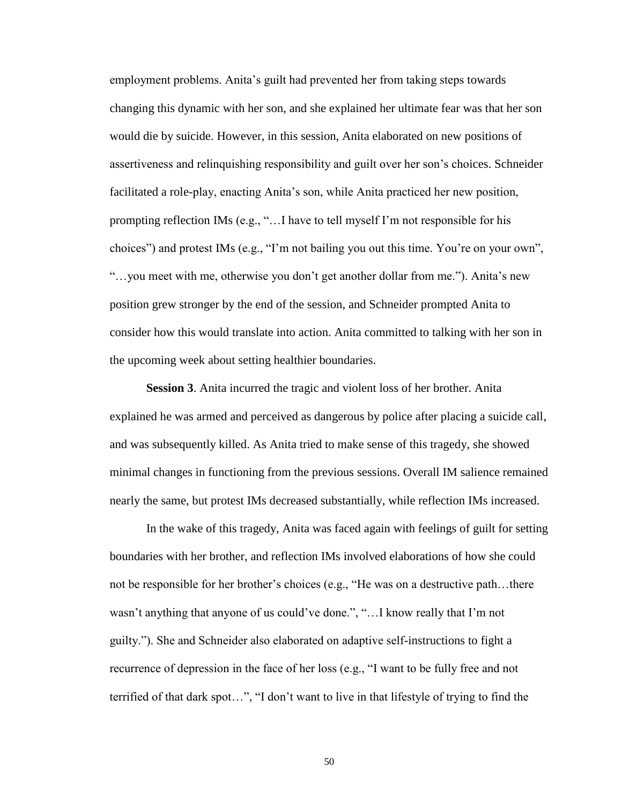employment problems. Anita's guilt had prevented her from taking steps towards changing this dynamic with her son, and she explained her ultimate fear was that her son would die by suicide. However, in this session, Anita elaborated on new positions of assertiveness and relinquishing responsibility and guilt over her son's choices. Schneider facilitated a role-play, enacting Anita's son, while Anita practiced her new position, prompting reflection IMs (e.g., "…I have to tell myself I'm not responsible for his choices") and protest IMs (e.g., "I'm not bailing you out this time. You're on your own", "…you meet with me, otherwise you don't get another dollar from me."). Anita's new position grew stronger by the end of the session, and Schneider prompted Anita to consider how this would translate into action. Anita committed to talking with her son in the upcoming week about setting healthier boundaries.

**Session 3**. Anita incurred the tragic and violent loss of her brother. Anita explained he was armed and perceived as dangerous by police after placing a suicide call, and was subsequently killed. As Anita tried to make sense of this tragedy, she showed minimal changes in functioning from the previous sessions. Overall IM salience remained nearly the same, but protest IMs decreased substantially, while reflection IMs increased.

In the wake of this tragedy, Anita was faced again with feelings of guilt for setting boundaries with her brother, and reflection IMs involved elaborations of how she could not be responsible for her brother's choices (e.g., "He was on a destructive path…there wasn't anything that anyone of us could've done.", "…I know really that I'm not guilty."). She and Schneider also elaborated on adaptive self-instructions to fight a recurrence of depression in the face of her loss (e.g., "I want to be fully free and not terrified of that dark spot…", "I don't want to live in that lifestyle of trying to find the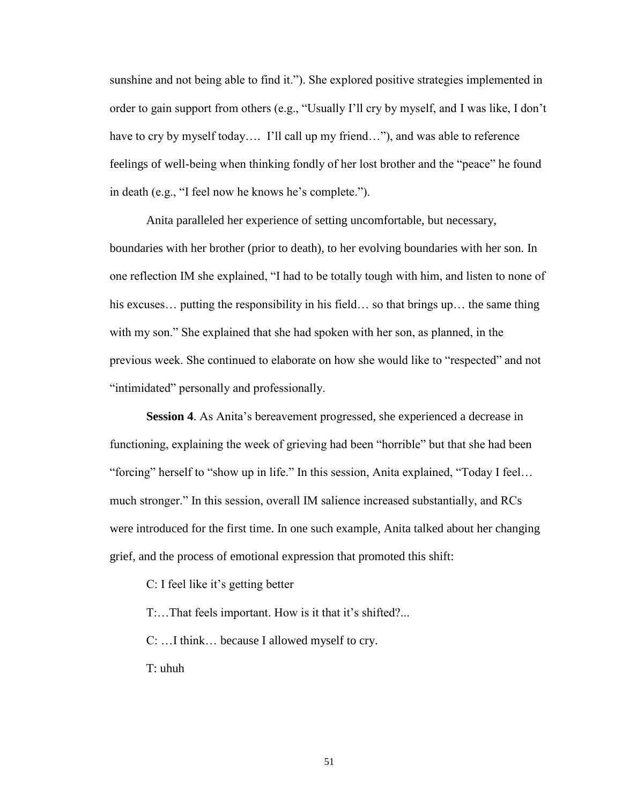sunshine and not being able to find it."). She explored positive strategies implemented in order to gain support from others (e.g., "Usually I'll cry by myself, and I was like, I don't have to cry by myself today.... I'll call up my friend..."), and was able to reference feelings of well-being when thinking fondly of her lost brother and the "peace" he found in death (e.g., "I feel now he knows he's complete.").

Anita paralleled her experience of setting uncomfortable, but necessary, boundaries with her brother (prior to death), to her evolving boundaries with her son. In one reflection IM she explained, "I had to be totally tough with him, and listen to none of his excuses... putting the responsibility in his field... so that brings up... the same thing with my son." She explained that she had spoken with her son, as planned, in the previous week. She continued to elaborate on how she would like to "respected" and not "intimidated" personally and professionally.

**Session 4**. As Anita's bereavement progressed, she experienced a decrease in functioning, explaining the week of grieving had been "horrible" but that she had been "forcing" herself to "show up in life." In this session, Anita explained, "Today I feel… much stronger." In this session, overall IM salience increased substantially, and RCs were introduced for the first time. In one such example, Anita talked about her changing grief, and the process of emotional expression that promoted this shift:

C: I feel like it's getting better

T:…That feels important. How is it that it's shifted?...

C: …I think… because I allowed myself to cry.

T: uhuh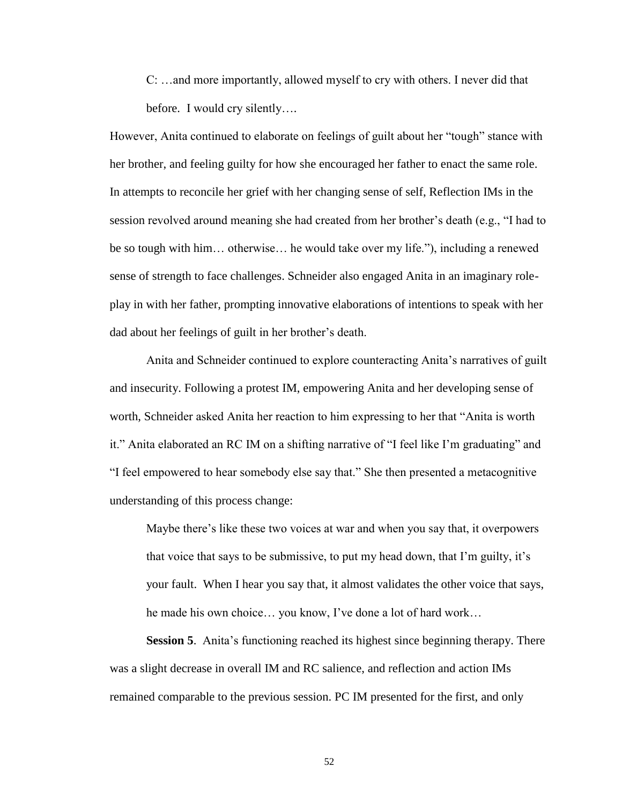C: …and more importantly, allowed myself to cry with others. I never did that before. I would cry silently….

However, Anita continued to elaborate on feelings of guilt about her "tough" stance with her brother, and feeling guilty for how she encouraged her father to enact the same role. In attempts to reconcile her grief with her changing sense of self, Reflection IMs in the session revolved around meaning she had created from her brother's death (e.g., "I had to be so tough with him… otherwise… he would take over my life."), including a renewed sense of strength to face challenges. Schneider also engaged Anita in an imaginary roleplay in with her father, prompting innovative elaborations of intentions to speak with her dad about her feelings of guilt in her brother's death.

Anita and Schneider continued to explore counteracting Anita's narratives of guilt and insecurity. Following a protest IM, empowering Anita and her developing sense of worth, Schneider asked Anita her reaction to him expressing to her that "Anita is worth it." Anita elaborated an RC IM on a shifting narrative of "I feel like I'm graduating" and "I feel empowered to hear somebody else say that." She then presented a metacognitive understanding of this process change:

Maybe there's like these two voices at war and when you say that, it overpowers that voice that says to be submissive, to put my head down, that I'm guilty, it's your fault. When I hear you say that, it almost validates the other voice that says, he made his own choice… you know, I've done a lot of hard work…

**Session 5**. Anita's functioning reached its highest since beginning therapy. There was a slight decrease in overall IM and RC salience, and reflection and action IMs remained comparable to the previous session. PC IM presented for the first, and only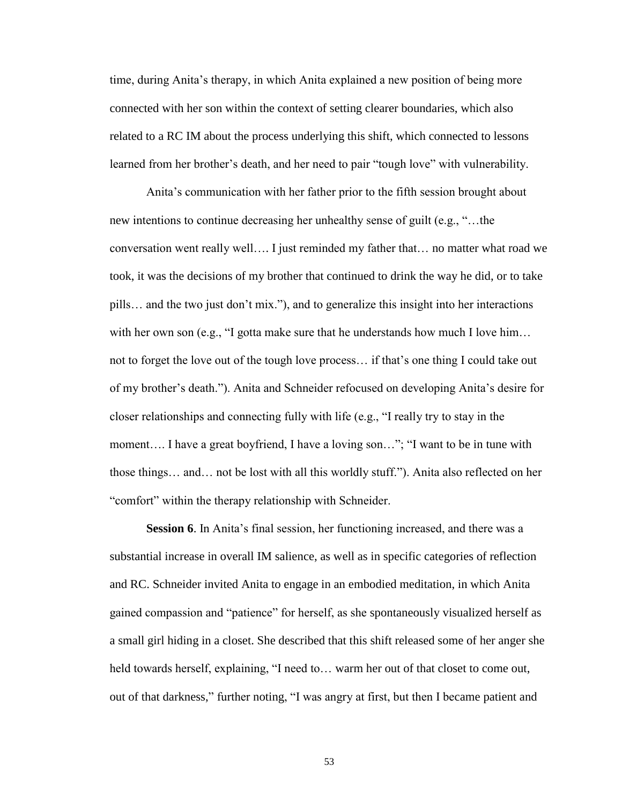time, during Anita's therapy, in which Anita explained a new position of being more connected with her son within the context of setting clearer boundaries, which also related to a RC IM about the process underlying this shift, which connected to lessons learned from her brother's death, and her need to pair "tough love" with vulnerability.

Anita's communication with her father prior to the fifth session brought about new intentions to continue decreasing her unhealthy sense of guilt (e.g., "…the conversation went really well…. I just reminded my father that… no matter what road we took, it was the decisions of my brother that continued to drink the way he did, or to take pills… and the two just don't mix."), and to generalize this insight into her interactions with her own son (e.g., "I gotta make sure that he understands how much I love him... not to forget the love out of the tough love process… if that's one thing I could take out of my brother's death."). Anita and Schneider refocused on developing Anita's desire for closer relationships and connecting fully with life (e.g., "I really try to stay in the moment…. I have a great boyfriend, I have a loving son…"; "I want to be in tune with those things… and… not be lost with all this worldly stuff."). Anita also reflected on her "comfort" within the therapy relationship with Schneider.

**Session 6**. In Anita's final session, her functioning increased, and there was a substantial increase in overall IM salience, as well as in specific categories of reflection and RC. Schneider invited Anita to engage in an embodied meditation, in which Anita gained compassion and "patience" for herself, as she spontaneously visualized herself as a small girl hiding in a closet. She described that this shift released some of her anger she held towards herself, explaining, "I need to... warm her out of that closet to come out, out of that darkness," further noting, "I was angry at first, but then I became patient and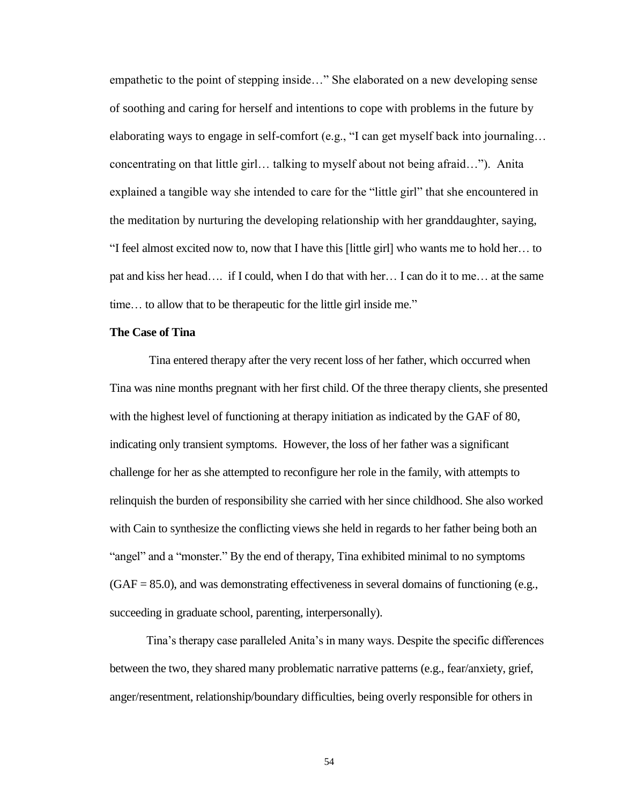empathetic to the point of stepping inside…" She elaborated on a new developing sense of soothing and caring for herself and intentions to cope with problems in the future by elaborating ways to engage in self-comfort (e.g., "I can get myself back into journaling… concentrating on that little girl… talking to myself about not being afraid…"). Anita explained a tangible way she intended to care for the "little girl" that she encountered in the meditation by nurturing the developing relationship with her granddaughter, saying, "I feel almost excited now to, now that I have this [little girl] who wants me to hold her… to pat and kiss her head…. if I could, when I do that with her… I can do it to me… at the same time… to allow that to be therapeutic for the little girl inside me."

#### **The Case of Tina**

Tina entered therapy after the very recent loss of her father, which occurred when Tina was nine months pregnant with her first child. Of the three therapy clients, she presented with the highest level of functioning at therapy initiation as indicated by the GAF of 80, indicating only transient symptoms. However, the loss of her father was a significant challenge for her as she attempted to reconfigure her role in the family, with attempts to relinquish the burden of responsibility she carried with her since childhood. She also worked with Cain to synthesize the conflicting views she held in regards to her father being both an "angel" and a "monster." By the end of therapy, Tina exhibited minimal to no symptoms  $(GAF = 85.0)$ , and was demonstrating effectiveness in several domains of functioning (e.g., succeeding in graduate school, parenting, interpersonally).

Tina's therapy case paralleled Anita's in many ways. Despite the specific differences between the two, they shared many problematic narrative patterns (e.g., fear/anxiety, grief, anger/resentment, relationship/boundary difficulties, being overly responsible for others in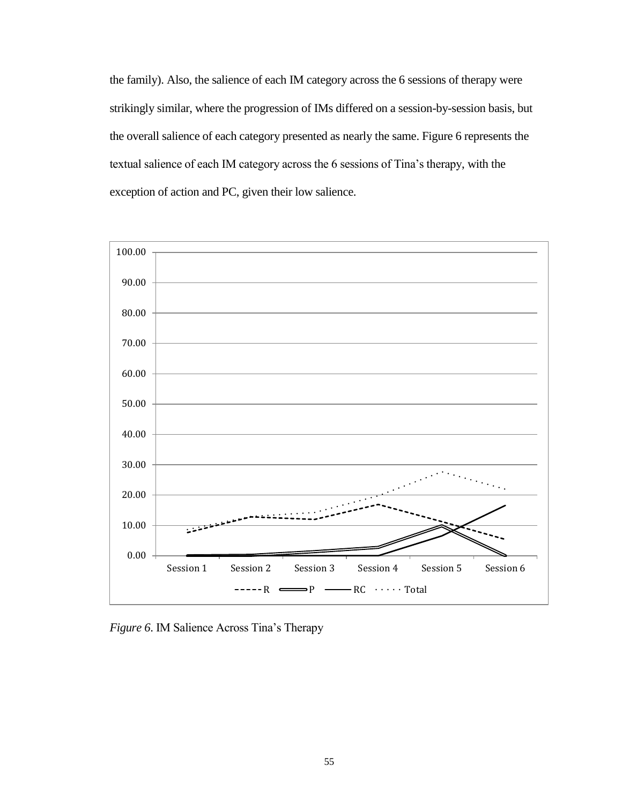the family). Also, the salience of each IM category across the 6 sessions of therapy were strikingly similar, where the progression of IMs differed on a session-by-session basis, but the overall salience of each category presented as nearly the same. Figure 6 represents the textual salience of each IM category across the 6 sessions of Tina's therapy, with the exception of action and PC, given their low salience.



*Figure 6*. IM Salience Across Tina's Therapy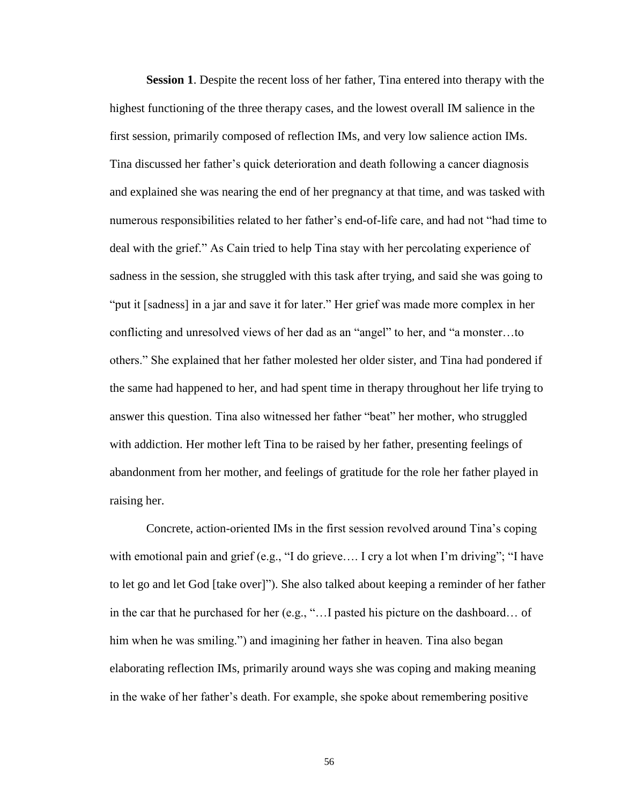**Session 1**. Despite the recent loss of her father, Tina entered into therapy with the highest functioning of the three therapy cases, and the lowest overall IM salience in the first session, primarily composed of reflection IMs, and very low salience action IMs. Tina discussed her father's quick deterioration and death following a cancer diagnosis and explained she was nearing the end of her pregnancy at that time, and was tasked with numerous responsibilities related to her father's end-of-life care, and had not "had time to deal with the grief." As Cain tried to help Tina stay with her percolating experience of sadness in the session, she struggled with this task after trying, and said she was going to "put it [sadness] in a jar and save it for later." Her grief was made more complex in her conflicting and unresolved views of her dad as an "angel" to her, and "a monster…to others." She explained that her father molested her older sister, and Tina had pondered if the same had happened to her, and had spent time in therapy throughout her life trying to answer this question. Tina also witnessed her father "beat" her mother, who struggled with addiction. Her mother left Tina to be raised by her father, presenting feelings of abandonment from her mother, and feelings of gratitude for the role her father played in raising her.

Concrete, action-oriented IMs in the first session revolved around Tina's coping with emotional pain and grief (e.g., "I do grieve.... I cry a lot when I'm driving"; "I have to let go and let God [take over]"). She also talked about keeping a reminder of her father in the car that he purchased for her (e.g., "…I pasted his picture on the dashboard… of him when he was smiling.") and imagining her father in heaven. Tina also began elaborating reflection IMs, primarily around ways she was coping and making meaning in the wake of her father's death. For example, she spoke about remembering positive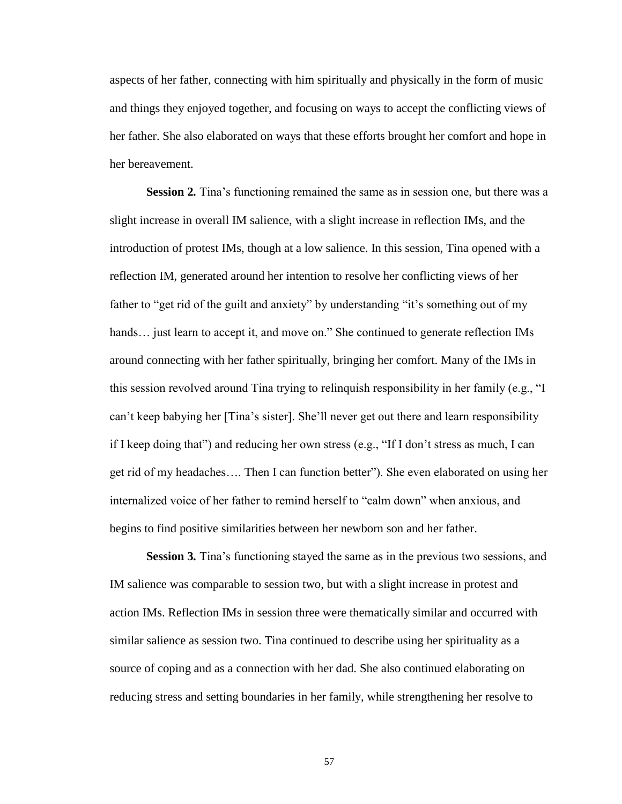aspects of her father, connecting with him spiritually and physically in the form of music and things they enjoyed together, and focusing on ways to accept the conflicting views of her father. She also elaborated on ways that these efforts brought her comfort and hope in her bereavement.

**Session 2***.* Tina's functioning remained the same as in session one, but there was a slight increase in overall IM salience, with a slight increase in reflection IMs, and the introduction of protest IMs, though at a low salience. In this session, Tina opened with a reflection IM, generated around her intention to resolve her conflicting views of her father to "get rid of the guilt and anxiety" by understanding "it's something out of my hands... just learn to accept it, and move on." She continued to generate reflection IMs around connecting with her father spiritually, bringing her comfort. Many of the IMs in this session revolved around Tina trying to relinquish responsibility in her family (e.g., "I can't keep babying her [Tina's sister]. She'll never get out there and learn responsibility if I keep doing that") and reducing her own stress (e.g., "If I don't stress as much, I can get rid of my headaches…. Then I can function better"). She even elaborated on using her internalized voice of her father to remind herself to "calm down" when anxious, and begins to find positive similarities between her newborn son and her father.

**Session 3***.* Tina's functioning stayed the same as in the previous two sessions, and IM salience was comparable to session two, but with a slight increase in protest and action IMs. Reflection IMs in session three were thematically similar and occurred with similar salience as session two. Tina continued to describe using her spirituality as a source of coping and as a connection with her dad. She also continued elaborating on reducing stress and setting boundaries in her family, while strengthening her resolve to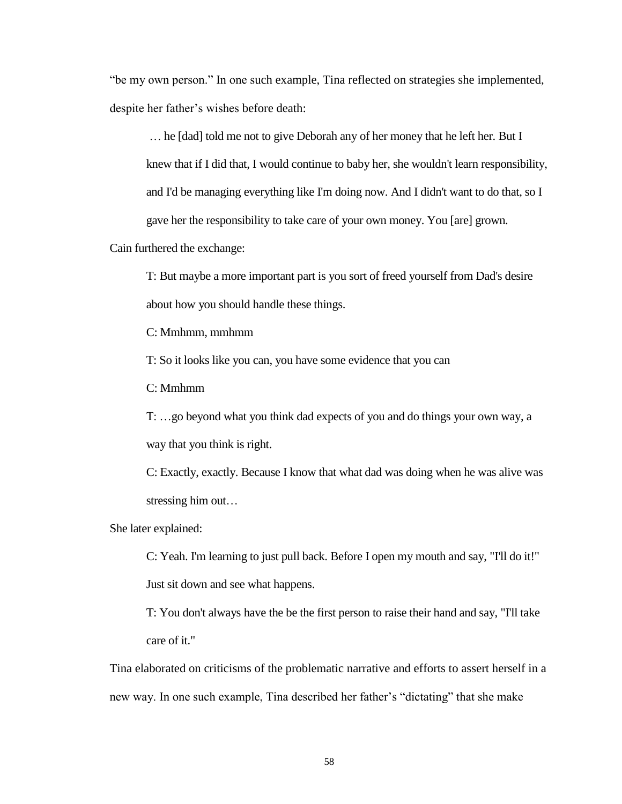"be my own person." In one such example, Tina reflected on strategies she implemented, despite her father's wishes before death:

… he [dad] told me not to give Deborah any of her money that he left her. But I knew that if I did that, I would continue to baby her, she wouldn't learn responsibility, and I'd be managing everything like I'm doing now. And I didn't want to do that, so I gave her the responsibility to take care of your own money. You [are] grown.

Cain furthered the exchange:

T: But maybe a more important part is you sort of freed yourself from Dad's desire about how you should handle these things.

C: Mmhmm, mmhmm

T: So it looks like you can, you have some evidence that you can

C: Mmhmm

T: …go beyond what you think dad expects of you and do things your own way, a way that you think is right.

C: Exactly, exactly. Because I know that what dad was doing when he was alive was stressing him out…

She later explained:

C: Yeah. I'm learning to just pull back. Before I open my mouth and say, "I'll do it!" Just sit down and see what happens.

T: You don't always have the be the first person to raise their hand and say, "I'll take care of it."

Tina elaborated on criticisms of the problematic narrative and efforts to assert herself in a new way. In one such example, Tina described her father's "dictating" that she make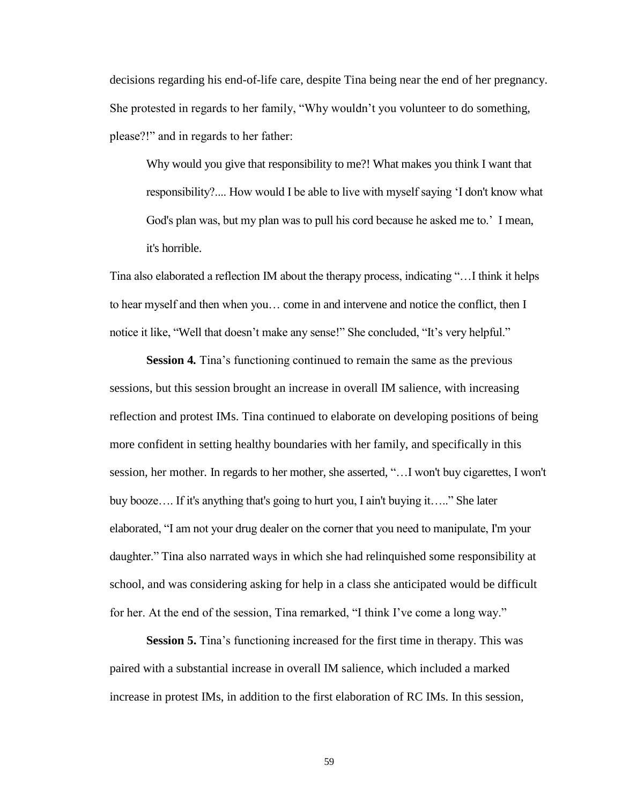decisions regarding his end-of-life care, despite Tina being near the end of her pregnancy. She protested in regards to her family, "Why wouldn't you volunteer to do something, please?!" and in regards to her father:

Why would you give that responsibility to me?! What makes you think I want that responsibility?.... How would I be able to live with myself saying 'I don't know what God's plan was, but my plan was to pull his cord because he asked me to.' I mean, it's horrible.

Tina also elaborated a reflection IM about the therapy process, indicating "…I think it helps to hear myself and then when you… come in and intervene and notice the conflict, then I notice it like, "Well that doesn't make any sense!" She concluded, "It's very helpful."

**Session 4***.* Tina's functioning continued to remain the same as the previous sessions, but this session brought an increase in overall IM salience, with increasing reflection and protest IMs. Tina continued to elaborate on developing positions of being more confident in setting healthy boundaries with her family, and specifically in this session, her mother. In regards to her mother, she asserted, "…I won't buy cigarettes, I won't buy booze…. If it's anything that's going to hurt you, I ain't buying it….." She later elaborated, "I am not your drug dealer on the corner that you need to manipulate, I'm your daughter." Tina also narrated ways in which she had relinquished some responsibility at school, and was considering asking for help in a class she anticipated would be difficult for her. At the end of the session, Tina remarked, "I think I've come a long way."

**Session 5.** Tina's functioning increased for the first time in therapy. This was paired with a substantial increase in overall IM salience, which included a marked increase in protest IMs, in addition to the first elaboration of RC IMs. In this session,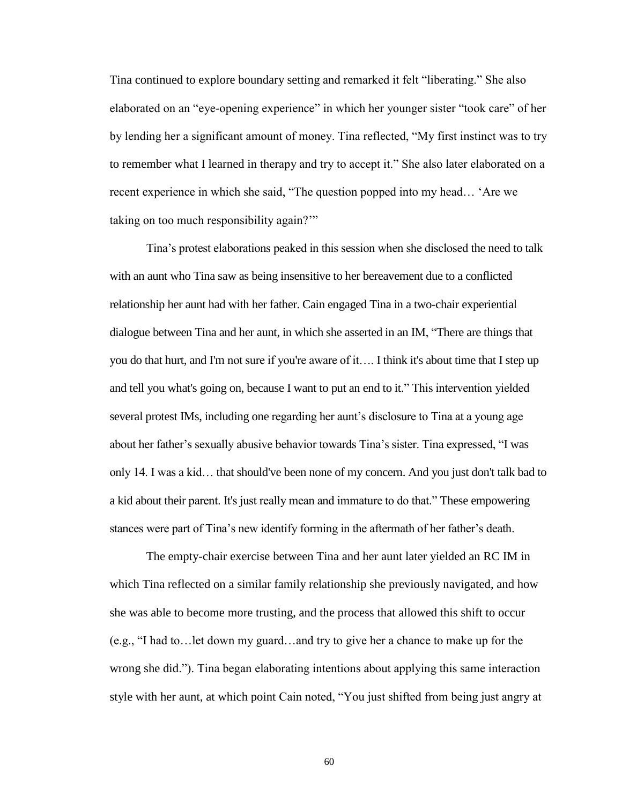Tina continued to explore boundary setting and remarked it felt "liberating." She also elaborated on an "eye-opening experience" in which her younger sister "took care" of her by lending her a significant amount of money. Tina reflected, "My first instinct was to try to remember what I learned in therapy and try to accept it." She also later elaborated on a recent experience in which she said, "The question popped into my head… 'Are we taking on too much responsibility again?'"

Tina's protest elaborations peaked in this session when she disclosed the need to talk with an aunt who Tina saw as being insensitive to her bereavement due to a conflicted relationship her aunt had with her father. Cain engaged Tina in a two-chair experiential dialogue between Tina and her aunt, in which she asserted in an IM, "There are things that you do that hurt, and I'm not sure if you're aware of it…. I think it's about time that I step up and tell you what's going on, because I want to put an end to it." This intervention yielded several protest IMs, including one regarding her aunt's disclosure to Tina at a young age about her father's sexually abusive behavior towards Tina's sister. Tina expressed, "I was only 14. I was a kid… that should've been none of my concern. And you just don't talk bad to a kid about their parent. It's just really mean and immature to do that." These empowering stances were part of Tina's new identify forming in the aftermath of her father's death.

The empty-chair exercise between Tina and her aunt later yielded an RC IM in which Tina reflected on a similar family relationship she previously navigated, and how she was able to become more trusting, and the process that allowed this shift to occur (e.g., "I had to…let down my guard…and try to give her a chance to make up for the wrong she did."). Tina began elaborating intentions about applying this same interaction style with her aunt, at which point Cain noted, "You just shifted from being just angry at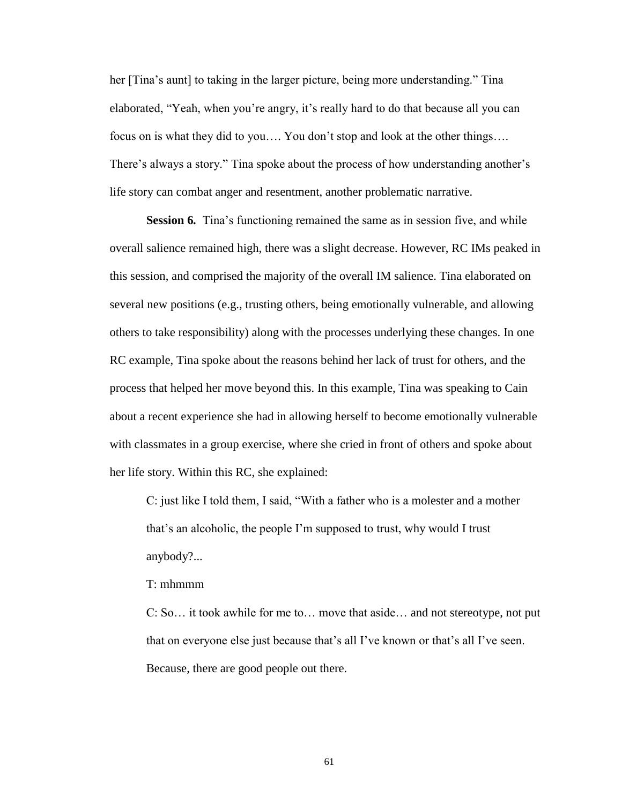her [Tina's aunt] to taking in the larger picture, being more understanding." Tina elaborated, "Yeah, when you're angry, it's really hard to do that because all you can focus on is what they did to you…. You don't stop and look at the other things…. There's always a story." Tina spoke about the process of how understanding another's life story can combat anger and resentment, another problematic narrative.

**Session 6.** Tina's functioning remained the same as in session five, and while overall salience remained high, there was a slight decrease. However, RC IMs peaked in this session, and comprised the majority of the overall IM salience. Tina elaborated on several new positions (e.g., trusting others, being emotionally vulnerable, and allowing others to take responsibility) along with the processes underlying these changes. In one RC example, Tina spoke about the reasons behind her lack of trust for others, and the process that helped her move beyond this. In this example, Tina was speaking to Cain about a recent experience she had in allowing herself to become emotionally vulnerable with classmates in a group exercise, where she cried in front of others and spoke about her life story. Within this RC, she explained:

C: just like I told them, I said, "With a father who is a molester and a mother that's an alcoholic, the people I'm supposed to trust, why would I trust anybody?...

### T: mhmmm

C: So… it took awhile for me to… move that aside… and not stereotype, not put that on everyone else just because that's all I've known or that's all I've seen. Because, there are good people out there.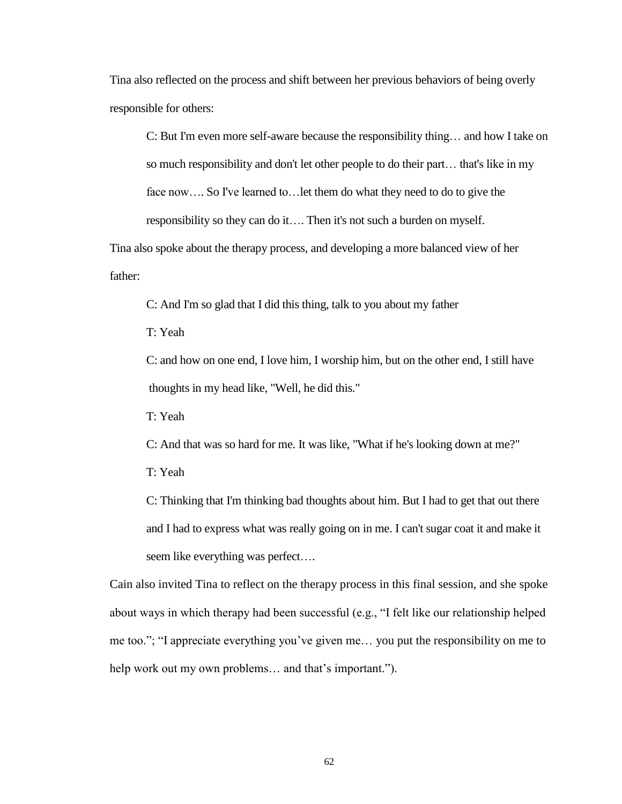Tina also reflected on the process and shift between her previous behaviors of being overly responsible for others:

C: But I'm even more self-aware because the responsibility thing… and how I take on so much responsibility and don't let other people to do their part… that's like in my face now…. So I've learned to…let them do what they need to do to give the responsibility so they can do it…. Then it's not such a burden on myself.

Tina also spoke about the therapy process, and developing a more balanced view of her father:

C: And I'm so glad that I did this thing, talk to you about my father

T: Yeah

 C: and how on one end, I love him, I worship him, but on the other end, I still have thoughts in my head like, "Well, he did this."

T: Yeah

C: And that was so hard for me. It was like, "What if he's looking down at me?"

T: Yeah

C: Thinking that I'm thinking bad thoughts about him. But I had to get that out there and I had to express what was really going on in me. I can't sugar coat it and make it seem like everything was perfect….

Cain also invited Tina to reflect on the therapy process in this final session, and she spoke about ways in which therapy had been successful (e.g., "I felt like our relationship helped me too."; "I appreciate everything you've given me… you put the responsibility on me to help work out my own problems... and that's important.").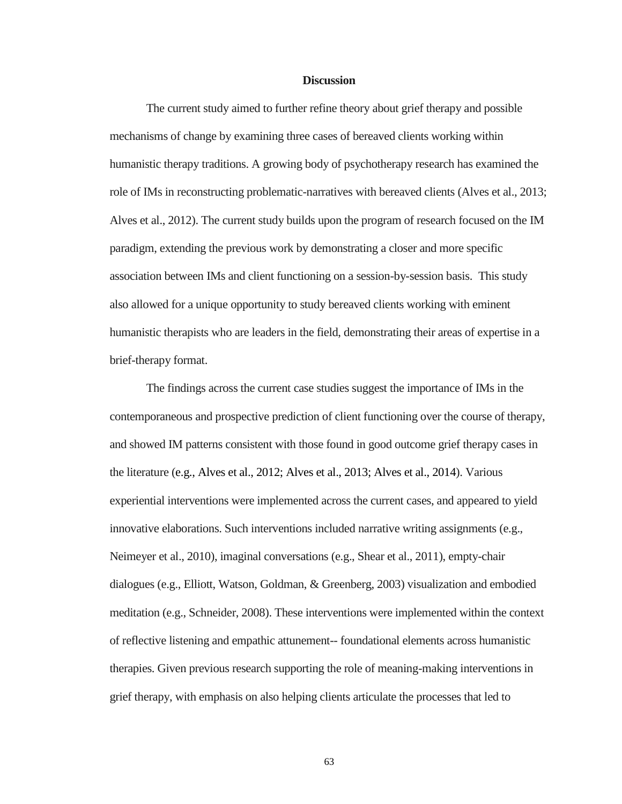#### **Discussion**

The current study aimed to further refine theory about grief therapy and possible mechanisms of change by examining three cases of bereaved clients working within humanistic therapy traditions. A growing body of psychotherapy research has examined the role of IMs in reconstructing problematic-narratives with bereaved clients (Alves et al., 2013; Alves et al., 2012). The current study builds upon the program of research focused on the IM paradigm, extending the previous work by demonstrating a closer and more specific association between IMs and client functioning on a session-by-session basis. This study also allowed for a unique opportunity to study bereaved clients working with eminent humanistic therapists who are leaders in the field, demonstrating their areas of expertise in a brief-therapy format.

The findings across the current case studies suggest the importance of IMs in the contemporaneous and prospective prediction of client functioning over the course of therapy, and showed IM patterns consistent with those found in good outcome grief therapy cases in the literature (e.g., Alves et al., 2012; Alves et al., 2013; Alves et al., 2014). Various experiential interventions were implemented across the current cases, and appeared to yield innovative elaborations. Such interventions included narrative writing assignments (e.g., Neimeyer et al., 2010), imaginal conversations (e.g., Shear et al., 2011), empty-chair dialogues (e.g., Elliott, Watson, Goldman, & Greenberg, 2003) visualization and embodied meditation (e.g., Schneider, 2008). These interventions were implemented within the context of reflective listening and empathic attunement-- foundational elements across humanistic therapies. Given previous research supporting the role of meaning-making interventions in grief therapy, with emphasis on also helping clients articulate the processes that led to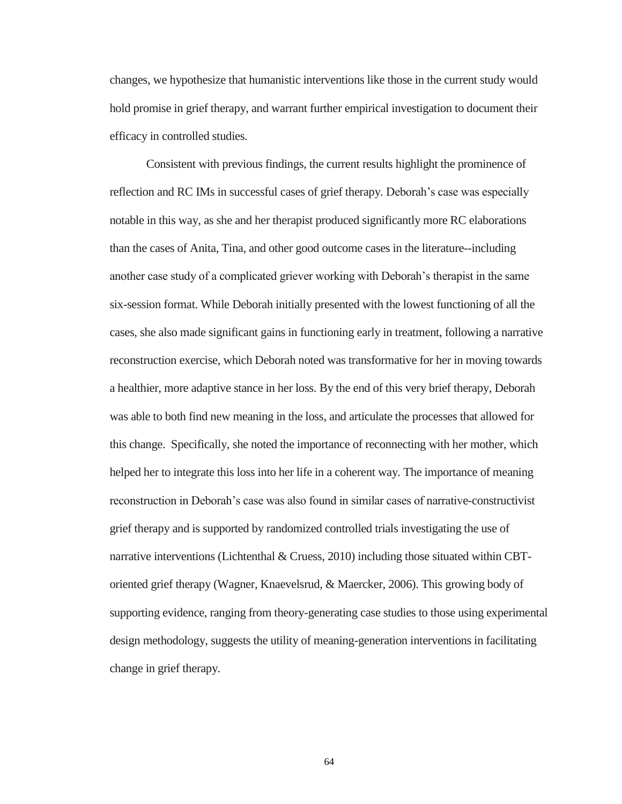changes, we hypothesize that humanistic interventions like those in the current study would hold promise in grief therapy, and warrant further empirical investigation to document their efficacy in controlled studies.

Consistent with previous findings, the current results highlight the prominence of reflection and RC IMs in successful cases of grief therapy. Deborah's case was especially notable in this way, as she and her therapist produced significantly more RC elaborations than the cases of Anita, Tina, and other good outcome cases in the literature--including another case study of a complicated griever working with Deborah's therapist in the same six-session format. While Deborah initially presented with the lowest functioning of all the cases, she also made significant gains in functioning early in treatment, following a narrative reconstruction exercise, which Deborah noted was transformative for her in moving towards a healthier, more adaptive stance in her loss. By the end of this very brief therapy, Deborah was able to both find new meaning in the loss, and articulate the processes that allowed for this change. Specifically, she noted the importance of reconnecting with her mother, which helped her to integrate this loss into her life in a coherent way. The importance of meaning reconstruction in Deborah's case was also found in similar cases of narrative-constructivist grief therapy and is supported by randomized controlled trials investigating the use of narrative interventions (Lichtenthal & Cruess, 2010) including those situated within CBToriented grief therapy (Wagner, Knaevelsrud, & Maercker, 2006). This growing body of supporting evidence, ranging from theory-generating case studies to those using experimental design methodology, suggests the utility of meaning-generation interventions in facilitating change in grief therapy.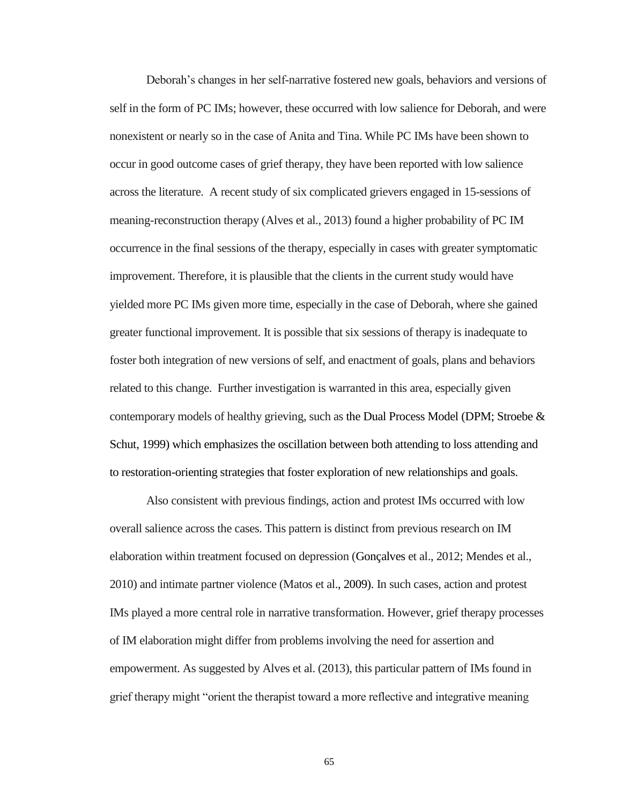Deborah's changes in her self-narrative fostered new goals, behaviors and versions of self in the form of PC IMs; however, these occurred with low salience for Deborah, and were nonexistent or nearly so in the case of Anita and Tina. While PC IMs have been shown to occur in good outcome cases of grief therapy, they have been reported with low salience across the literature. A recent study of six complicated grievers engaged in 15-sessions of meaning-reconstruction therapy (Alves et al., 2013) found a higher probability of PC IM occurrence in the final sessions of the therapy, especially in cases with greater symptomatic improvement. Therefore, it is plausible that the clients in the current study would have yielded more PC IMs given more time, especially in the case of Deborah, where she gained greater functional improvement. It is possible that six sessions of therapy is inadequate to foster both integration of new versions of self, and enactment of goals, plans and behaviors related to this change. Further investigation is warranted in this area, especially given contemporary models of healthy grieving, such as the Dual Process Model (DPM; Stroebe  $\&$ Schut, 1999) which emphasizes the oscillation between both attending to loss attending and to restoration-orienting strategies that foster exploration of new relationships and goals.

Also consistent with previous findings, action and protest IMs occurred with low overall salience across the cases. This pattern is distinct from previous research on IM elaboration within treatment focused on depression (Gonçalves et al., 2012; Mendes et al., 2010) and intimate partner violence (Matos et al., 2009). In such cases, action and protest IMs played a more central role in narrative transformation. However, grief therapy processes of IM elaboration might differ from problems involving the need for assertion and empowerment. As suggested by Alves et al. (2013), this particular pattern of IMs found in grief therapy might "orient the therapist toward a more reflective and integrative meaning

65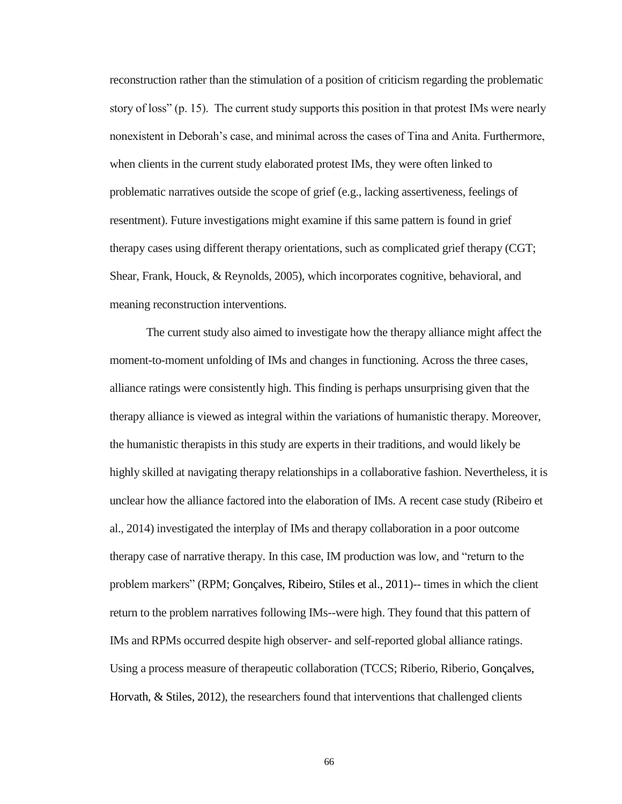reconstruction rather than the stimulation of a position of criticism regarding the problematic story of loss" (p. 15). The current study supports this position in that protest IMs were nearly nonexistent in Deborah's case, and minimal across the cases of Tina and Anita. Furthermore, when clients in the current study elaborated protest IMs, they were often linked to problematic narratives outside the scope of grief (e.g., lacking assertiveness, feelings of resentment). Future investigations might examine if this same pattern is found in grief therapy cases using different therapy orientations, such as complicated grief therapy (CGT; Shear, Frank, Houck, & Reynolds, 2005), which incorporates cognitive, behavioral, and meaning reconstruction interventions.

The current study also aimed to investigate how the therapy alliance might affect the moment-to-moment unfolding of IMs and changes in functioning. Across the three cases, alliance ratings were consistently high. This finding is perhaps unsurprising given that the therapy alliance is viewed as integral within the variations of humanistic therapy. Moreover, the humanistic therapists in this study are experts in their traditions, and would likely be highly skilled at navigating therapy relationships in a collaborative fashion. Nevertheless, it is unclear how the alliance factored into the elaboration of IMs. A recent case study (Ribeiro et al., 2014) investigated the interplay of IMs and therapy collaboration in a poor outcome therapy case of narrative therapy. In this case, IM production was low, and "return to the problem markers" (RPM; Gonçalves, Ribeiro, Stiles et al., 2011)-- times in which the client return to the problem narratives following IMs--were high. They found that this pattern of IMs and RPMs occurred despite high observer- and self-reported global alliance ratings. Using a process measure of therapeutic collaboration (TCCS; Riberio, Riberio, Gonçalves, Horvath, & Stiles, 2012), the researchers found that interventions that challenged clients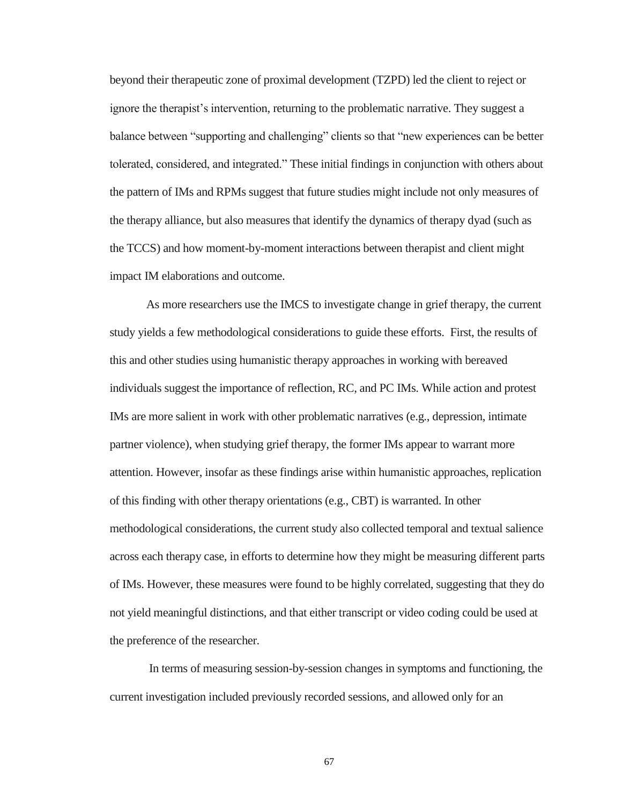beyond their therapeutic zone of proximal development (TZPD) led the client to reject or ignore the therapist's intervention, returning to the problematic narrative. They suggest a balance between "supporting and challenging" clients so that "new experiences can be better tolerated, considered, and integrated." These initial findings in conjunction with others about the pattern of IMs and RPMs suggest that future studies might include not only measures of the therapy alliance, but also measures that identify the dynamics of therapy dyad (such as the TCCS) and how moment-by-moment interactions between therapist and client might impact IM elaborations and outcome.

As more researchers use the IMCS to investigate change in grief therapy, the current study yields a few methodological considerations to guide these efforts. First, the results of this and other studies using humanistic therapy approaches in working with bereaved individuals suggest the importance of reflection, RC, and PC IMs. While action and protest IMs are more salient in work with other problematic narratives (e.g., depression, intimate partner violence), when studying grief therapy, the former IMs appear to warrant more attention. However, insofar as these findings arise within humanistic approaches, replication of this finding with other therapy orientations (e.g., CBT) is warranted. In other methodological considerations, the current study also collected temporal and textual salience across each therapy case, in efforts to determine how they might be measuring different parts of IMs. However, these measures were found to be highly correlated, suggesting that they do not yield meaningful distinctions, and that either transcript or video coding could be used at the preference of the researcher.

In terms of measuring session-by-session changes in symptoms and functioning, the current investigation included previously recorded sessions, and allowed only for an

67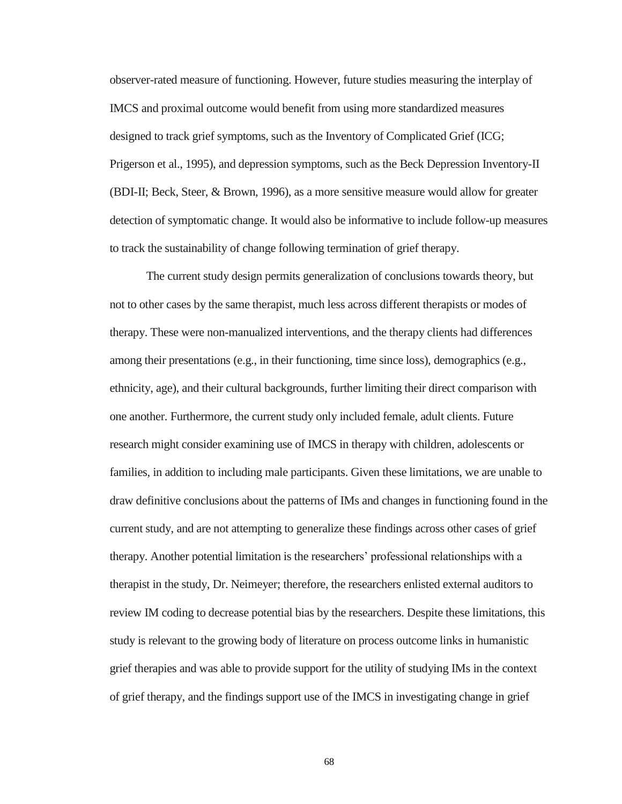observer-rated measure of functioning. However, future studies measuring the interplay of IMCS and proximal outcome would benefit from using more standardized measures designed to track grief symptoms, such as the Inventory of Complicated Grief (ICG; Prigerson et al., 1995), and depression symptoms, such as the Beck Depression Inventory-II (BDI-II; Beck, Steer, & Brown, 1996), as a more sensitive measure would allow for greater detection of symptomatic change. It would also be informative to include follow-up measures to track the sustainability of change following termination of grief therapy.

The current study design permits generalization of conclusions towards theory, but not to other cases by the same therapist, much less across different therapists or modes of therapy. These were non-manualized interventions, and the therapy clients had differences among their presentations (e.g., in their functioning, time since loss), demographics (e.g., ethnicity, age), and their cultural backgrounds, further limiting their direct comparison with one another. Furthermore, the current study only included female, adult clients. Future research might consider examining use of IMCS in therapy with children, adolescents or families, in addition to including male participants. Given these limitations, we are unable to draw definitive conclusions about the patterns of IMs and changes in functioning found in the current study, and are not attempting to generalize these findings across other cases of grief therapy. Another potential limitation is the researchers' professional relationships with a therapist in the study, Dr. Neimeyer; therefore, the researchers enlisted external auditors to review IM coding to decrease potential bias by the researchers. Despite these limitations, this study is relevant to the growing body of literature on process outcome links in humanistic grief therapies and was able to provide support for the utility of studying IMs in the context of grief therapy, and the findings support use of the IMCS in investigating change in grief

68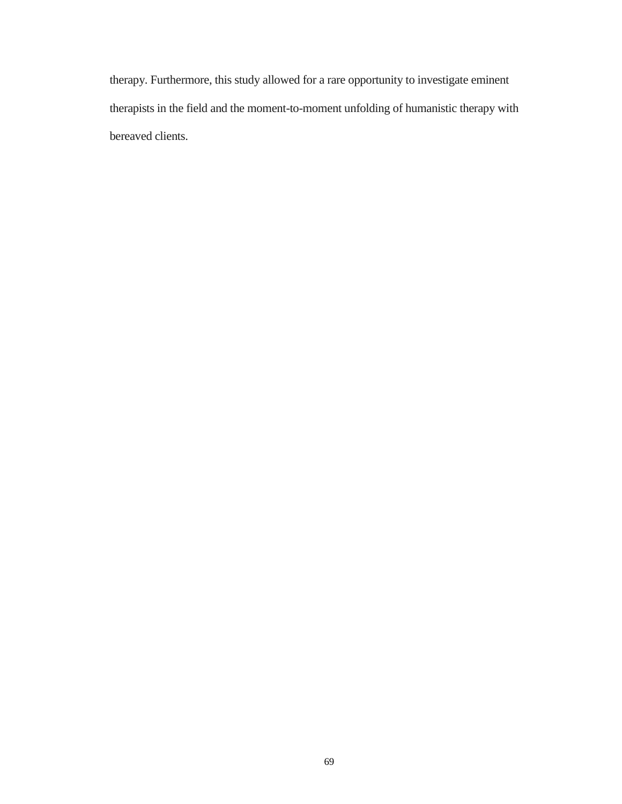therapy. Furthermore, this study allowed for a rare opportunity to investigate eminent therapists in the field and the moment-to-moment unfolding of humanistic therapy with bereaved clients.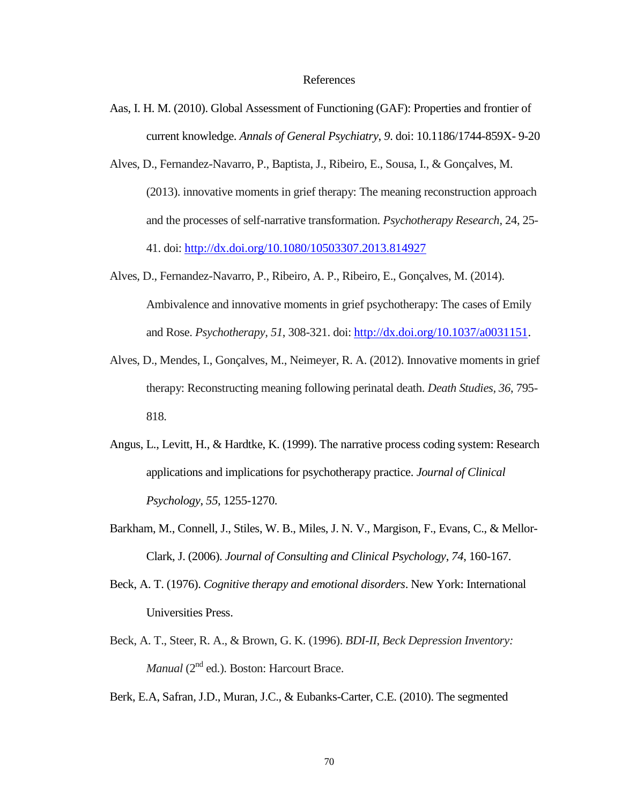#### References

- Aas, I. H. M. (2010). Global Assessment of Functioning (GAF): Properties and frontier of current knowledge. *Annals of General Psychiatry*, *9*. doi: 10.1186/1744-859X- 9-20
- Alves, D., Fernandez-Navarro, P., Baptista, J., Ribeiro, E., Sousa, I., & Gonçalves, M. (2013). innovative moments in grief therapy: The meaning reconstruction approach and the processes of self-narrative transformation. *Psychotherapy Research*, 24, 25- 41. doi:<http://dx.doi.org/10.1080/10503307.2013.814927>
- Alves, D., Fernandez-Navarro, P., Ribeiro, A. P., Ribeiro, E., Gonçalves, M. (2014). Ambivalence and innovative moments in grief psychotherapy: The cases of Emily and Rose. *Psychotherapy, 51*, 308-321. doi[: http://dx.doi.org/10.1037/a0031151.](http://psycnet.apa.org/doi/10.1037/a0031151)
- Alves, D., Mendes, I., Gonçalves, M., Neimeyer, R. A. (2012). Innovative moments in grief therapy: Reconstructing meaning following perinatal death. *Death Studies, 36*, 795- 818.
- Angus, L., Levitt, H., & Hardtke, K. (1999). The narrative process coding system: Research applications and implications for psychotherapy practice. *Journal of Clinical Psychology*, *55*, 1255-1270.
- Barkham, M., Connell, J., Stiles, W. B., Miles, J. N. V., Margison, F., Evans, C., & Mellor-Clark, J. (2006). *Journal of Consulting and Clinical Psychology*, *74*, 160-167.
- Beck, A. T. (1976). *Cognitive therapy and emotional disorders*. New York: International Universities Press.
- Beck, A. T., Steer, R. A., & Brown, G. K. (1996). *BDI-II*, *Beck Depression Inventory: Manual* (2<sup>nd</sup> ed.). Boston: Harcourt Brace.

Berk, E.A, Safran, J.D., Muran, J.C., & Eubanks-Carter, C.E. (2010). The segmented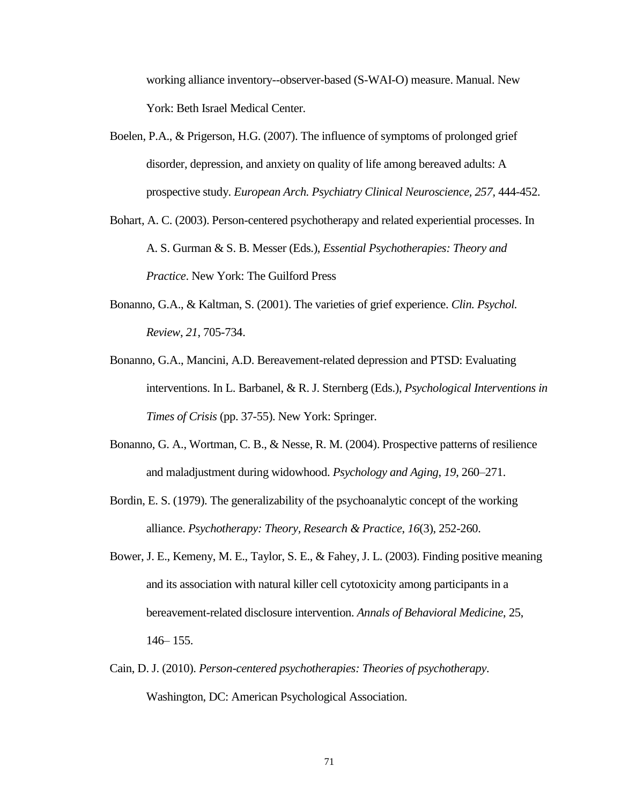working alliance inventory--observer-based (S-WAI-O) measure. Manual. New York: Beth Israel Medical Center.

- Boelen, P.A., & Prigerson, H.G. (2007). The influence of symptoms of prolonged grief disorder, depression, and anxiety on quality of life among bereaved adults: A prospective study. *European Arch. Psychiatry Clinical Neuroscience, 257,* 444-452.
- Bohart, A. C. (2003). Person-centered psychotherapy and related experiential processes. In A. S. Gurman & S. B. Messer (Eds.), *Essential Psychotherapies: Theory and Practice*. New York: The Guilford Press
- Bonanno, G.A., & Kaltman, S. (2001). The varieties of grief experience. *Clin. Psychol. Review*, *21*, 705-734.
- Bonanno, G.A., Mancini, A.D. Bereavement-related depression and PTSD: Evaluating interventions. In L. Barbanel, & R. J. Sternberg (Eds.), *Psychological Interventions in Times of Crisis* (pp. 37-55). New York: Springer.
- Bonanno, G. A., Wortman, C. B., & Nesse, R. M. (2004). Prospective patterns of resilience and maladjustment during widowhood. *Psychology and Aging*, *19*, 260–271.
- Bordin, E. S. (1979). The generalizability of the psychoanalytic concept of the working alliance. *Psychotherapy: Theory, Research & Practice*, *16*(3), 252-260.
- Bower, J. E., Kemeny, M. E., Taylor, S. E., & Fahey, J. L. (2003). Finding positive meaning and its association with natural killer cell cytotoxicity among participants in a bereavement-related disclosure intervention. *Annals of Behavioral Medicine*, 25, 146– 155.
- Cain, D. J. (2010). *Person-centered psychotherapies: Theories of psychotherapy*. Washington, DC: American Psychological Association.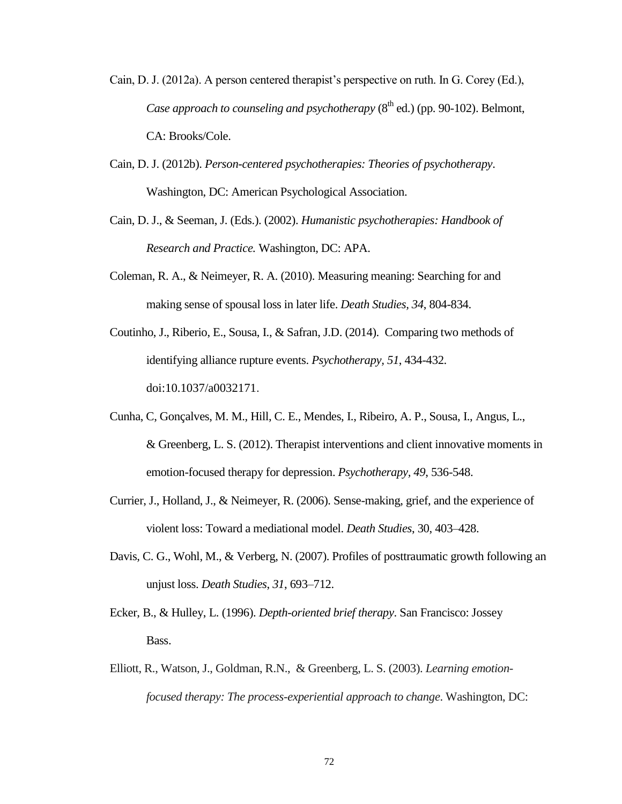- Cain, D. J. (2012a). A person centered therapist's perspective on ruth. In G. Corey (Ed.), *Case approach to counseling and psychotherapy (8<sup>th</sup> ed.) (pp. 90-102). Belmont,* CA: Brooks/Cole.
- Cain, D. J. (2012b). *Person-centered psychotherapies: Theories of psychotherapy*. Washington, DC: American Psychological Association.
- Cain, D. J., & Seeman, J. (Eds.). (2002). *Humanistic psychotherapies: Handbook of Research and Practice.* Washington, DC: APA.
- Coleman, R. A., & Neimeyer, R. A. (2010). Measuring meaning: Searching for and making sense of spousal loss in later life. *Death Studies, 34*, 804-834.
- Coutinho, J., Riberio, E., Sousa, I., & Safran, J.D. (2014). Comparing two methods of identifying alliance rupture events. *Psychotherapy, 51*, 434-432. doi:10.1037/a0032171.
- Cunha, C, Gonçalves, M. M., Hill, C. E., Mendes, I., Ribeiro, A. P., Sousa, I., Angus, L., & Greenberg, L. S. (2012). Therapist interventions and client innovative moments in emotion-focused therapy for depression. *Psychotherapy, 49*, 536-548.
- Currier, J., Holland, J., & Neimeyer, R. (2006). Sense-making, grief, and the experience of violent loss: Toward a mediational model. *Death Studies*, 30, 403–428.
- Davis, C. G., Wohl, M., & Verberg, N. (2007). Profiles of posttraumatic growth following an unjust loss. *Death Studies*, *31*, 693–712.
- Ecker, B., & Hulley, L. (1996). *Depth-oriented brief therapy*. San Francisco: Jossey Bass.
- Elliott, R., Watson, J., Goldman, R.N., & Greenberg, L. S. (2003). *Learning emotionfocused therapy: The process-experiential approach to change*. Washington, DC: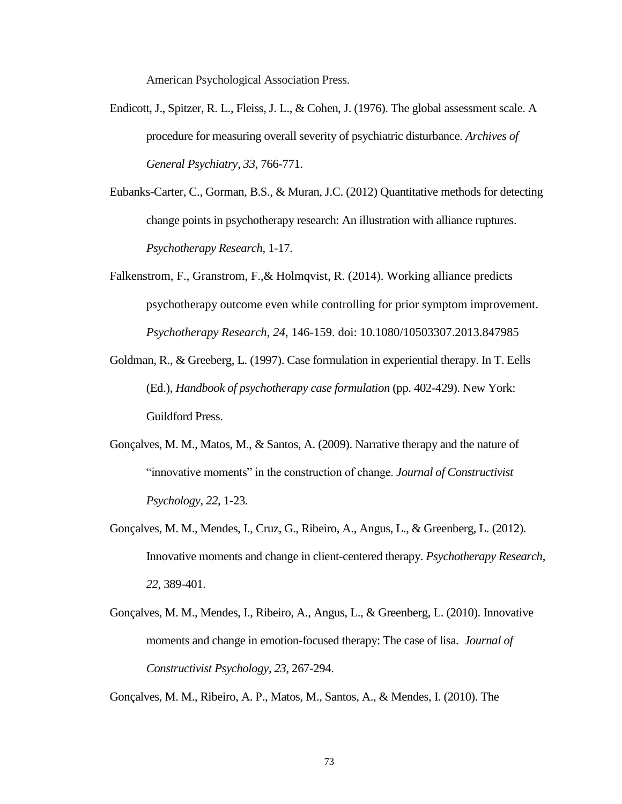American Psychological Association Press.

- Endicott, J., Spitzer, R. L., Fleiss, J. L., & Cohen, J. (1976). The global assessment scale. A procedure for measuring overall severity of psychiatric disturbance. *Archives of General Psychiatry*, *33*, 766-771.
- Eubanks-Carter, C., Gorman, B.S., & Muran, J.C. (2012) Quantitative methods for detecting change points in psychotherapy research: An illustration with alliance ruptures. *Psychotherapy Research*, 1-17.
- Falkenstrom, F., Granstrom, F.,& Holmqvist, R. (2014). Working alliance predicts psychotherapy outcome even while controlling for prior symptom improvement. *Psychotherapy Research, 24*, 146-159. doi: 10.1080/10503307.2013.847985
- Goldman, R., & Greeberg, L. (1997). Case formulation in experiential therapy. In T. Eells (Ed.), *Handbook of psychotherapy case formulation* (pp. 402-429). New York: Guildford Press.
- Gonçalves, M. M., Matos, M., & Santos, A. (2009). Narrative therapy and the nature of "innovative moments" in the construction of change. *Journal of Constructivist Psychology*, *22*, 1-23.
- Gonçalves, M. M., Mendes, I., Cruz, G., Ribeiro, A., Angus, L., & Greenberg, L. (2012). Innovative moments and change in client-centered therapy. *Psychotherapy Research*, *22*, 389-401.
- Gonçalves, M. M., Mendes, I., Ribeiro, A., Angus, L., & Greenberg, L. (2010). Innovative moments and change in emotion-focused therapy: The case of lisa. *Journal of Constructivist Psychology, 23*, 267-294.

Gonçalves, M. M., Ribeiro, A. P., Matos, M., Santos, A., & Mendes, I. (2010). The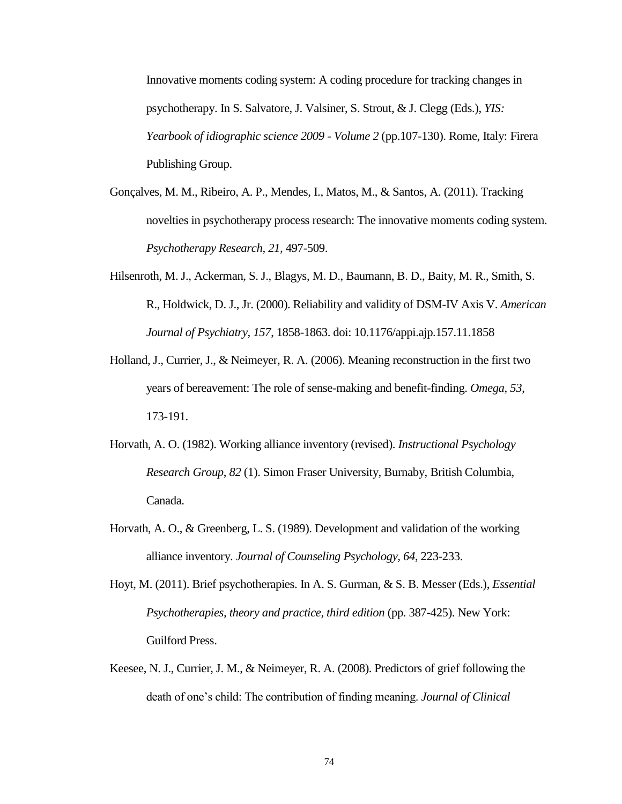Innovative moments coding system: A coding procedure for tracking changes in psychotherapy. In S. Salvatore, J. Valsiner, S. Strout, & J. Clegg (Eds.), *YIS: Yearbook of idiographic science 2009 - Volume 2* (pp.107-130). Rome, Italy: Firera Publishing Group.

- Gonçalves, M. M., Ribeiro, A. P., Mendes, I., Matos, M., & Santos, A. (2011). Tracking novelties in psychotherapy process research: The innovative moments coding system. *Psychotherapy Research, 21,* 497-509.
- Hilsenroth, M. J., Ackerman, S. J., Blagys, M. D., Baumann, B. D., Baity, M. R., Smith, S. R., Holdwick, D. J., Jr. (2000). Reliability and validity of DSM-IV Axis V. *American Journal of Psychiatry*, *157*, 1858-1863. doi: 10.1176/appi.ajp.157.11.1858
- Holland, J., Currier, J., & Neimeyer, R. A. (2006). Meaning reconstruction in the first two years of bereavement: The role of sense-making and benefit-finding. *Omega, 53*, 173-191.
- Horvath, A. O. (1982). Working alliance inventory (revised). *Instructional Psychology Research Group*, *82* (1). Simon Fraser University, Burnaby, British Columbia, Canada.
- Horvath, A. O., & Greenberg, L. S. (1989). Development and validation of the working alliance inventory. *Journal of Counseling Psychology, 64*, 223-233.
- Hoyt, M. (2011). Brief psychotherapies. In A. S. Gurman, & S. B. Messer (Eds.), *Essential Psychotherapies, theory and practice, third edition (pp. 387-425). New York:* Guilford Press.
- Keesee, N. J., Currier, J. M., & Neimeyer, R. A. (2008). Predictors of grief following the death of one's child: The contribution of finding meaning. *Journal of Clinical*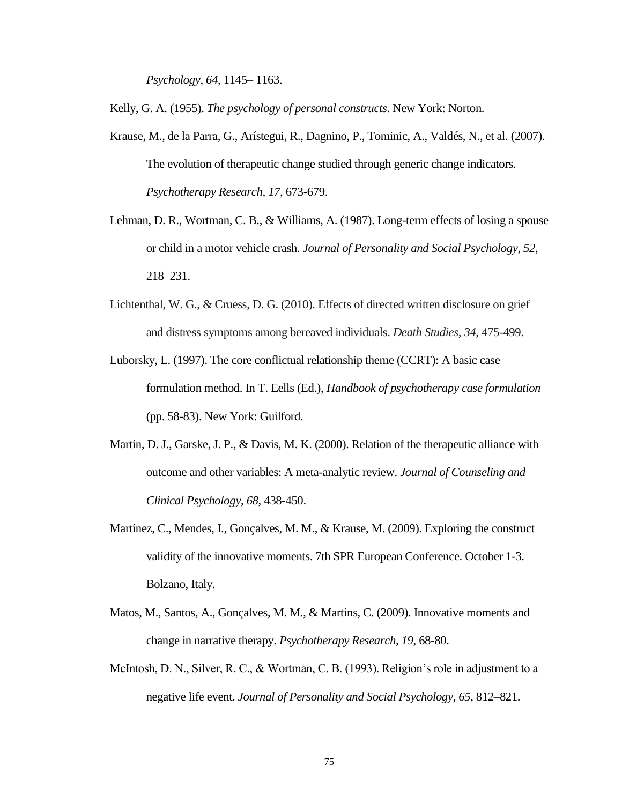*Psychology*, *64*, 1145– 1163.

Kelly, G. A. (1955). *The psychology of personal constructs*. New York: Norton.

- Krause, M., de la Parra, G., Arístegui, R., Dagnino, P., Tominic, A., Valdés, N., et al. (2007). The evolution of therapeutic change studied through generic change indicators. *Psychotherapy Research, 17*, 673-679.
- Lehman, D. R., Wortman, C. B., & Williams, A. (1987). Long-term effects of losing a spouse or child in a motor vehicle crash. *Journal of Personality and Social Psychology*, *52*, 218–231.
- Lichtenthal, W. G., & Cruess, D. G. (2010). Effects of directed written disclosure on grief and distress symptoms among bereaved individuals. *Death Studies, 34*, 475-499.
- Luborsky, L. (1997). The core conflictual relationship theme (CCRT): A basic case formulation method. In T. Eells (Ed.), *Handbook of psychotherapy case formulation* (pp. 58-83). New York: Guilford.
- Martin, D. J., Garske, J. P., & Davis, M. K. (2000). Relation of the therapeutic alliance with outcome and other variables: A meta-analytic review. *Journal of Counseling and Clinical Psychology, 68*, 438-450.
- Martínez, C., Mendes, I., Gonçalves, M. M., & Krause, M. (2009). Exploring the construct validity of the innovative moments. 7th SPR European Conference. October 1-3. Bolzano, Italy.
- Matos, M., Santos, A., Gonçalves, M. M., & Martins, C. (2009). Innovative moments and change in narrative therapy. *Psychotherapy Research, 19*, 68-80.
- McIntosh, D. N., Silver, R. C., & Wortman, C. B. (1993). Religion's role in adjustment to a negative life event. *Journal of Personality and Social Psychology*, *65*, 812–821.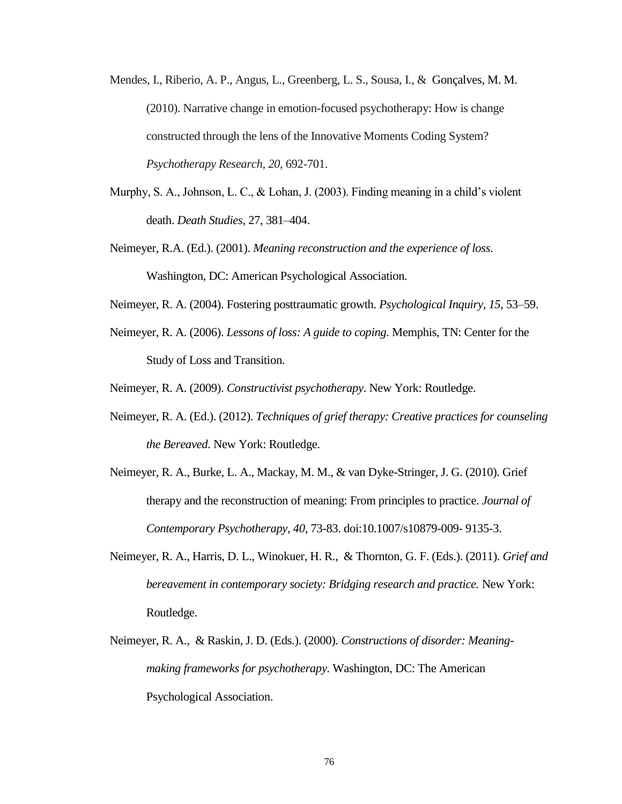- Mendes, I., Riberio, A. P., Angus, L., Greenberg, L. S., Sousa, I., & Gonçalves, M. M. (2010). Narrative change in emotion-focused psychotherapy: How is change constructed through the lens of the Innovative Moments Coding System? *Psychotherapy Research, 20*, 692-701.
- Murphy, S. A., Johnson, L. C., & Lohan, J. (2003). Finding meaning in a child's violent death. *Death Studies*, 27, 381–404.
- Neimeyer, R.A. (Ed.). (2001). *Meaning reconstruction and the experience of loss*. Washington, DC: American Psychological Association.
- Neimeyer, R. A. (2004). Fostering posttraumatic growth. *Psychological Inquiry*, *15*, 53–59.
- Neimeyer, R. A. (2006). *Lessons of loss: A guide to coping.* Memphis, TN: Center for the Study of Loss and Transition.

Neimeyer, R. A. (2009). *Constructivist psychotherapy*. New York: Routledge.

- Neimeyer, R. A. (Ed.). (2012). *Techniques of grief therapy: Creative practices for counseling the Bereaved*. New York: Routledge.
- Neimeyer, R. A., Burke, L. A., Mackay, M. M., & van Dyke-Stringer, J. G. (2010). Grief therapy and the reconstruction of meaning: From principles to practice. *Journal of Contemporary Psychotherapy, 40*, 73-83. doi:10.1007/s10879-009- 9135-3.
- Neimeyer, R. A., Harris, D. L., Winokuer, H. R., & Thornton, G. F. (Eds.). (2011). *Grief and bereavement in contemporary society: Bridging research and practice.* New York: Routledge.
- Neimeyer, R. A., & Raskin, J. D. (Eds.). (2000). *Constructions of disorder: Meaningmaking frameworks for psychotherapy*. Washington, DC: The American Psychological Association.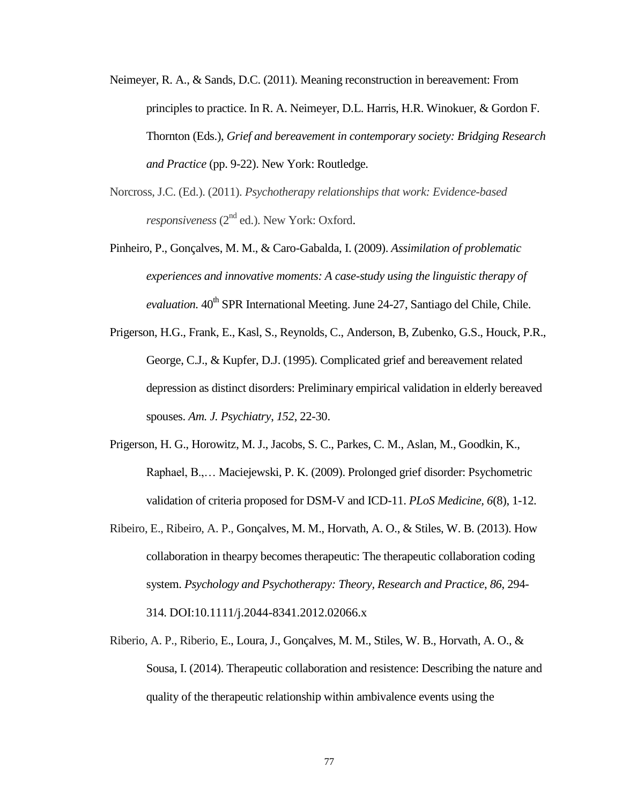- Neimeyer, R. A., & Sands, D.C. (2011). Meaning reconstruction in bereavement: From principles to practice. In R. A. Neimeyer, D.L. Harris, H.R. Winokuer, & Gordon F. Thornton (Eds.), *Grief and bereavement in contemporary society: Bridging Research and Practice* (pp. 9-22). New York: Routledge.
- Norcross, J.C. (Ed.). (2011). *Psychotherapy relationships that work: Evidence-based responsiveness* (2<sup>nd</sup> ed.). New York: Oxford.
- Pinheiro, P., Gonçalves, M. M., & Caro-Gabalda, I. (2009). *Assimilation of problematic experiences and innovative moments: A case-study using the linguistic therapy of evaluation.* 40<sup>th</sup> SPR International Meeting. June 24-27, Santiago del Chile, Chile.
- Prigerson, H.G., Frank, E., Kasl, S., Reynolds, C., Anderson, B, Zubenko, G.S., Houck, P.R., George, C.J., & Kupfer, D.J. (1995). Complicated grief and bereavement related depression as distinct disorders: Preliminary empirical validation in elderly bereaved spouses. *Am. J. Psychiatry*, *152*, 22-30.
- Prigerson, H. G., Horowitz, M. J., Jacobs, S. C., Parkes, C. M., Aslan, M., Goodkin, K., Raphael, B.,… Maciejewski, P. K. (2009). Prolonged grief disorder: Psychometric validation of criteria proposed for DSM-V and ICD-11. *PLoS Medicine, 6*(8), 1-12.
- Ribeiro, E., Ribeiro, A. P., Gonçalves, M. M., Horvath, A. O., & Stiles, W. B. (2013). How collaboration in thearpy becomes therapeutic: The therapeutic collaboration coding system. *Psychology and Psychotherapy: Theory, Research and Practice*, *86*, 294- 314. DOI:10.1111/j.2044-8341.2012.02066.x
- Riberio, A. P., Riberio, E., Loura, J., Gonçalves, M. M., Stiles, W. B., Horvath, A. O., & Sousa, I. (2014). Therapeutic collaboration and resistence: Describing the nature and quality of the therapeutic relationship within ambivalence events using the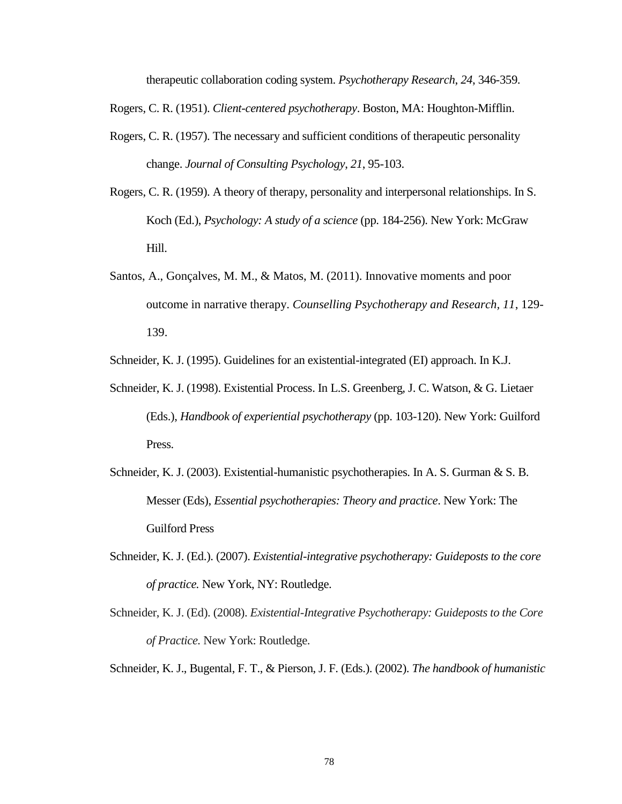therapeutic collaboration coding system. *Psychotherapy Research*, *24*, 346-359.

Rogers, C. R. (1951). *Client-centered psychotherapy*. Boston, MA: Houghton-Mifflin.

- Rogers, C. R. (1957). The necessary and sufficient conditions of therapeutic personality change. *Journal of Consulting Psychology*, *21*, 95-103.
- Rogers, C. R. (1959). A theory of therapy, personality and interpersonal relationships. In S. Koch (Ed.), *Psychology: A study of a science* (pp. 184-256). New York: McGraw Hill.
- Santos, A., Gonçalves, M. M., & Matos, M. (2011). Innovative moments and poor outcome in narrative therapy. *Counselling Psychotherapy and Research, 11*, 129- 139.

Schneider, K. J. (1995). Guidelines for an existential-integrated (EI) approach. In K.J.

- Schneider, K. J. (1998). Existential Process. In L.S. Greenberg, J. C. Watson, & G. Lietaer (Eds.), *Handbook of experiential psychotherapy* (pp. 103-120). New York: Guilford Press.
- Schneider, K. J. (2003). Existential-humanistic psychotherapies. In A. S. Gurman & S. B. Messer (Eds), *Essential psychotherapies: Theory and practice*. New York: The Guilford Press
- Schneider, K. J. (Ed.). (2007). *Existential-integrative psychotherapy: Guideposts to the core of practice.* New York, NY: Routledge.
- Schneider, K. J. (Ed). (2008). *Existential-Integrative Psychotherapy: Guideposts to the Core of Practice.* New York: Routledge.

Schneider, K. J., Bugental, F. T., & Pierson, J. F. (Eds.). (2002). *The handbook of humanistic*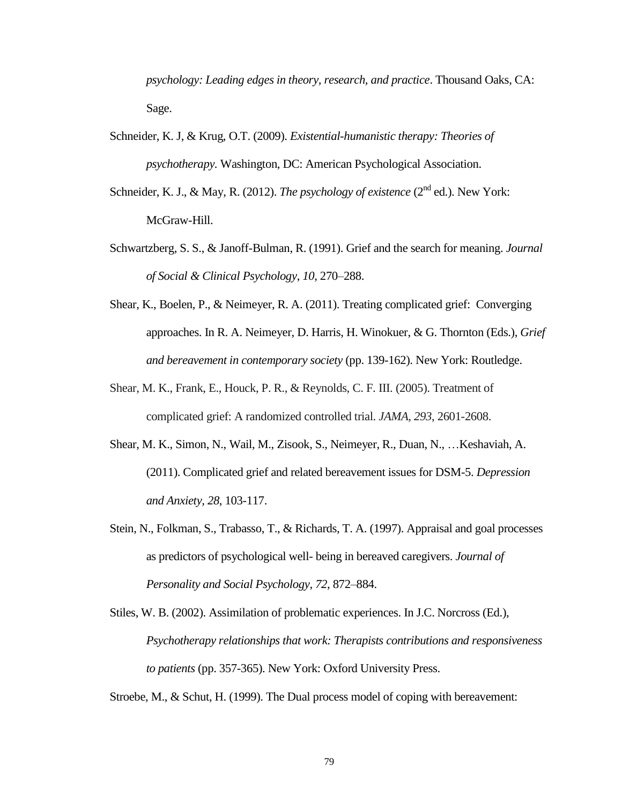*psychology: Leading edges in theory, research, and practice*. Thousand Oaks, CA: Sage.

- Schneider, K. J, & Krug, O.T. (2009). *Existential-humanistic therapy: Theories of psychotherapy.* Washington, DC: American Psychological Association.
- Schneider, K. J., & May, R. (2012). *The psychology of existence* (2<sup>nd</sup> ed.). New York: McGraw-Hill.
- Schwartzberg, S. S., & Janoff-Bulman, R. (1991). Grief and the search for meaning. *Journal of Social & Clinical Psychology*, *10*, 270–288.
- Shear, K., Boelen, P., & Neimeyer, R. A. (2011). Treating complicated grief: Converging approaches. In R. A. Neimeyer, D. Harris, H. Winokuer, & G. Thornton (Eds.), *Grief and bereavement in contemporary society* (pp. 139-162). New York: Routledge.
- Shear, M. K., Frank, E., Houck, P. R., & Reynolds, C. F. III. (2005). Treatment of complicated grief: A randomized controlled trial. *JAMA, 293*, 2601-2608.
- Shear, M. K., Simon, N., Wail, M., Zisook, S., Neimeyer, R., Duan, N., …Keshaviah, A. (2011). Complicated grief and related bereavement issues for DSM-5. *Depression and Anxiety, 28*, 103-117.
- Stein, N., Folkman, S., Trabasso, T., & Richards, T. A. (1997). Appraisal and goal processes as predictors of psychological well- being in bereaved caregivers. *Journal of Personality and Social Psychology*, *72*, 872–884.
- Stiles, W. B. (2002). Assimilation of problematic experiences. In J.C. Norcross (Ed.), *Psychotherapy relationships that work: Therapists contributions and responsiveness to patients* (pp. 357-365). New York: Oxford University Press.

Stroebe, M., & Schut, H. (1999). The Dual process model of coping with bereavement: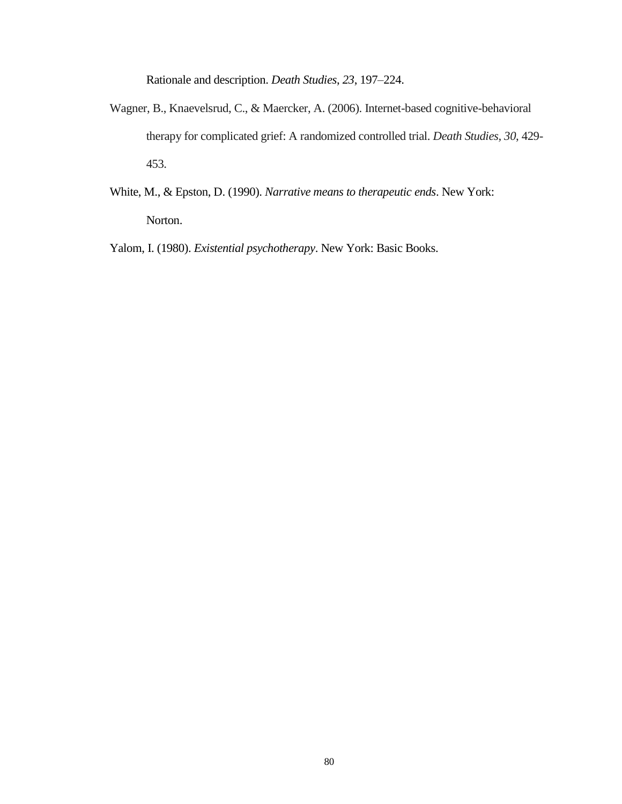Rationale and description. *Death Studies*, *23*, 197–224.

- Wagner, B., Knaevelsrud, C., & Maercker, A. (2006). Internet-based cognitive-behavioral therapy for complicated grief: A randomized controlled trial. *Death Studies, 30*, 429- 453.
- White, M., & Epston, D. (1990). *Narrative means to therapeutic ends*. New York: Norton.

Yalom, I. (1980). *Existential psychotherapy*. New York: Basic Books.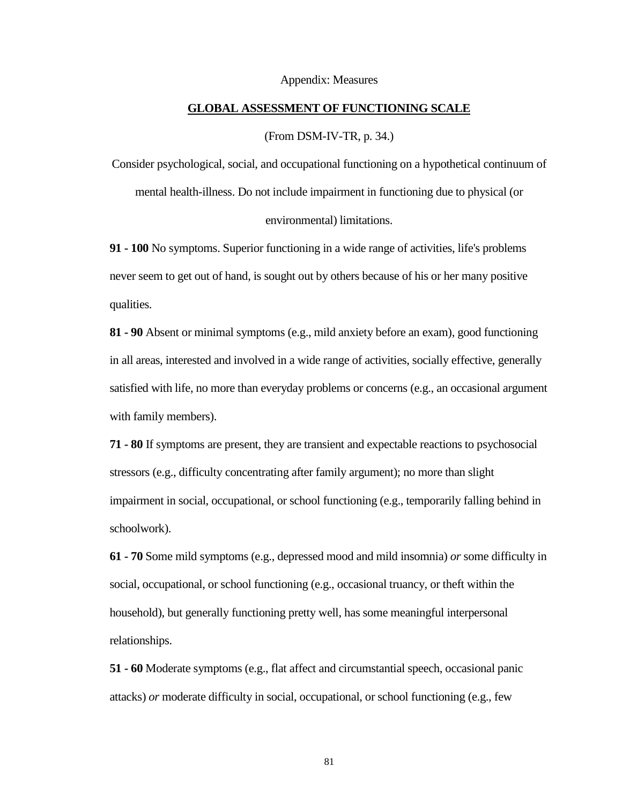#### Appendix: Measures

#### **GLOBAL ASSESSMENT OF FUNCTIONING SCALE**

(From DSM-IV-TR, p. 34.)

Consider psychological, social, and occupational functioning on a hypothetical continuum of mental health-illness. Do not include impairment in functioning due to physical (or environmental) limitations.

**91 - 100** No symptoms. Superior functioning in a wide range of activities, life's problems never seem to get out of hand, is sought out by others because of his or her many positive qualities.

**81 - 90** Absent or minimal symptoms (e.g., mild anxiety before an exam), good functioning in all areas, interested and involved in a wide range of activities, socially effective, generally satisfied with life, no more than everyday problems or concerns (e.g., an occasional argument with family members).

**71 - 80** If symptoms are present, they are transient and expectable reactions to psychosocial stressors (e.g., difficulty concentrating after family argument); no more than slight impairment in social, occupational, or school functioning (e.g., temporarily falling behind in schoolwork).

**61 - 70** Some mild symptoms (e.g., depressed mood and mild insomnia) *or* some difficulty in social, occupational, or school functioning (e.g., occasional truancy, or theft within the household), but generally functioning pretty well, has some meaningful interpersonal relationships.

**51 - 60** Moderate symptoms (e.g., flat affect and circumstantial speech, occasional panic attacks) *or* moderate difficulty in social, occupational, or school functioning (e.g., few

81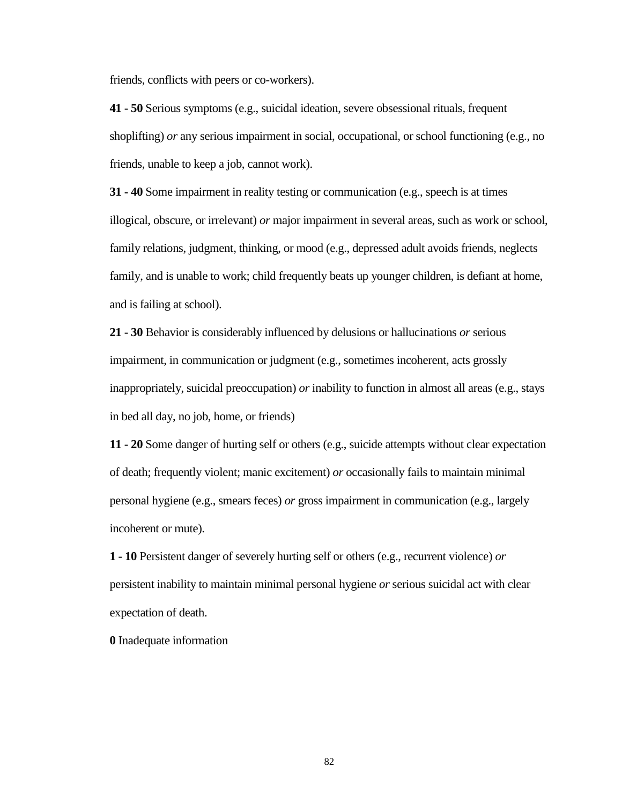friends, conflicts with peers or co-workers).

**41 - 50** Serious symptoms (e.g., suicidal ideation, severe obsessional rituals, frequent shoplifting) *or* any serious impairment in social, occupational, or school functioning (e.g., no friends, unable to keep a job, cannot work).

**31 - 40** Some impairment in reality testing or communication (e.g., speech is at times illogical, obscure, or irrelevant) *or* major impairment in several areas, such as work or school, family relations, judgment, thinking, or mood (e.g., depressed adult avoids friends, neglects family, and is unable to work; child frequently beats up younger children, is defiant at home, and is failing at school).

**21 - 30** Behavior is considerably influenced by delusions or hallucinations *or* serious impairment, in communication or judgment (e.g., sometimes incoherent, acts grossly inappropriately, suicidal preoccupation) *or* inability to function in almost all areas (e.g., stays in bed all day, no job, home, or friends)

**11 - 20** Some danger of hurting self or others (e.g., suicide attempts without clear expectation of death; frequently violent; manic excitement) *or* occasionally fails to maintain minimal personal hygiene (e.g., smears feces) *or* gross impairment in communication (e.g., largely incoherent or mute).

**1 - 10** Persistent danger of severely hurting self or others (e.g., recurrent violence) *or* persistent inability to maintain minimal personal hygiene *or* serious suicidal act with clear expectation of death.

**0** Inadequate information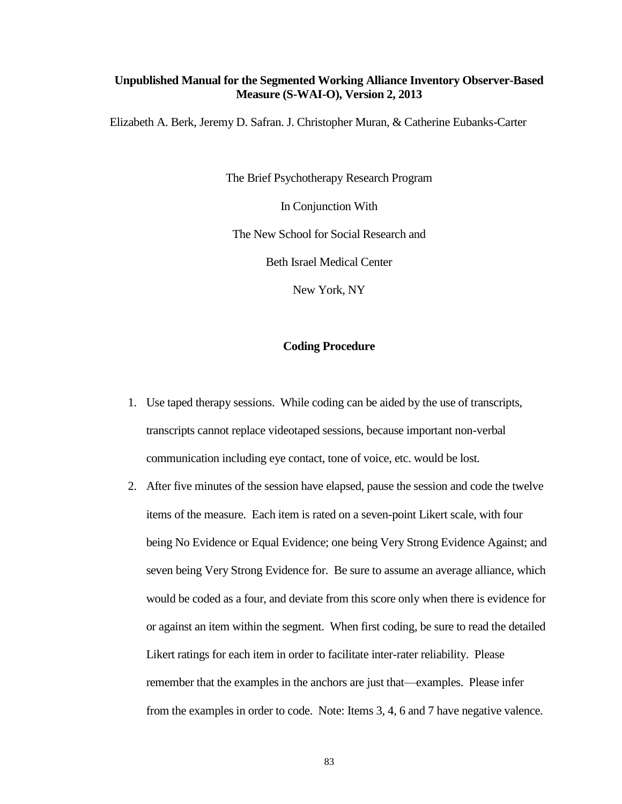### **Unpublished Manual for the Segmented Working Alliance Inventory Observer-Based Measure (S-WAI-O), Version 2, 2013**

Elizabeth A. Berk, Jeremy D. Safran. J. Christopher Muran, & Catherine Eubanks-Carter

The Brief Psychotherapy Research Program

In Conjunction With

The New School for Social Research and

Beth Israel Medical Center

New York, NY

### **Coding Procedure**

- 1. Use taped therapy sessions. While coding can be aided by the use of transcripts, transcripts cannot replace videotaped sessions, because important non-verbal communication including eye contact, tone of voice, etc. would be lost.
- 2. After five minutes of the session have elapsed, pause the session and code the twelve items of the measure. Each item is rated on a seven-point Likert scale, with four being No Evidence or Equal Evidence; one being Very Strong Evidence Against; and seven being Very Strong Evidence for. Be sure to assume an average alliance, which would be coded as a four, and deviate from this score only when there is evidence for or against an item within the segment. When first coding, be sure to read the detailed Likert ratings for each item in order to facilitate inter-rater reliability. Please remember that the examples in the anchors are just that—examples. Please infer from the examples in order to code. Note: Items 3, 4, 6 and 7 have negative valence.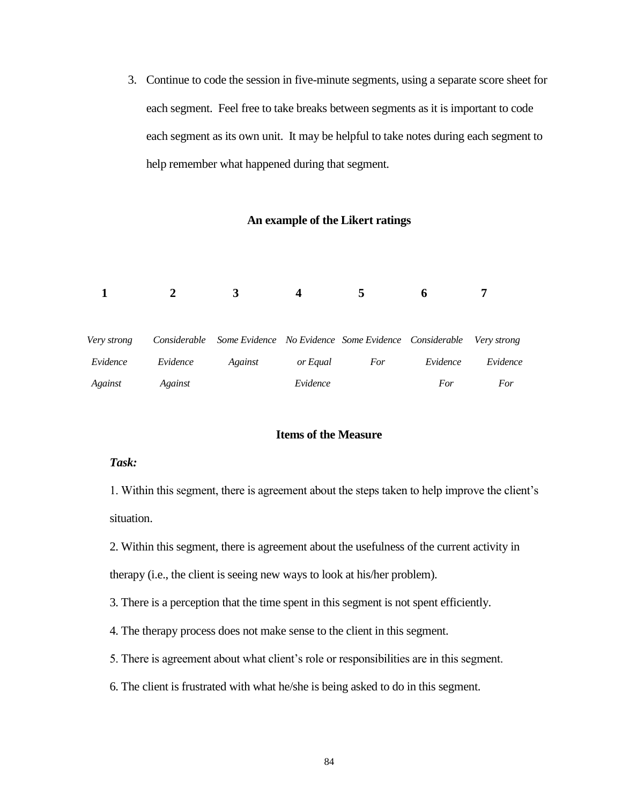3. Continue to code the session in five-minute segments, using a separate score sheet for each segment. Feel free to take breaks between segments as it is important to code each segment as its own unit. It may be helpful to take notes during each segment to help remember what happened during that segment.

### **An example of the Likert ratings**

|             |          |                                                                               |          | 5   | h        | −        |  |
|-------------|----------|-------------------------------------------------------------------------------|----------|-----|----------|----------|--|
| Very strong |          | Considerable Some Evidence No Evidence Some Evidence Considerable Very strong |          |     |          |          |  |
| Evidence    | Evidence | Against                                                                       | or Equal | For | Evidence | Evidence |  |
| Against     | Against  |                                                                               | Evidence |     | For      | For      |  |

### **Items of the Measure**

### *Task:*

1. Within this segment, there is agreement about the steps taken to help improve the client's situation.

2. Within this segment, there is agreement about the usefulness of the current activity in therapy (i.e., the client is seeing new ways to look at his/her problem).

3. There is a perception that the time spent in this segment is not spent efficiently.

4. The therapy process does not make sense to the client in this segment.

- 5. There is agreement about what client's role or responsibilities are in this segment.
- 6. The client is frustrated with what he/she is being asked to do in this segment.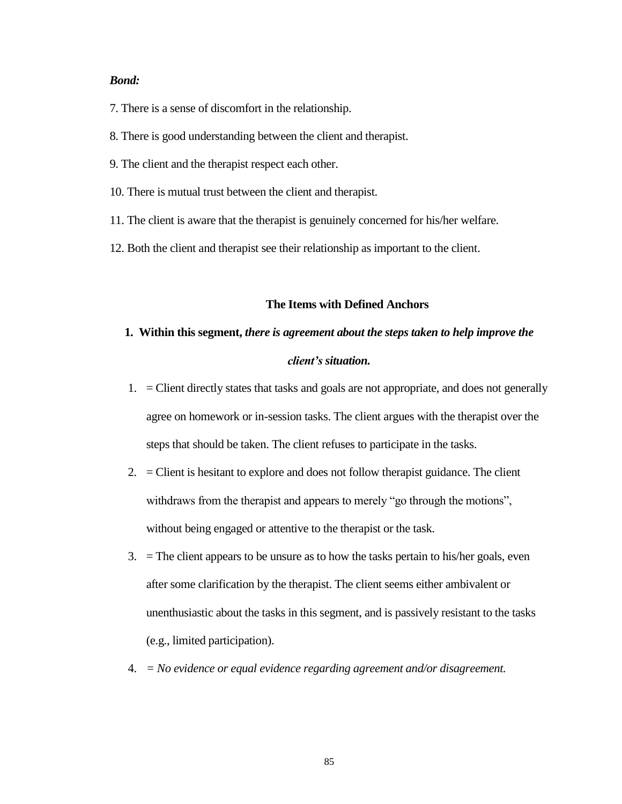### *Bond:*

7. There is a sense of discomfort in the relationship.

8. There is good understanding between the client and therapist.

9. The client and the therapist respect each other.

- 10. There is mutual trust between the client and therapist.
- 11. The client is aware that the therapist is genuinely concerned for his/her welfare.
- 12. Both the client and therapist see their relationship as important to the client.

### **The Items with Defined Anchors**

### **1. Within this segment,** *there is agreement about the steps taken to help improve the client's situation.*

- 1. = Client directly states that tasks and goals are not appropriate, and does not generally agree on homework or in-session tasks. The client argues with the therapist over the steps that should be taken. The client refuses to participate in the tasks.
- 2.  $=$  Client is hesitant to explore and does not follow therapist guidance. The client withdraws from the therapist and appears to merely "go through the motions", without being engaged or attentive to the therapist or the task.
- $3.$  = The client appears to be unsure as to how the tasks pertain to his/her goals, even after some clarification by the therapist. The client seems either ambivalent or unenthusiastic about the tasks in this segment, and is passively resistant to the tasks (e.g., limited participation).
- 4. *= No evidence or equal evidence regarding agreement and/or disagreement.*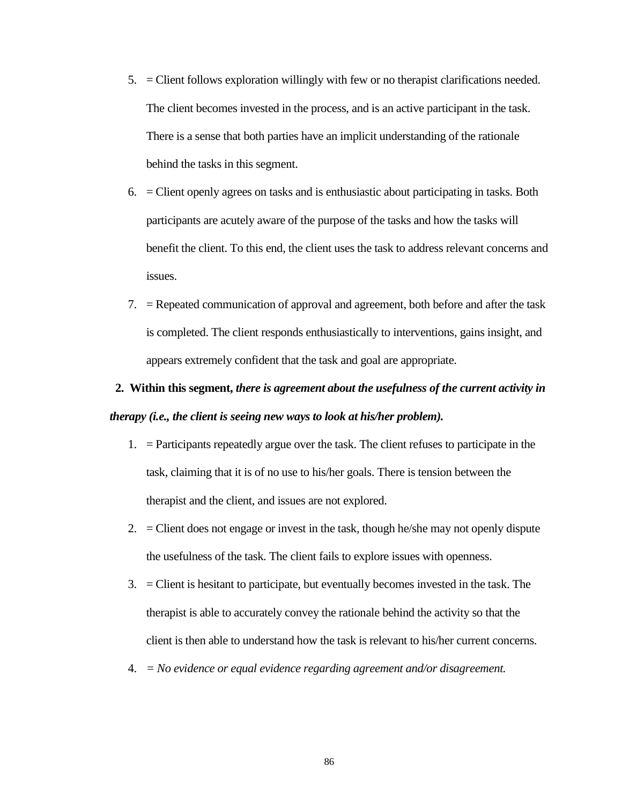- 5. = Client follows exploration willingly with few or no therapist clarifications needed. The client becomes invested in the process, and is an active participant in the task. There is a sense that both parties have an implicit understanding of the rationale behind the tasks in this segment.
- 6. = Client openly agrees on tasks and is enthusiastic about participating in tasks. Both participants are acutely aware of the purpose of the tasks and how the tasks will benefit the client. To this end, the client uses the task to address relevant concerns and issues.
- 7. = Repeated communication of approval and agreement, both before and after the task is completed. The client responds enthusiastically to interventions, gains insight, and appears extremely confident that the task and goal are appropriate.

# **2. Within this segment,** *there is agreement about the usefulness of the current activity in therapy (i.e., the client is seeing new ways to look at his/her problem).*

- 1. = Participants repeatedly argue over the task. The client refuses to participate in the task, claiming that it is of no use to his/her goals. There is tension between the therapist and the client, and issues are not explored.
- 2.  $=$  Client does not engage or invest in the task, though he/she may not openly dispute the usefulness of the task. The client fails to explore issues with openness.
- 3. = Client is hesitant to participate, but eventually becomes invested in the task. The therapist is able to accurately convey the rationale behind the activity so that the client is then able to understand how the task is relevant to his/her current concerns.
- 4. *= No evidence or equal evidence regarding agreement and/or disagreement.*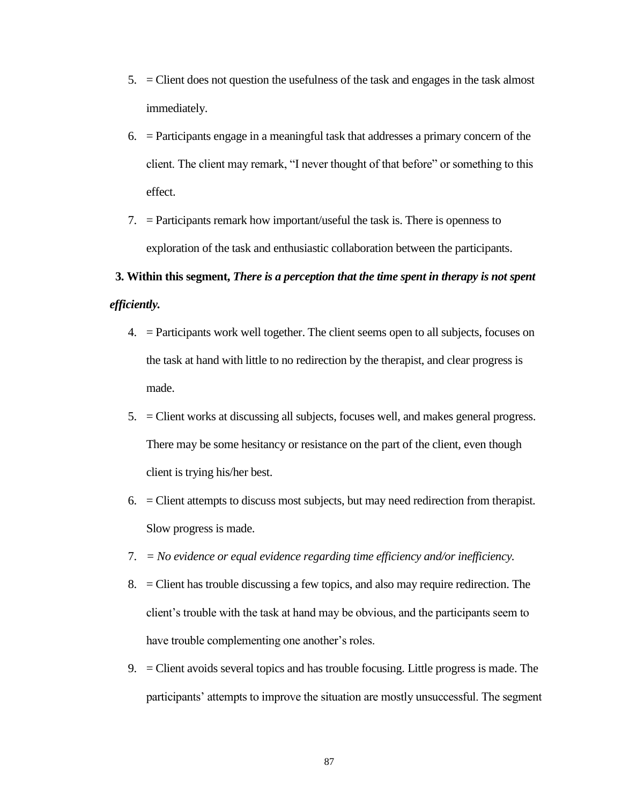- 5. = Client does not question the usefulness of the task and engages in the task almost immediately.
- 6. = Participants engage in a meaningful task that addresses a primary concern of the client. The client may remark, "I never thought of that before" or something to this effect.
- 7. = Participants remark how important/useful the task is. There is openness to exploration of the task and enthusiastic collaboration between the participants.

## **3. Within this segment,** *There is a perception that the time spent in therapy is not spent efficiently.*

- 4. = Participants work well together. The client seems open to all subjects, focuses on the task at hand with little to no redirection by the therapist, and clear progress is made.
- 5. = Client works at discussing all subjects, focuses well, and makes general progress. There may be some hesitancy or resistance on the part of the client, even though client is trying his/her best.
- 6. = Client attempts to discuss most subjects, but may need redirection from therapist. Slow progress is made.
- 7. *= No evidence or equal evidence regarding time efficiency and/or inefficiency.*
- 8. = Client has trouble discussing a few topics, and also may require redirection. The client's trouble with the task at hand may be obvious, and the participants seem to have trouble complementing one another's roles.
- 9. = Client avoids several topics and has trouble focusing. Little progress is made. The participants' attempts to improve the situation are mostly unsuccessful. The segment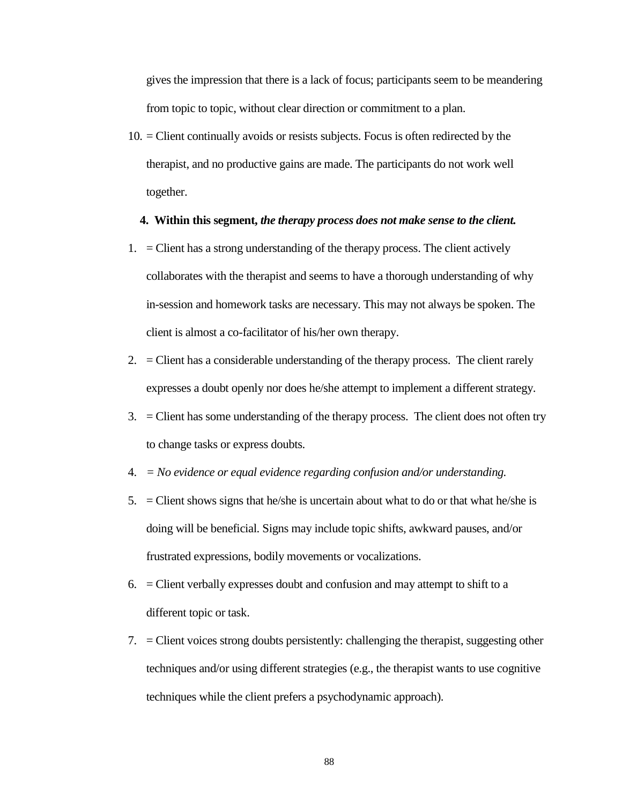gives the impression that there is a lack of focus; participants seem to be meandering from topic to topic, without clear direction or commitment to a plan.

10. = Client continually avoids or resists subjects. Focus is often redirected by the therapist, and no productive gains are made. The participants do not work well together.

### **4. Within this segment,** *the therapy process does not make sense to the client.*

- 1.  $=$  Client has a strong understanding of the therapy process. The client actively collaborates with the therapist and seems to have a thorough understanding of why in-session and homework tasks are necessary. This may not always be spoken. The client is almost a co-facilitator of his/her own therapy.
- 2.  $=$  Client has a considerable understanding of the therapy process. The client rarely expresses a doubt openly nor does he/she attempt to implement a different strategy.
- 3. = Client has some understanding of the therapy process. The client does not often try to change tasks or express doubts.
- 4. *= No evidence or equal evidence regarding confusion and/or understanding.*
- 5.  $=$  Client shows signs that he/she is uncertain about what to do or that what he/she is doing will be beneficial. Signs may include topic shifts, awkward pauses, and/or frustrated expressions, bodily movements or vocalizations.
- $6.$  = Client verbally expresses doubt and confusion and may attempt to shift to a different topic or task.
- 7. = Client voices strong doubts persistently: challenging the therapist, suggesting other techniques and/or using different strategies (e.g., the therapist wants to use cognitive techniques while the client prefers a psychodynamic approach).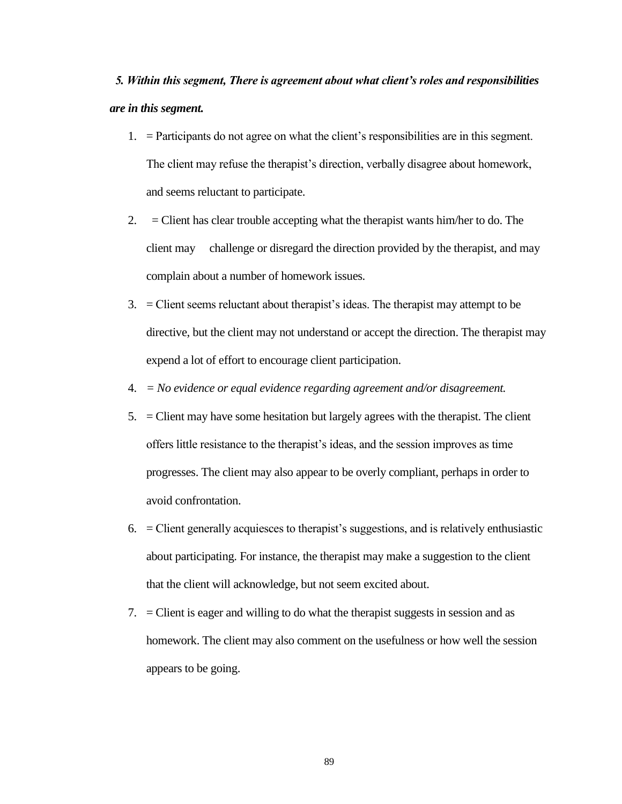*5. Within this segment, There is agreement about what client's roles and responsibilities are in this segment.*

- 1. = Participants do not agree on what the client's responsibilities are in this segment. The client may refuse the therapist's direction, verbally disagree about homework, and seems reluctant to participate.
- 2.  $=$  Client has clear trouble accepting what the therapist wants him/her to do. The client may challenge or disregard the direction provided by the therapist, and may complain about a number of homework issues.
- 3. = Client seems reluctant about therapist's ideas. The therapist may attempt to be directive, but the client may not understand or accept the direction. The therapist may expend a lot of effort to encourage client participation.
- 4. *= No evidence or equal evidence regarding agreement and/or disagreement.*
- 5. = Client may have some hesitation but largely agrees with the therapist. The client offers little resistance to the therapist's ideas, and the session improves as time progresses. The client may also appear to be overly compliant, perhaps in order to avoid confrontation.
- 6. = Client generally acquiesces to therapist's suggestions, and is relatively enthusiastic about participating. For instance, the therapist may make a suggestion to the client that the client will acknowledge, but not seem excited about.
- 7. = Client is eager and willing to do what the therapist suggests in session and as homework. The client may also comment on the usefulness or how well the session appears to be going.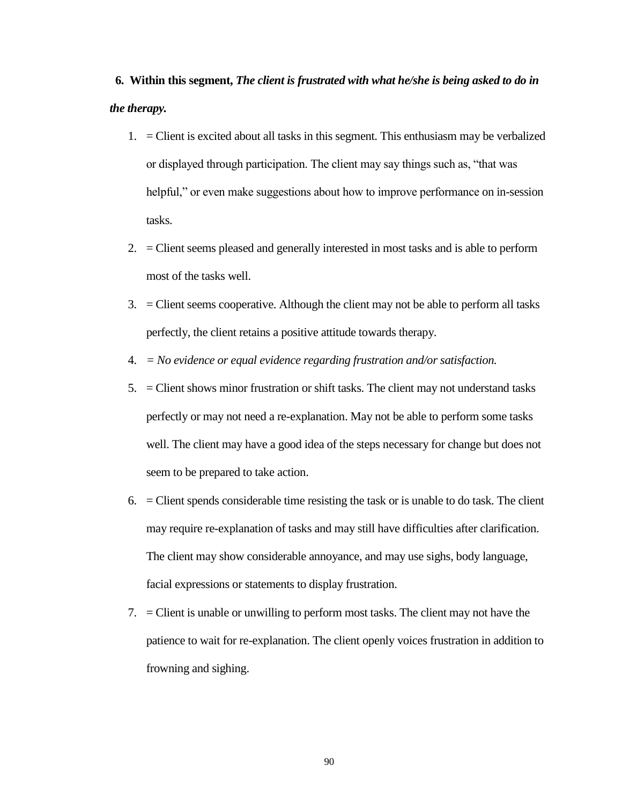**6. Within this segment,** *The client is frustrated with what he/she is being asked to do in the therapy.*

- 1. = Client is excited about all tasks in this segment. This enthusiasm may be verbalized or displayed through participation. The client may say things such as, "that was helpful," or even make suggestions about how to improve performance on in-session tasks.
- 2. = Client seems pleased and generally interested in most tasks and is able to perform most of the tasks well.
- 3. = Client seems cooperative. Although the client may not be able to perform all tasks perfectly, the client retains a positive attitude towards therapy.
- 4. *= No evidence or equal evidence regarding frustration and/or satisfaction.*
- 5. = Client shows minor frustration or shift tasks. The client may not understand tasks perfectly or may not need a re-explanation. May not be able to perform some tasks well. The client may have a good idea of the steps necessary for change but does not seem to be prepared to take action.
- $6.$  = Client spends considerable time resisting the task or is unable to do task. The client may require re-explanation of tasks and may still have difficulties after clarification. The client may show considerable annoyance, and may use sighs, body language, facial expressions or statements to display frustration.
- 7. = Client is unable or unwilling to perform most tasks. The client may not have the patience to wait for re-explanation. The client openly voices frustration in addition to frowning and sighing.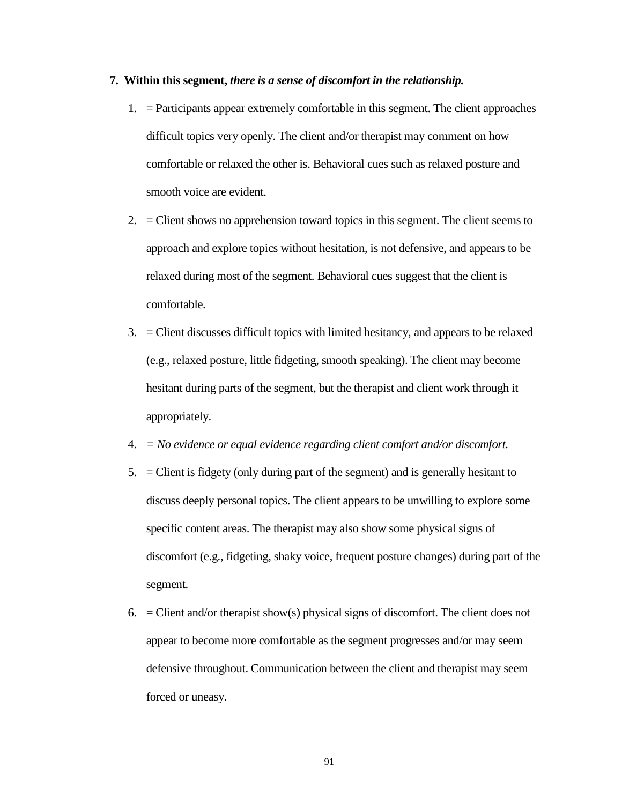### **7. Within this segment,** *there is a sense of discomfort in the relationship.*

- 1. = Participants appear extremely comfortable in this segment. The client approaches difficult topics very openly. The client and/or therapist may comment on how comfortable or relaxed the other is. Behavioral cues such as relaxed posture and smooth voice are evident.
- 2.  $=$  Client shows no apprehension toward topics in this segment. The client seems to approach and explore topics without hesitation, is not defensive, and appears to be relaxed during most of the segment. Behavioral cues suggest that the client is comfortable.
- 3. = Client discusses difficult topics with limited hesitancy, and appears to be relaxed (e.g., relaxed posture, little fidgeting, smooth speaking). The client may become hesitant during parts of the segment, but the therapist and client work through it appropriately.
- 4. *= No evidence or equal evidence regarding client comfort and/or discomfort.*
- 5. = Client is fidgety (only during part of the segment) and is generally hesitant to discuss deeply personal topics. The client appears to be unwilling to explore some specific content areas. The therapist may also show some physical signs of discomfort (e.g., fidgeting, shaky voice, frequent posture changes) during part of the segment.
- 6.  $=$  Client and/or therapist show(s) physical signs of discomfort. The client does not appear to become more comfortable as the segment progresses and/or may seem defensive throughout. Communication between the client and therapist may seem forced or uneasy.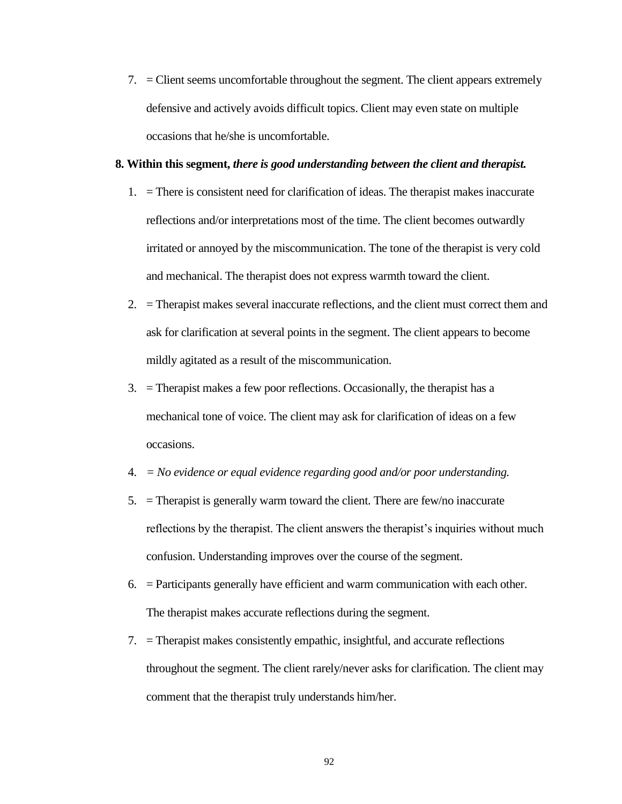7. = Client seems uncomfortable throughout the segment. The client appears extremely defensive and actively avoids difficult topics. Client may even state on multiple occasions that he/she is uncomfortable.

### **8. Within this segment,** *there is good understanding between the client and therapist.*

- 1. = There is consistent need for clarification of ideas. The therapist makes inaccurate reflections and/or interpretations most of the time. The client becomes outwardly irritated or annoyed by the miscommunication. The tone of the therapist is very cold and mechanical. The therapist does not express warmth toward the client.
- 2. = Therapist makes several inaccurate reflections, and the client must correct them and ask for clarification at several points in the segment. The client appears to become mildly agitated as a result of the miscommunication.
- 3. = Therapist makes a few poor reflections. Occasionally, the therapist has a mechanical tone of voice. The client may ask for clarification of ideas on a few occasions.
- 4. *= No evidence or equal evidence regarding good and/or poor understanding.*
- 5. = Therapist is generally warm toward the client. There are few/no inaccurate reflections by the therapist. The client answers the therapist's inquiries without much confusion. Understanding improves over the course of the segment.
- 6. = Participants generally have efficient and warm communication with each other. The therapist makes accurate reflections during the segment.
- 7. = Therapist makes consistently empathic, insightful, and accurate reflections throughout the segment. The client rarely/never asks for clarification. The client may comment that the therapist truly understands him/her.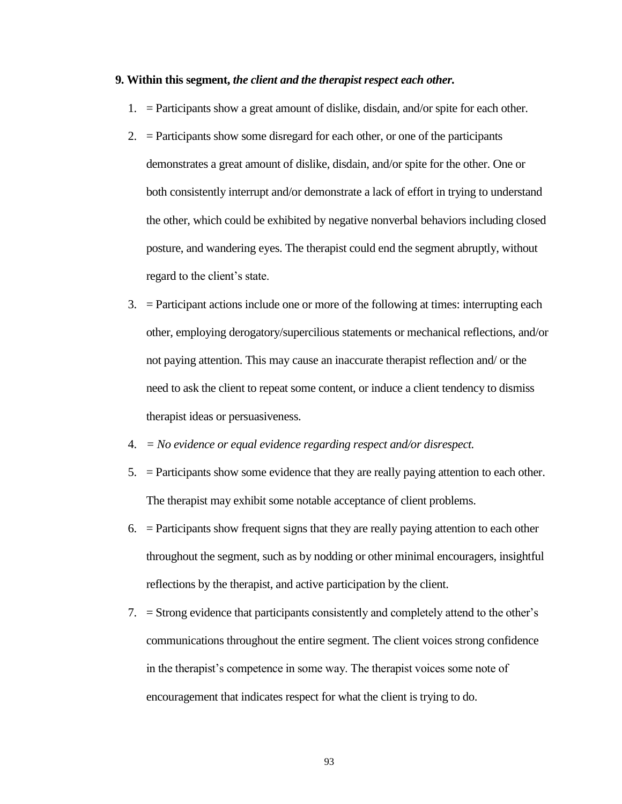#### **9. Within this segment,** *the client and the therapist respect each other.*

- 1. = Participants show a great amount of dislike, disdain, and/or spite for each other.
- 2.  $=$  Participants show some disregard for each other, or one of the participants demonstrates a great amount of dislike, disdain, and/or spite for the other. One or both consistently interrupt and/or demonstrate a lack of effort in trying to understand the other, which could be exhibited by negative nonverbal behaviors including closed posture, and wandering eyes. The therapist could end the segment abruptly, without regard to the client's state.
- 3. = Participant actions include one or more of the following at times: interrupting each other, employing derogatory/supercilious statements or mechanical reflections, and/or not paying attention. This may cause an inaccurate therapist reflection and/ or the need to ask the client to repeat some content, or induce a client tendency to dismiss therapist ideas or persuasiveness.
- 4. *= No evidence or equal evidence regarding respect and/or disrespect.*
- 5. = Participants show some evidence that they are really paying attention to each other. The therapist may exhibit some notable acceptance of client problems.
- $6.$  = Participants show frequent signs that they are really paying attention to each other throughout the segment, such as by nodding or other minimal encouragers, insightful reflections by the therapist, and active participation by the client.
- 7. = Strong evidence that participants consistently and completely attend to the other's communications throughout the entire segment. The client voices strong confidence in the therapist's competence in some way. The therapist voices some note of encouragement that indicates respect for what the client is trying to do.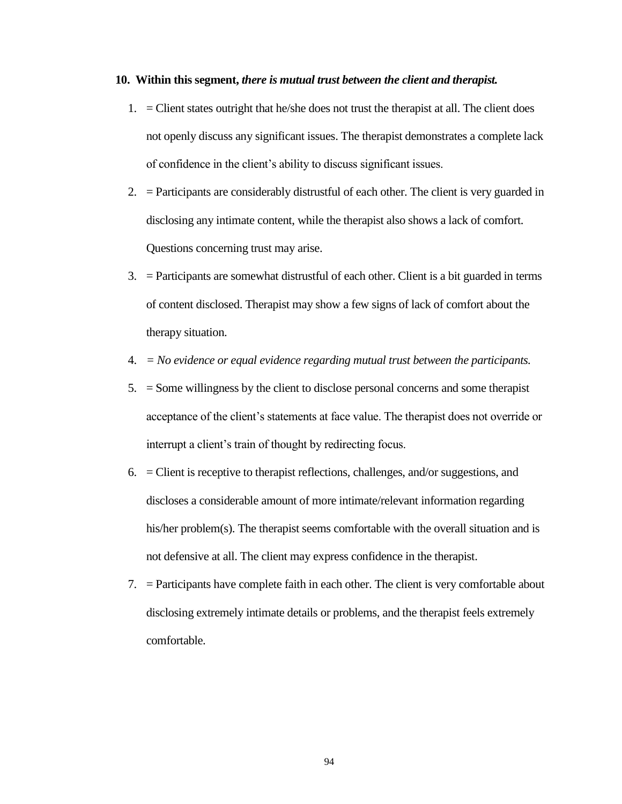### **10. Within this segment,** *there is mutual trust between the client and therapist.*

- 1. = Client states outright that he/she does not trust the therapist at all. The client does not openly discuss any significant issues. The therapist demonstrates a complete lack of confidence in the client's ability to discuss significant issues.
- 2. = Participants are considerably distrustful of each other. The client is very guarded in disclosing any intimate content, while the therapist also shows a lack of comfort. Questions concerning trust may arise.
- 3. = Participants are somewhat distrustful of each other. Client is a bit guarded in terms of content disclosed. Therapist may show a few signs of lack of comfort about the therapy situation.
- 4. *= No evidence or equal evidence regarding mutual trust between the participants.*
- 5. = Some willingness by the client to disclose personal concerns and some therapist acceptance of the client's statements at face value. The therapist does not override or interrupt a client's train of thought by redirecting focus.
- 6. = Client is receptive to therapist reflections, challenges, and/or suggestions, and discloses a considerable amount of more intimate/relevant information regarding his/her problem(s). The therapist seems comfortable with the overall situation and is not defensive at all. The client may express confidence in the therapist.
- 7. = Participants have complete faith in each other. The client is very comfortable about disclosing extremely intimate details or problems, and the therapist feels extremely comfortable.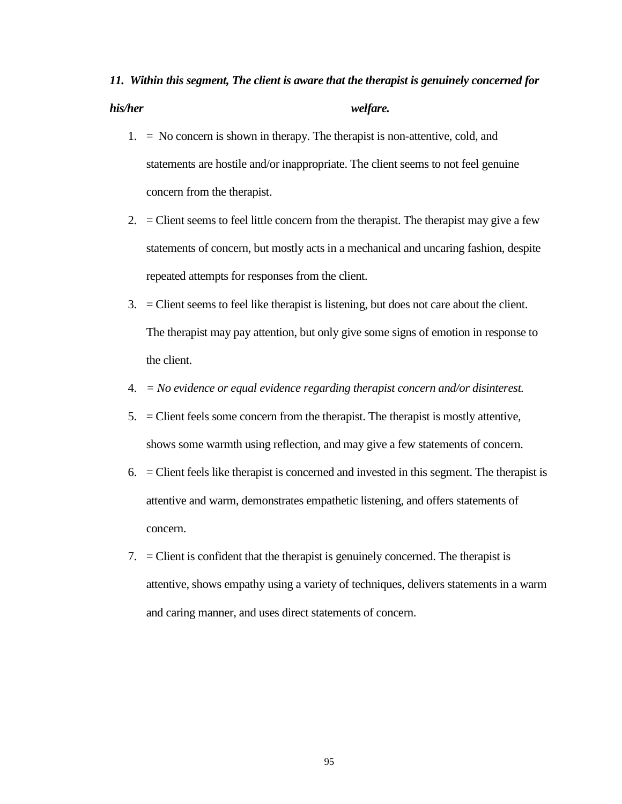## *11. Within this segment, The client is aware that the therapist is genuinely concerned for his/her welfare.*

- $1. = No concern is shown in therapy. The therapeutic, cold, and$ statements are hostile and/or inappropriate. The client seems to not feel genuine concern from the therapist.
- 2.  $=$  Client seems to feel little concern from the therapist. The therapist may give a few statements of concern, but mostly acts in a mechanical and uncaring fashion, despite repeated attempts for responses from the client.
- 3. = Client seems to feel like therapist is listening, but does not care about the client. The therapist may pay attention, but only give some signs of emotion in response to the client.
- 4. *= No evidence or equal evidence regarding therapist concern and/or disinterest.*
- 5. = Client feels some concern from the therapist. The therapist is mostly attentive, shows some warmth using reflection, and may give a few statements of concern.
- 6. = Client feels like therapist is concerned and invested in this segment. The therapist is attentive and warm, demonstrates empathetic listening, and offers statements of concern.
- 7. = Client is confident that the therapist is genuinely concerned. The therapist is attentive, shows empathy using a variety of techniques, delivers statements in a warm and caring manner, and uses direct statements of concern.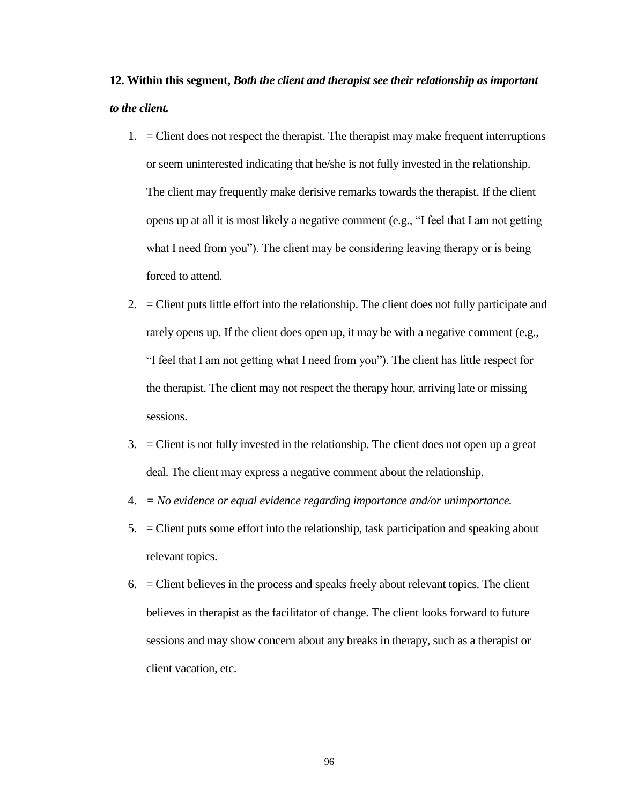### **12. Within this segment,** *Both the client and therapist see their relationship as important to the client.*

- 1.  $=$  Client does not respect the therapist. The therapist may make frequent interruptions or seem uninterested indicating that he/she is not fully invested in the relationship. The client may frequently make derisive remarks towards the therapist. If the client opens up at all it is most likely a negative comment (e.g., "I feel that I am not getting what I need from you"). The client may be considering leaving therapy or is being forced to attend.
- 2. = Client puts little effort into the relationship. The client does not fully participate and rarely opens up. If the client does open up, it may be with a negative comment (e.g., "I feel that I am not getting what I need from you"). The client has little respect for the therapist. The client may not respect the therapy hour, arriving late or missing sessions.
- 3. = Client is not fully invested in the relationship. The client does not open up a great deal. The client may express a negative comment about the relationship.
- 4. *= No evidence or equal evidence regarding importance and/or unimportance.*
- 5. = Client puts some effort into the relationship, task participation and speaking about relevant topics.
- 6. = Client believes in the process and speaks freely about relevant topics. The client believes in therapist as the facilitator of change. The client looks forward to future sessions and may show concern about any breaks in therapy, such as a therapist or client vacation, etc.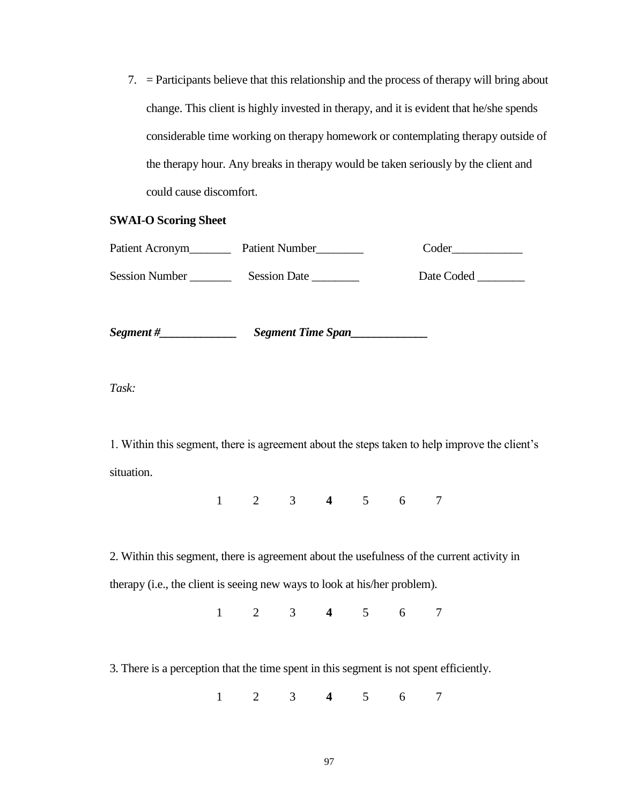7. = Participants believe that this relationship and the process of therapy will bring about change. This client is highly invested in therapy, and it is evident that he/she spends considerable time working on therapy homework or contemplating therapy outside of the therapy hour. Any breaks in therapy would be taken seriously by the client and could cause discomfort.

### **SWAI-O Scoring Sheet**

| Patient Acronym       | Patient Number    | Coder                  |
|-----------------------|-------------------|------------------------|
| <b>Session Number</b> | Session Date      | Date Coded ___________ |
| Segment #__           | Segment Time Span |                        |

*Task:* 

1. Within this segment, there is agreement about the steps taken to help improve the client's situation.

1 2 3 **4** 5 6 7

2. Within this segment, there is agreement about the usefulness of the current activity in therapy (i.e., the client is seeing new ways to look at his/her problem).

1 2 3 **4** 5 6 7

3. There is a perception that the time spent in this segment is not spent efficiently.

1 2 3 **4** 5 6 7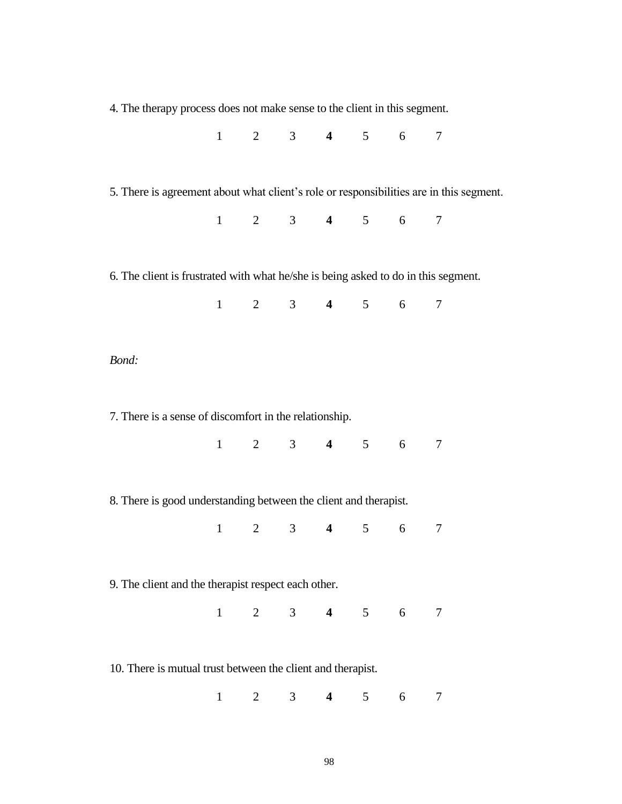| 4. The therapy process does not make sense to the client in this segment.               |              |   |                |                         |                                                     |             |                |  |  |  |
|-----------------------------------------------------------------------------------------|--------------|---|----------------|-------------------------|-----------------------------------------------------|-------------|----------------|--|--|--|
|                                                                                         |              |   |                |                         | $1 \t2 \t3 \t4 \t5 \t6 \t7$                         |             |                |  |  |  |
|                                                                                         |              |   |                |                         |                                                     |             |                |  |  |  |
| 5. There is agreement about what client's role or responsibilities are in this segment. |              |   |                |                         |                                                     |             |                |  |  |  |
|                                                                                         |              |   |                |                         | $1 \quad 2 \quad 3 \quad 4 \quad 5 \quad 6 \quad 7$ |             |                |  |  |  |
|                                                                                         |              |   |                |                         |                                                     |             |                |  |  |  |
| 6. The client is frustrated with what he/she is being asked to do in this segment.      |              |   |                |                         |                                                     |             |                |  |  |  |
|                                                                                         |              |   |                |                         | $1 \t2 \t3 \t4 \t5 \t6 \t7$                         |             |                |  |  |  |
|                                                                                         |              |   |                |                         |                                                     |             |                |  |  |  |
| Bond:                                                                                   |              |   |                |                         |                                                     |             |                |  |  |  |
|                                                                                         |              |   |                |                         |                                                     |             |                |  |  |  |
| 7. There is a sense of discomfort in the relationship.                                  |              |   |                |                         |                                                     |             |                |  |  |  |
|                                                                                         |              |   |                |                         | $1 \t2 \t3 \t4 \t5 \t6 \t7$                         |             |                |  |  |  |
|                                                                                         |              |   |                |                         |                                                     |             |                |  |  |  |
| 8. There is good understanding between the client and therapist.                        |              |   |                |                         |                                                     |             |                |  |  |  |
|                                                                                         |              |   |                |                         | $1 \t2 \t3 \t4 \t5 \t6$                             |             | $\overline{7}$ |  |  |  |
|                                                                                         |              |   |                |                         |                                                     |             |                |  |  |  |
| 9. The client and the therapist respect each other.                                     |              |   |                |                         |                                                     |             |                |  |  |  |
|                                                                                         |              |   |                |                         | $1 \t2 \t3 \t4 \t5 \t6 \t7$                         |             |                |  |  |  |
|                                                                                         |              |   |                |                         |                                                     |             |                |  |  |  |
| 10. There is mutual trust between the client and therapist.                             |              |   |                |                         |                                                     |             |                |  |  |  |
|                                                                                         | $\mathbf{1}$ | 2 | 3 <sup>7</sup> | $\overline{\mathbf{4}}$ |                                                     | $5\qquad 6$ | 7              |  |  |  |